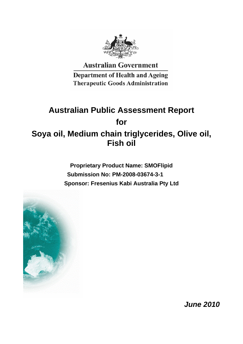

**Australian Government** 

**Department of Health and Ageing Therapeutic Goods Administration** 

# **Australian Public Assessment Report for Soya oil, Medium chain triglycerides, Olive oil, Fish oil**

**Proprietary Product Name: SMOFlipid Submission No: PM-2008-03674-3-1 Sponsor: Fresenius Kabi Australia Pty Ltd**



*June 2010*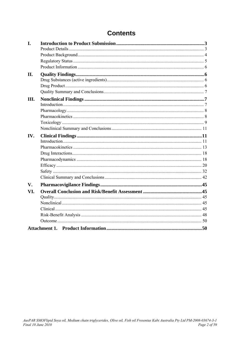## **Contents**

| I.            |  |
|---------------|--|
|               |  |
|               |  |
|               |  |
| II.           |  |
|               |  |
|               |  |
|               |  |
| III.          |  |
|               |  |
|               |  |
|               |  |
|               |  |
|               |  |
| IV.           |  |
|               |  |
|               |  |
|               |  |
|               |  |
|               |  |
|               |  |
|               |  |
| $V_{\bullet}$ |  |
| VI.           |  |
|               |  |
|               |  |
|               |  |
|               |  |
|               |  |
|               |  |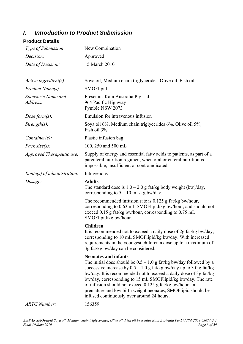## <span id="page-2-0"></span>*I. Introduction to Product Submission*

## **Product Details**

| Type of Submission             | New Combination                                                                                                                                                                                                                                                                                                                                                                                                                                                                             |
|--------------------------------|---------------------------------------------------------------------------------------------------------------------------------------------------------------------------------------------------------------------------------------------------------------------------------------------------------------------------------------------------------------------------------------------------------------------------------------------------------------------------------------------|
| Decision:                      | Approved                                                                                                                                                                                                                                                                                                                                                                                                                                                                                    |
| Date of Decision:              | 15 March 2010                                                                                                                                                                                                                                                                                                                                                                                                                                                                               |
| Active ingredient(s):          | Soya oil, Medium chain triglycerides, Olive oil, Fish oil                                                                                                                                                                                                                                                                                                                                                                                                                                   |
| <i>Product Name(s):</i>        | SMOFlipid                                                                                                                                                                                                                                                                                                                                                                                                                                                                                   |
| Sponsor's Name and<br>Address: | Fresenius Kabi Australia Pty Ltd<br>964 Pacific Highway<br>Pymble NSW 2073                                                                                                                                                                                                                                                                                                                                                                                                                  |
| Dose form $(s)$ :              | Emulsion for intravenous infusion                                                                                                                                                                                                                                                                                                                                                                                                                                                           |
| $Strength(s)$ :                | Soya oil 6%, Medium chain triglycerides 6%, Olive oil 5%,<br>Fish oil 3%                                                                                                                                                                                                                                                                                                                                                                                                                    |
| $Container(s)$ :               | Plastic infusion bag                                                                                                                                                                                                                                                                                                                                                                                                                                                                        |
| Pack size $(s)$ :              | 100, 250 and 500 mL                                                                                                                                                                                                                                                                                                                                                                                                                                                                         |
| Approved Therapeutic use:      | Supply of energy and essential fatty acids to patients, as part of a<br>parenteral nutrition regimen, when oral or enteral nutrition is<br>impossible, insufficient or contraindicated.                                                                                                                                                                                                                                                                                                     |
| Route(s) of administration:    | Intravenous                                                                                                                                                                                                                                                                                                                                                                                                                                                                                 |
|                                |                                                                                                                                                                                                                                                                                                                                                                                                                                                                                             |
| Dosage:                        | <b>Adults</b><br>The standard dose is $1.0 - 2.0$ g fat/kg body weight (bw)/day,<br>corresponding to $5 - 10$ mL/kg bw/day.                                                                                                                                                                                                                                                                                                                                                                 |
|                                | The recommended infusion rate is $0.125$ g fat/kg bw/hour,<br>corresponding to 0.63 mL SMOFlipid/kg bw/hour, and should not<br>exceed 0.15 g fat/kg bw/hour, corresponding to 0.75 mL<br>SMOFlipid/kg bw/hour.                                                                                                                                                                                                                                                                              |
|                                | <b>Children</b><br>It is recommended not to exceed a daily dose of 2g fat/kg bw/day,<br>corresponding to 10 mL SMOFlipid/kg bw/day. With increased<br>requirements in the youngest children a dose up to a maximum of<br>3g fat/kg bw/day can be considered.                                                                                                                                                                                                                                |
|                                | <b>Neonates and infants</b><br>The initial dose should be $0.5 - 1.0$ g fat/kg bw/day followed by a<br>successive increase by $0.5 - 1.0$ g fat/kg bw/day up to 3.0 g fat/kg<br>bw/day. It is recommended not to exceed a daily dose of 3g fat/kg<br>bw/day, corresponding to 15 mL SMOFlipid/kg bw/day. The rate<br>of infusion should not exceed 0.125 g fat/kg bw/hour. In<br>premature and low birth weight neonates, SMOFlipid should be<br>infused continuously over around 24 hours. |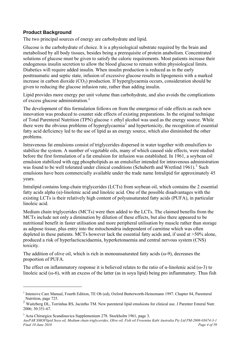## <span id="page-3-0"></span>**Product Background**

The two principal sources of energy are carbohydrate and lipid.

Glucose is the carbohydrate of choice. It is a physiological substrate required by the brain and metabolised by all body tissues, besides being a prerequisite of protein anabolism. Concentrated solutions of glucose must be given to satisfy the caloric requirements. Most patients increase their endogenous insulin secretion to allow the blood glucose to remain within physiological limits. Diabetics will require added insulin. When insulin production is reduced as in the early posttraumatic and septic state, infusion of excessive glucose results in lipogenesis with a marked increase in carbon dioxide  $(CO<sub>2</sub>)$  production. If hyperglycaemia occurs, consideration should be given to reducing the glucose infusion rate, rather than adding insulin.

Lipid provides more energy per unit volume than carbohydrate, and also avoids the complications of excess glucose administration.[1](#page-3-1)

The development of this formulation follows on from the emergence of side effects as each new innovation was produced to counter side effects of existing preparations. In the original technique of Total Parenteral Nutrition (TPN) glucose  $\pm$  ethyl alcohol was used as the energy source. While there were the obvious problems of hyperglycaemia<sup>[2](#page-3-2)</sup> and hypertonicity, the recognition of essential fatty acid deficiency led to the use of lipid as an energy source, which also diminished the other problems.

Intravenous fat emulsions consist of triglycerides dispersed in water together with emulsifiers to stabilize the system. A number of vegetable oils, many of which caused side effects, were studied before the first formulation of a fat emulsion for infusion was established. In 1961, a soybean oil emulsion stabilized with egg phospholipids as an emulsifier intended for intravenous administration was found to be well tolerated under clinical conditions (Schuberth and Wretlind 1961).<sup>[3](#page-3-3)</sup> Such emulsions have been commercially available under the trade name Intralipid for approximately 45 years.

Intralipid contains long-chain triglycerides (LCTs) from soybean oil, which contains the 2 essential fatty acids alpha (α)-linolenic acid and linoleic acid. One of the possible disadvantages with the existing LCTs is their relatively high content of polyunsaturated fatty acids (PUFA), in particular linoleic acid.

Medium chain triglycerides (MCTs) were then added to the LCTs. The claimed benefits from the MCTs include not only a diminution by dilution of these effects, but also there appeared to be nutritional benefit in faster utilisation and more peripheral utilisation by muscle rather than storage as adipose tissue, plus entry into the mitochondria independent of carnitine which was often depleted in these patients. MCTs however lack the essential fatty acids and, if used at >50% alone, produced a risk of hyperlacticacidaemia, hyperketonaemia and central nervous system (CNS) toxicity.

The addition of olive oil, which is rich in monounsaturated fatty acids  $(\omega - 9)$ , decreases the proportion of PUFA.

The effect on inflammatory response it is believed relates to the ratio of  $\alpha$ -linolenic acid ( $\omega$ -3) to linoleic acid ( $\omega$ -6), with an excess of the latter (as in soya lipid) being pro inflammatory. Thus fish

 $\overline{a}$ 

<span id="page-3-3"></span>*AusPAR SMOFlipid Soya oil, Medium chain triglycerides, Olive oil, Fish oil Fresenius Kabi Australia Pty Ltd PM-2008-03674-3-1 Final 10 June 2010 Page 4 of 59* 

<span id="page-3-1"></span><sup>&</sup>lt;sup>1</sup> Intensive Care Manual, Fourth Edition, TE Oh (ed), Oxford Butterworth-Heinemann 1997. Chapter 84, Parenteral Nutrition, page 725.

<span id="page-3-2"></span> $2$  Waitzberg DL, Torrinhas RS, Jacintho TM. New parenteral lipid emulsions for clinical use. J Parenter Enteral Nutr. 2006; 30:351-67.

<sup>&</sup>lt;sup>3</sup> Acta Chirurgica Scandinavica Supplemenium 278. Stockholm 1961, page 3.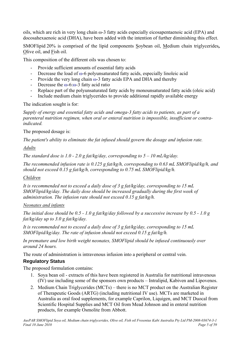<span id="page-4-0"></span>oils, which are rich in very long chain ω-3 fatty acids especially eicosapentaenoic acid (EPA) and docosahexaenoic acid (DHA), have been added with the intention of further diminishing this effect.

SMOFlipid 20% is comprised of the lipid components Soybean oil, Medium chain triglycerides**,**  Olive oil, and Fish oil.

This composition of the different oils was chosen to:

- Provide sufficient amounts of essential fatty acids
- Decrease the load of ω-6 polyunsaturated fatty acids, especially linoleic acid
- Provide the very long chain  $\omega$ -3 fatty acids EPA and DHA and thereby
- Decrease the  $\omega$ -6: $\omega$ -3 fatty acid ratio
- Replace part of the polyunsaturated fatty acids by monounsaturated fatty acids (oleic acid)
- Include medium chain triglycerides to provide additional rapidly available energy

The indication sought is for:

*Supply of energy and essential fatty acids and omega-3 fatty acids to patients, as part of a parenteral nutrition regimen, when oral or enteral nutrition is impossible, insufficient or contraindicated.* 

The proposed dosage is:

*The patient's ability to eliminate the fat infused should govern the dosage and infusion rate.* 

#### *Adults*

*The standard dose is 1.0 - 2.0 g fat/kg/day, corresponding to*  $5 - 10$  *mL/kg/day.* 

*The recommended infusion rate is 0.125 g fat/kg/h, corresponding to 0.63 mL SMOFlipid/kg/h, and should not exceed 0.15 g fat/kg/h, corresponding to 0.75 mL SMOFlipid/kg/h.* 

## *Children*

*It is recommended not to exceed a daily dose of 3 g fat/kg/day, corresponding to 15 mL SMOFlipid/kg/day. The daily dose should be increased gradually during the first week of administration. The infusion rate should not exceed 0.15 g fat/kg/h.* 

## *Neonates and infants*

*The initial dose should be 0.5 - 1.0 g fat/kg/day followed by a successive increase by 0.5 - 1.0 g fat/kg/day up to 3.0 g fat/kg/day.* 

*It is recommended not to exceed a daily dose of 3 g fat/kg/day, corresponding to 15 mL SMOFlipid/kg/day. The rate of infusion should not exceed 0.15 g fat/kg/h.* 

*In premature and low birth weight neonates, SMOFlipid should be infused continuously over around 24 hours.* 

The route of administration is intravenous infusion into a peripheral or central vein.

## **Regulatory Status**

The proposed formulation contains:

- 1. Soya bean oil extracts of this have been registered in Australia for nutritional intravenous (IV) use including some of the sponsors own products – Intralipid, Kabiven and Lipovenos.
- 2. Medium Chain Triglycerides (MCTs) there is no MCT product on the Australian Register of Therapeutic Goods (ARTG) (including nutritional IV use). MCTs are marketed in Australia as oral food supplements, for example Caprilon, Liquigen, and MCT Duocal from Scientific Hospital Supplies and MCT Oil from Mead Johnson and in enteral nutrition products, for example Osmolite from Abbott.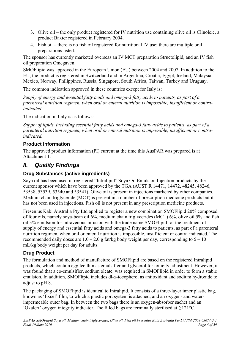- <span id="page-5-0"></span>3. Olive oil – the only product registered for IV nutrition use containing olive oil is Clinoleic, a product Baxter registered in February 2004.
- 4. Fish oil there is no fish oil registered for nutritional IV use; there are multiple oral preparations listed.

The sponsor has currently marketed overseas an IV MCT preparation Structolipid, and an IV fish oil preparation Omegaven.

SMOFlipid was approved in the European Union (EU) between 2004 and 2007. In addition to the EU, the product is registered in Switzerland and in Argentina, Croatia, Egypt, Iceland, Malaysia, Mexico, Norway, Philippines, Russia, Singapore, South Africa, Taiwan, Turkey and Uruguay.

The common indication approved in these countries except for Italy is:

*Supply of energy and essential fatty acids and omega-3 fatty acids to patients, as part of a parenteral nutrition regimen, when oral or enteral nutrition is impossible, insufficient or contraindicated.* 

The indication in Italy is as follows:

*Supply of lipids, including essential fatty acids and omega-3 fatty acids to patients, as part of a parenteral nutrition regimen, when oral or enteral nutrition is impossible, insufficient or contraindicated.* 

## **Product Information**

The approved product information (PI) current at the time this AusPAR was prepared is at Attachment 1.

## *II. Quality Findings*

## **Drug Substances (active ingredients)**

Soya oil has been used in registered "Intralipid" Soya Oil Emulsion Injection products by the current sponsor which have been approved by the TGA (AUST R 14471, 14472, 48245, 48246, 53538, 53539, 53540 and 53541). Olive oil is present in injections marketed by other companies. Medium chain triglyceride (MCT) is present in a number of prescription medicine products but it has not been used in injections. Fish oil is not present in any prescription medicine products.

Fresenius Kabi Australia Pty Ltd applied to register a new combination SMOFlipid 20% composed of four oils, namely soya-bean oil 6%, medium chain triglycerides (MCT) 6%, olive oil 5% and fish oil 3% emulsion for intravenous infusion with the trade name SMOFlipid for the treatment of supply of energy and essential fatty acids and omega-3 fatty acids to patients, as part of a parenteral nutrition regimen, when oral or enteral nutrition is impossible, insufficient or contra-indicated. The recommended daily doses are  $1.0 - 2.0$  g fat/kg body weight per day, corresponding to  $5 - 10$ mL/kg body weight per day for adults.

## **Drug Product**

The formulation and method of manufacture of SMOFlipid are based on the registered Intralipid products, which contain egg lecithin as emulsifier and glycerol for tonicity adjustment. However, it was found that a co-emulsifier, sodium oleate, was required in SMOFlipid in order to form a stable emulsion. In addition, SMOFlipid includes dl-α-tocopherol as antioxidant and sodium hydroxide to adjust to pH 8.

The packaging of SMOFlipid is identical to Intralipid. It consists of a three-layer inner plastic bag, known as 'Excel' film, to which a plastic port system is attached, and an oxygen- and waterimpermeable outer bag. In between the two bags there is an oxygen-absorber sachet and an 'Oxalert' oxygen integrity indicator. The filled bags are terminally sterilised at ≥121°C.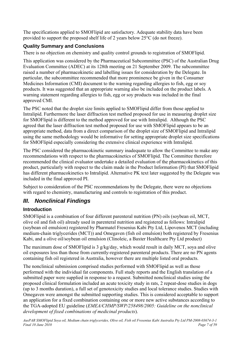<span id="page-6-0"></span>The specifications applied to SMOFlipid are satisfactory. Adequate stability data have been provided to support the proposed shelf life of 2 years below 25°C (do not freeze).

## **Quality Summary and Conclusions**

There is no objection on chemistry and quality control grounds to registration of SMOFlipid.

This application was considered by the Pharmaceutical Subcommittee (PSC) of the Australian Drug Evaluation Committee (ADEC) at its 128th meeting on 21 September 2009. The subcommittee raised a number of pharmacokinetic and labelling issues for consideration by the Delegate. In particular, the subcommittee recommended that more prominence be given in the Consumer Medicines Information (CMI) document to the warning regarding allergies to fish, egg or soy products. It was suggested that an appropriate warning also be included on the product labels. A warning statement regarding allergies to fish, egg or soy products was included in the final approved CMI.

The PSC noted that the droplet size limits applied to SMOFlipid differ from those applied to Intralipid. Furthermore the laser diffraction test method proposed for use in measuring droplet size for SMOFlipid is different to the method approved for use with Intralipid. Although the PSC agreed that the laser diffraction test method proposed for use with SMOFlipid appears to be an appropriate method, data from a direct comparison of the droplet size of SMOFlipid and Intralipid using the same methodology would be informative for setting appropriate droplet size specifications for SMOFlipid especially considering the extensive clinical experience with Intralipid.

The PSC considered the pharmacokinetic summary inadequate to allow the Committee to make any recommendations with respect to the pharmacokinetics of SMOFlipid. The Committee therefore recommended the clinical evaluator undertake a detailed evaluation of the pharmacokinetics of this product, particularly with respect to the claim made in the Product Information (PI) that SMOFlipid has different pharmacokinetics to Intralipid. Alternative PK text later suggested by the Delegate was included in the final approved PI.

Subject to consideration of the PSC recommendations by the Delegate, there were no objections with regard to chemistry, manufacturing and controls to registration of this product.

## *III. Nonclinical Findings*

## **Introduction**

SMOFlipid is a combination of four different parenteral nutrition (PN) oils (soybean oil, MCT, olive oil and fish oil) already used in parenteral nutrition and registered as follows: Intralipid (soybean oil emulsion) registered by Pharmatel Fresenius Kabi Pty Ltd, Lipovenos MCT (including medium-chain triglycerides (MCT)) and Omegaven (fish oil emulsion) both registered by Fresenius Kabi, and a olive oil/soybean oil emulsion (Clinoleic, a Baxter Healthcare Pty Ltd product)

The maximum dose of SMOFlipid is 3 g/kg/day, which would result in daily MCT, soya and olive oil exposures less than those from currently-registered parenteral products. There are no PN agents containing fish oil registered in Australia, however there are multiple listed oral products.

The nonclinical submission comprised studies performed with SMOFlipid as well as those performed with the individual fat components. Full study reports and the English translation of a submitted paper were supplied in response to a request. Submitted nonclinical studies using the proposed clinical formulation included an acute toxicity study in rats, 2 repeat-dose studies in dogs (up to 3 months duration), a full set of genotoxicity studies and local tolerance studies. Studies with Omegaven were amongst the submitted supporting studies. This is considered acceptable to support an application for a fixed combination containing one or more new active substances according to the TGA-adopted EU guideline (*EMEA/CHMP/SWP/258498/2005: Guideline on the nonclinical development of fixed combinations of medicinal products*).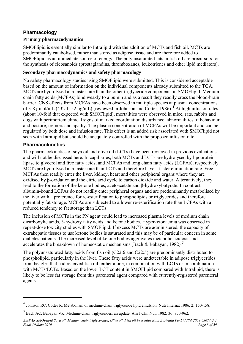### <span id="page-7-0"></span>**Pharmacology**

#### **Primary pharmacodynamics**

SMOFlipid is essentially similar to Intralipid with the addition of MCTs and fish oil. MCTs are predominantly catabolised, rather than stored as adipose tissue and are therefore added to SMOFlipid as an immediate source of energy. The polyunsaturated fats in fish oil are precursors for the synthesis of eicosanoids (prostaglandins, thromboxanes, leukotrienes and other lipid mediators).

#### **Secondary pharmacodynamics and safety pharmacology**

No safety pharmacology studies using SMOFlipid were submitted. This is considered acceptable based on the amount of information on the individual components already submitted to the TGA. MCTs are hydrolysed at a faster rate than the other triglyceride components in SMOFlipid. Medium chain fatty acids (MCFAs) bind weakly to albumin and as a result they readily cross the blood-brain barrier. CNS effects from MCFAs have been observed in multiple species at plasma concentrations of 3-8  $\mu$ mol/mL ([4](#page-7-1)32-1152  $\mu$ g/mL) (reviewed in Johnson and Cotter, 1986).<sup>4</sup> At high infusion rates (about 10-fold that expected with SMOFlipid), mortalities were observed in mice, rats, rabbits and dogs with perimortem clinical signs of marked coordination disturbance, abnormalities of behaviour and posture, tremors and apathy. The plasma concentration of MCFAs will be important and can be regulated by both dose and infusion rate. This effect is an added risk associated with SMOFlipid not seen with Intralipid but should be adequately controlled with the proposed infusion rate.

#### **Pharmacokinetics**

 $\overline{a}$ 

The pharmacokinetics of soya oil and olive oil (LCTs) have been reviewed in previous evaluations and will not be discussed here. In capillaries, both MCTs and LCTs are hydrolysed by lipoprotein lipase to glycerol and free fatty acids, and MCFAs and long chain fatty acids (LCFAs), respectively. MCTs are hydrolysed at a faster rate than LCTs and therefore have a faster elimination rate. Free MCFAs then readily enter the liver, kidney, heart and other peripheral organs where they are oxidised by β-oxidation and the citric acid cycle to carbon dioxide and water. Alternatively, they lead to the formation of the ketone bodies, acetoacetate and β-hydroxybutyrate. In contrast, albumin-bound LCFAs do not readily enter peripheral organs and are predominantly metabolised by the liver with a preference for re-esterification to phospholipids or triglycerides and therefore potentially fat storage. MCFAs are subjected to a lower re-esterification rate than LCFAs with a reduced tendency to fat storage than LCTs.

The inclusion of MCTs in the PN agent could lead to increased plasma levels of medium chain dicarboxylic acids, 3-hydroxy fatty acids and ketone bodies. Hyperketonaemia was observed in repeat-dose toxicity studies with SMOFlipid. If excess MCTs are administered, the capacity of extrahepatic tissues to use ketone bodies is saturated and this may be of particular concern in some diabetes patients. The increased level of ketone bodies aggravates metabolic acidosis and accelerates the breakdown of homeostatic mechanisms (Bach & Babayan, 1982).<sup>[5](#page-7-2)</sup>

The polyunsaturated fatty acids from fish oil (C22:6 and C22:5) are predominantly distributed to phospholipid, particularly in the liver. These fatty acids were undetectable in adipose triglycerides from beagles that had received fish oil, either alone, in combination with LCTs or in combination with MCTs/LCTs. Based on the lower LCT content in SMOFlipid compared with Intralipid, there is likely to be less fat storage from this parenteral agent compared with currently-registered parenteral agents.

<span id="page-7-1"></span><sup>4</sup> Johnson RC, Cotter R. Metabolism of medium-chain triglyceride lipid emulsion. Nutr Internat 1986; 2**:** 150-158.

<span id="page-7-2"></span><sup>5</sup> Bach AC, Babayan VK. Medium-chain triglycerides: an update. Am J Clin Nutr 1982; 36: 950-962.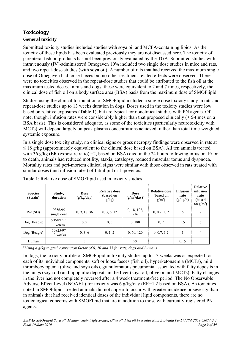## <span id="page-8-0"></span>**Toxicology General toxicity**

Submitted toxicity studies included studies with soya oil and MCFA-containing lipids. As the toxicity of these lipids has been evaluated previously they are not discussed here. The toxicity of parenteral fish oil products has not been previously evaluated by the TGA. Submitted studies with intravenously (IV)-administered Omegaven 10% included two single dose studies in mice and rats, and two repeat-dose studies (with soya oil). A number of rats that had received the maximum single dose of Omegaven had loose faeces but no other treatment-related effects were observed. There were no toxicities observed in the repeat-dose studies that could be attributed to the fish oil at the maximum tested doses. In rats and dogs, these were equivalent to 2 and 7 times, respectively, the clinical dose of fish oil on a body surface area (BSA) basis from the maximum dose of SMOFlipid.

Studies using the clinical formulation of SMOFlipid included a single dose toxicity study in rats and repeat-dose studies up to 13 weeks duration in dogs. Doses used in the toxicity studies were low based on relative exposures (Table 1), but are typical for nonclinical studies with PN agents. Of note, though, infusion rates were considerably higher than that proposed clinically ( $\geq$  5-times on a BSA basis). This is considered adequate, as some of the toxicities (particularly neurotoxicity with MCTs) will depend largely on peak plasma concentrations achieved, rather than total time-weighted systemic exposure.

In a single dose toxicity study, no clinical signs or gross necropsy findings were observed in rats at  $\leq$  18 g/kg (approximately equivalent to the clinical dose based on BSA). All ten animals treated with 36 g/kg (ER (exposure ratio) = 2, based on BSA) died in the 24 hours following infusion. Prior to death, animals had reduced motility, ataxia, catalepsy, reduced muscular tonus and dyspnoea. Mortality rates and peri-mortem clinical signs were similar with those observed in rats treated with similar doses (and infusion rates) of Intralipid or Lipovenös.

| <b>Species</b><br>(Strain) | Study;<br>duration     | <b>Dose</b><br>(g/kg/day) | <b>Relative dose</b><br>(based on<br>g/kg) | <b>Dose</b><br>$(g/m^2/day)^a$ | <b>Relative dose</b><br>(based on<br>$g/m^2$ | <b>Infusion</b><br>rate<br>(g/kg/h) | <b>Relative</b><br>infusion<br>rate<br>(based<br>on $g/m^2$ ) |
|----------------------------|------------------------|---------------------------|--------------------------------------------|--------------------------------|----------------------------------------------|-------------------------------------|---------------------------------------------------------------|
| Rat(SD)                    | 9356/95<br>single dose | 0, 9, 18, 36              | 0, 3, 6, 12                                | 0, 18, 108,<br>216             | 0, 0.2, 1, 2                                 | 6                                   | 7                                                             |
| Dog (Beagle)               | 9358/1/95<br>4 weeks   | 0, 9                      | 0, 3                                       | 0,180                          | 0, 2                                         | 1.5                                 | 6                                                             |
| Dog (Beagle)               | 10825/97<br>13 weeks   | 0, 3, 6                   | 0, 1, 2                                    | 0, 60, 120                     | 0, 0.7, 1.2                                  |                                     | $\overline{4}$                                                |
| Human                      |                        | 3                         | -                                          | 99                             |                                              | 0.15                                |                                                               |

Table 1: Relative dose of SMOFlipid used in toxicity studies

<sup>a</sup>Using a g/kg to g/m<sup>2</sup> conversion factor of 6, 20 and 33 for rats, dogs and humans.

In dogs, the toxicity profile of SMOFlipid in toxicity studies up to 13 weeks was as expected for each of its individual components: soft or loose faeces (fish oil), hyperketonaemia (MCTs), mild thrombocytopenia (olive and soya oils), granulomatous pneumonia associated with fatty deposits in the lungs (soya oil) and lipophilic deposits in the liver (soya oil, olive oil and MCTs). Fatty changes in the liver had not completely reversed after a 4 week treatment-free period. The No Observable Adverse Effect Level (NOAEL) for toxicity was 6 g/kg/day (ER=1.2 based on BSA). As toxicities noted in SMOFlipid -treated animals did not appear to occur with greater incidence or severity than in animals that had received identical doses of the individual lipid components, there are no toxicological concerns with SMOFlipid that are in addition to those with currently-registered PN agents.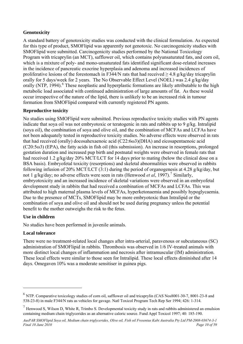## **Genotoxicity**

A standard battery of genotoxicity studies was conducted with the clinical formulation. As expected for this type of product, SMOFlipid was apparently not genotoxic. No carcinogenicity studies with SMOFlipid were submitted. Carcinogenicity studies performed by the National Toxicology Program with tricaprylin (an MCT), safflower oil, which contains polyunsaturated fats, and corn oil, which is a mixture of poly- and mono-unsaturated fats identified significant dose-related increases in the incidence of pancreatic exocrine hyperplasia and adenoma and increased incidences of proliferative lesions of the forestomach in F344/N rats that had received  $> 4.8$  g/kg/day tricaprylin orally for 5 days/week for 2 years. The No Observable Effect Level (NOEL) was 2.4 g/kg/day orally (NTP, 1994).<sup>[6](#page-9-0)</sup> These neoplastic and hyperplastic formations are likely attributable to the high metabolic load associated with continued administration of large amounts of fat. As these would occur irrespective of the nature of the lipid, there is unlikely to be an increased risk in tumour formation from SMOFlipid compared with currently registered PN agents.

## **Reproductive toxicity**

No studies using SMOFlipid were submitted. Previous reproductive toxicity studies with PN agents indicate that soya oil was not embryotoxic or teratogenic in rats and rabbits up to 9 g/kg. Intralipid (soya oil), the combination of soya and olive oil, and the combination of MCFAs and LCFAs have not been adequately tested in reproductive toxicity studies. No adverse effects were observed in rats that had received (orally) docosahexaenoic acid (C22:6ω3)(DHA) and eicosapentaenoic acid  $(C20:5\omega3)$  (EPA), the fatty acids in fish oil (this submission). An increase in resorptions, prolonged gestation duration and increased pup birth and postnatal weights were observed in female rats that had received 1.2 g/kg/day 20% MCT/LCT for 14 days prior to mating (below the clinical dose on a BSA basis). Embryofetal toxicity (resorptions) and skeletal abnormalities were observed in rabbits following infusion of 20% MCT/LCT (3:1) during the period of organogenesis at 4.28 g/kg/day, but not 1 g/kg/day; no adverse effects were seen in rats (Henwood *et al*, 199[7](#page-9-1)).<sup>7</sup> Similarly, embryotoxicity and an increased incidence of skeletal variations were observed in an embryofetal development study in rabbits that had received a combination of MCFAs and LCFAs. This was attributed to high maternal plasma levels of MCFAs, hyperketonaemia and possibly hypoglycaemia. Due to the presence of MCTs, SMOFlipid may be more embryotoxic than Intralipid or the combination of soya and olive oil and should not be used during pregnancy unless the potential benefit to the mother outweighs the risk to the fetus.

## **Use in children**

No studies have been performed in juvenile animals.

## **Local tolerance**

 $\overline{a}$ 

There were no treatment-related local changes after intra-arterial, paravenous or subcutaneous (SC) administration of SMOFlipid in rabbits. Thrombosis was observed in 1/6 IV-treated animals with more distinct local changes of inflammation and necrosis after intramuscular (IM) administration. These local effects were similar to those seen for Intralipid. These local effects diminished after 14 days. Omegaven 10% was a moderate sensitiser in guinea pigs.

<span id="page-9-0"></span><sup>6</sup> NTP. Comparative toxicology studies of corn oil, safflower oil and tricaprylin (CAS Nos8001-30-7, 8001-23-8 and 538-23-8) in male F344/N rats as vehicles for gavage. Natl Toxicol Program Tech Rep Ser 1994; 426: 1-314.

<span id="page-9-1"></span> $<sup>7</sup>$  Henwood S, Wilson D, White R, Trimbo S. Developmental toxicity study in rats and rabbits administered an emulsion</sup> containing medium chain triglycerides as an alternative caloric source. Fund Appl Toxicol 1997; 40: 185-190.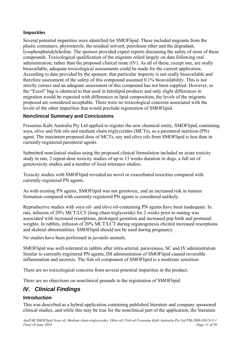## <span id="page-10-0"></span>**Impurities**

Several potential impurities were identified for SMOFlipid. These included migrants from the plastic containers, phytosterols, the residual solvent, petroleum ether and the degradant, lysophosphatidylcholine. The sponsor provided expert reports discussing the safety of most of these compounds. Toxicological qualification of the migrants relied largely on data following oral administration, rather than the proposed clinical route (IV). As all of these, except one, are orally bioavailable, adequate toxicological assessments could be made for the current application. According to data provided by the sponsor, that particular impurity is not orally bioavailable and therefore assessment of the safety of this compound assumed 0.1% bioavailability. This is not strictly correct and an adequate assessment of this compound has not been supplied. However, as the "Excel" bag is identical to that used in Intralipid products and only slight differences in migration would be expected with differences in lipid composition, the levels of the migrants proposed are considered acceptable. There were no toxicological concerns associated with the levels of the other impurities that would preclude registration of SMOFlipid.

## **Nonclinical Summary and Conclusions**

Fresenius Kabi Australia Pty Ltd applied to register the new chemical entity, SMOFlipid, containing soya, olive and fish oils and medium chain triglycerides (MCTs), as a parenteral nutrition (PN) agent. The maximum proposed dose of MCTs, soy and olive oils from SMOFlipid is less than in currently-registered parenteral agents.

Submitted nonclinical studies using the proposed clinical formulation included an acute toxicity study in rats, 2 repeat-dose toxicity studies of up to 13 weeks duration in dogs, a full set of genotoxicity studies and a number of local tolerance studies.

Toxicity studies with SMOFlipid revealed no novel or exacerbated toxicities compared with currently-registered PN agents.

As with existing PN agents, SMOFlipid was not genotoxic, and an increased risk in tumour formation compared with currently-registered PN agents is considered unlikely.

Reproductive studies with soya oil- and olive oil-containing PN agents have been inadequate. In rats, infusion of 20% MCT/LCT (long chain triglyceride) for 2 weeks prior to mating was associated with increased resorptions, prolonged gestation and increased pup birth and postnatal weights. In rabbits, infusion of 20% MCT/LCT during organogenesis elicited increased resorptions and skeletal abnormalities. SMOFlipid should not be used during pregnancy.

No studies have been performed in juvenile animals.

SMOFlipid was well-tolerated in rabbits after intra-arterial, paravenous, SC and IV administration. Similar to currently-registered PN agents, IM administration of SMOFlipid caused reversible inflammation and necrosis. The fish oil component of SMOFlipid is a moderate sensitiser.

There are no toxicological concerns from several potential impurities in the product.

There are no objections on nonclinical grounds to the registration of SMOFlipid.

## *IV. Clinical Findings*

## **Introduction**

This was described as a hybrid application containing published literature and company sponsored clinical studies, and while this may be true for the nonclinical part of the application, the literature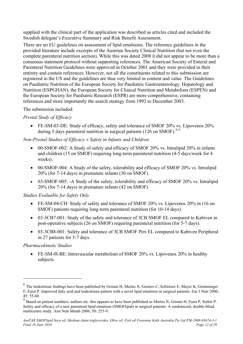supplied with the clinical part of the application was described as articles cited and included the Swedish delegate's Executive Summary and Risk Benefit Assessment.

There are no EU guidelines on assessment of lipid emulsions. The reference guidelines in the provided literature include excerpts of the Austrian Society Clinical Nutrition (but not even the complete parenteral nutrition section). While this was dated 2008 it did not appear to be more than a consensus statement protocol without supporting references. The American Society of Enteral and Parenteral Nutrition Guidelines were approved in October 2001 and they were provided in their entirety and contain references. However, not all the constituents related to this submission are registered in the US and the guidelines are thus very limited in content and value. The Guidelines on Paediatric Nutrition of the European Society for Paediatric Gastroenterology, Hepatology and Nutrition (ESPGHAN), the European Society for Clinical Nutrition and Metabolism (ESPEN) and the European Society for Paediatric Research (ESPR) are more comprehensive, containing references and more importantly the search strategy from 1992 to December 2003.

The submission included:

#### *Pivotal Study of Efficacy*

• FE-SM-03-DE: Study of efficacy, safety and tolerance of SMOF 20% vs. Lipovenos 20% during 5 days parenteral nutrition in surgical patients (126 on SMOF).  $8.9$  $8.9$  $8.9$ 

#### *Non-Pivotal Studies of Efficacy ± Safety in Infants and Children*

- 00-SMOF-002: A Study of safety and efficacy of SMOF 20% vs. Intralipid 20% in infants and children (15 on SMOF) requiring long-term parenteral nutrition (4-5 days/week for 4 weeks).
- 00-SMOF-004: A Study of the safety, tolerability and efficacy of SMOF 20% vs. Intralipid 20% (for 7-14 days) in premature infants (30 on SMOF).
- 03-SMOF-005: -A Study of the safety, tolerability and efficacy of SMOF 20% vs. Intralipid 20% (for 7-14 days) in premature infants (42 on SMOF).

#### *Studies Evaluable for Safety Only*

- FE-SM-04-CH: Study of safety and tolerance of SMOF 20% vs. Lipovenos 20% in (16 on SMOF) patients requiring long-term parenteral nutrition (for 10-14 days).
- 03-3CB7-001: Study of the safety and tolerance of 3CB SMOF EL compared to Kabiven in post-operative subjects (26 on SMOF) requiring parenteral nutrition (for 5-7 days).
- 03-3CB8-001: Safety and tolerance of 3CB SMOF Peri EL compared to Kabiven Peripheral in 27 patients for 5-7 days.

#### *Pharmacokinetic Studies*

 $\overline{a}$ 

• FE-SM-0l-BE: Intravascular metabolism of SMOF 20% vs. Lipovenos 20% in healthy subjects.

<span id="page-11-0"></span><sup>8</sup> The leukotriene findings have been published by Grimm H, Mertes N, Goeters C, Schlotzer E, Mayer K, Grimminger F, Furst P. Improved fatty acid and leukotriene pattern with a novel lipid emulsion in surgical patients. Eur J Nutr 2006; 45: 55-60.

<span id="page-11-1"></span><sup>9</sup> Based on patient numbers, authors etc. this appears to have been published as Mertes N, Grimm H, Furst P, Stehle P. Safety and efficacy of a new parenteral lipid emulsion (SMOFlipid) in surgical patients: A randomized, double-blind, multicentre study. Ann Nutr Metab 2006; 50: 253-9.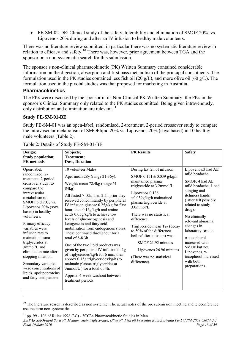<span id="page-12-0"></span>• FE-SM-02-DE: Clinical study of the safety, tolerability and elimination of SMOF 20%, vs. Lipovenos 20% during and after an IV infusion to healthy male volunteers.

There was no literature review submitted, in particular there was no systematic literature review in relation to efficacy and safety.<sup>[10](#page-12-1)</sup> There was, however, prior agreement between TGA and the sponsor on a non-systematic search for this submission.

The sponsor's non-clinical pharmacokinetic (PK) Written Summary contained considerable information on the digestion, absorption and first pass metabolism of the principal constituents. The formulation used in the PK studies contained less fish oil (20 g/L), and more olive oil (60 g/L). The formulation used in the pivotal studies was that proposed for marketing in Australia.

#### **Pharmacokinetics**

The PKs were discussed by the sponsor in its Non-Clinical PK Written Summary: the PKs in the sponsor's Clinical Summary only related to the PK studies submitted. Being given intravenously, only distribution and elimination are relevant. $^{11}$  $^{11}$  $^{11}$ 

#### **Study FE-SM-01-BE**

 $\overline{a}$ 

Study FE-SM-01 was an open-label, randomised, 2-treatment, 2-period crossover study to compare the intravascular metabolism of SMOFlipid 20% vs. Lipovenos 20% (soya based) in 10 healthy male volunteers (Table 2).

| Design;<br><b>Study population;</b><br><b>PK</b> methods                                                                                                                                                                                                                                                                                                                                                                                                                              | Subjects;<br><b>Treatment;</b><br>Dose, Duration                                                                                                                                                                                                                                                                                                                                                                                                                                                                                                                                                                                                                                                                                                                   | <b>PK Results</b>                                                                                                                                                                                                                                                                                                                                                                                                                                        | <b>Safety</b>                                                                                                                                                                                                                                                                                                                                                                                 |
|---------------------------------------------------------------------------------------------------------------------------------------------------------------------------------------------------------------------------------------------------------------------------------------------------------------------------------------------------------------------------------------------------------------------------------------------------------------------------------------|--------------------------------------------------------------------------------------------------------------------------------------------------------------------------------------------------------------------------------------------------------------------------------------------------------------------------------------------------------------------------------------------------------------------------------------------------------------------------------------------------------------------------------------------------------------------------------------------------------------------------------------------------------------------------------------------------------------------------------------------------------------------|----------------------------------------------------------------------------------------------------------------------------------------------------------------------------------------------------------------------------------------------------------------------------------------------------------------------------------------------------------------------------------------------------------------------------------------------------------|-----------------------------------------------------------------------------------------------------------------------------------------------------------------------------------------------------------------------------------------------------------------------------------------------------------------------------------------------------------------------------------------------|
| Open-label,<br>randomized, 2-<br>treatment, 2-period<br>crossover study, to<br>compare the<br>intravascular<br>metabolism of<br>SMOFlipid 20% vs.<br>Lipovenos 20% (soya<br>based) in healthy<br>volunteers.<br>Primary efficacy<br>variables were<br>infusion rate to<br>maintain plasma<br>triglycerides at<br>$3mmol/L$ and<br>elimination rate after<br>stopping infusion.<br>Secondary variables<br>were concentrations of<br>lipids, apolipoproteins<br>and fatty acid pattern. | 10 volunteer Males<br>Age: mean 28y (range 21-36y).<br>Weight: mean 72.4kg (range 61-<br>84kg).<br>All fasted $\geq$ 10h, then 2.5h prior they<br>received concomitantly by peripheral<br>IV infusion glucose 0.25g/kg for first<br>hour, then 0.16g/kg/h and amino<br>acids 0.05g/kg/h to achieve low<br>levels of gluconeogenesis and<br>ketogenesis and fatty acid<br>mobilisation from endogenous stores.<br>These continued throughout for a<br>total of $8-8.3h$ .<br>One of the two lipid products was<br>given by peripheral IV infusion of 1g<br>of triglycerides/kg/h for 6 min, then<br>approx 0.15g triglycerides/kg/h (to<br>maintain plasma triglycerides at<br>3mmol/L ) for a total of 4h.<br>Approx. 4-week washout between<br>treatment periods. | During last 2h of infusion:<br>SMOF $0.151 \pm 0.039$ g/kg/h<br>maintained plasma<br>triglyceride at 3.2mmol/L.<br>Lipovenos 0.138<br>$\pm 0.039$ g/kg/h maintained<br>plasma triglyceride at<br>$3.0$ mmol/L.<br>There was no statistical<br>difference.<br>Triglyceride mean $T_{1/2}$ (decay<br>to 50% of the difference<br>before/after infusion) was:<br>SMOF 21.92 minutes<br>Lipovenos 26.96 minutes<br>(There was no statistical<br>difference). | Lipovenos: 3 had AE<br>mild headache.<br>SMOF: 4 had AE<br>mild headache, 1 had<br>stinging and<br>itchiness hands<br>(latter felt possibly<br>related to study<br>drug).<br>No clinically<br>relevant abnormal<br>changes in<br>laboratory results.<br>$\alpha$ -tocopherol<br>increased with<br>SMOF but not<br>Lipovenos, $\gamma$ -<br>tocopherol increased<br>with both<br>preparations. |

Table 2: Details of Study FE-SM-01-BE

<span id="page-12-1"></span> $10$  The literature search is described as non systemic. The actual notes of the pre submission meeting and teleconference use the term non-systematic.

<span id="page-12-2"></span>*AusPAR SMOFlipid Soya oil, Medium chain triglycerides, Olive oil, Fish oil Fresenius Kabi Australia Pty Ltd PM-2008-03674-3-1 Final 10 June 2010 Page 13 of 59 Page 13 of 59 Page 13 of 59 Page 13 of 59*  $11$  pp. 99 - 106 of Rules 1998 (3C) - 3CC3a Pharmacokinetic Studies in Man.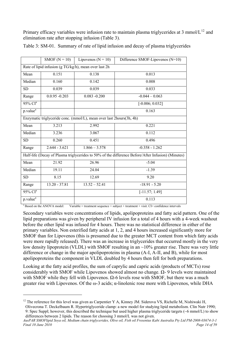Primary efficacy variables were infusion rate to maintain plasma triglycerides at 3 mmol/ $L^{12}$  $L^{12}$  $L^{12}$  and elimination rate after stopping infusion (Table 3).

|                          | SMOF $(N = 10)$  | Lipovenos ( $N = 10$ )                                               | Difference SMOF-Lipovenos (N=10)                                                                   |
|--------------------------|------------------|----------------------------------------------------------------------|----------------------------------------------------------------------------------------------------|
|                          |                  | Rate of lipid infusion (g TG/kg/h), mean over last 2h                |                                                                                                    |
| Mean                     | 0.151            | 0.138                                                                | 0.013                                                                                              |
| Median                   | 0.160            | 0.142                                                                | 0.008                                                                                              |
| <b>SD</b>                | 0.039            | 0.039                                                                | 0.033                                                                                              |
| Range                    | $0.0.95 - 0.203$ | $0.083 - 0.200$                                                      | $-0.044 - 0.063$                                                                                   |
| $95\%$ CI <sup>a</sup>   |                  |                                                                      | $[-0.006; 0.032]$                                                                                  |
| $p.value^{\overline{a}}$ |                  |                                                                      | 0.163                                                                                              |
|                          |                  | Enzymatic triglyceride conc. (mmol/L), mean over last 2hours(3h, 4h) |                                                                                                    |
| Mean                     | 3.213            | 2.992                                                                | 0.221                                                                                              |
| Median                   | 3.236            | 3.067                                                                | 0.112                                                                                              |
| <b>SD</b>                | 0.260            | 0.451                                                                | 0.496                                                                                              |
| Range                    | $2.644 - 3.621$  | $1.866 - 3.578$                                                      | $-0.358 - 1.262$                                                                                   |
|                          |                  |                                                                      | Half-life (Decay of Plasma triglycerides to 50% of the difference Before/After Infusion) (Minutes) |
| Mean                     | 21.92            | 26.96                                                                | $-5.04$                                                                                            |
| Median                   | 19.11            | 24.04                                                                | $-1.39$                                                                                            |
| <b>SD</b>                | 8.15             | 12.69                                                                | 9.20                                                                                               |
| Range                    | 13.20 - 37.81    | $13.52 - 52.41$                                                      | $-18.91 - 5.20$                                                                                    |
| $95\%$ CI <sup>a</sup>   |                  |                                                                      | $[-11.57; 1.49]$                                                                                   |
| p.value <sup>a</sup>     |                  |                                                                      | 0.113                                                                                              |

Table 3: SM-01. Summary of rate of lipid infusion and decay of plasma triglycerides

<sup>a</sup> Based on the ANOVA model: Variable = treatment sequence + subject + treatment + visit. CI= confidence intervals

 $\overline{a}$ 

Secondary variables were concentrations of lipids, apolipoproteins and fatty acid pattern. One of the lipid preparations was given by peripheral IV infusion for a total of 4 hours with a 4-week washout before the other lipid was infused for 4 hours. There was no statistical difference in either of the primary variables. Non esterified fatty acids at 1, 2, and 4 hours increased significantly more for SMOF than for Lipovenos (this is presumed due to the greater MCT content from which fatty acids were more rapidly released). There was an increase in triglycerides that occurred mostly in the very low density lipoprotein (VLDL) with SMOF resulting in an ~10% greater rise. There was very little difference or change in the major apolipoproteins in plasma (A-I, A-II, and B), while for most apolipoproteins the component in VLDL doubled by 4 hours then fell for both preparations.

Looking at the fatty acid profiles, the sum of caprylic and capric acids (products of MCTs) rose considerably with SMOF while Lipovenos showed almost no change. Ω- 9 levels were maintained with SMOF while they fell with Lipovenos.  $\Omega$ -6 levels rose with SMOF, but there was a much greater rise with Lipovenos. Of the  $\omega$ -3 acids;  $\alpha$ -linolenic rose more with Lipovenos, while DHA

<span id="page-13-0"></span><sup>&</sup>lt;sup>12</sup> The reference for this level was given as Carpentier Y A, Kinney JM. Siderova VS, Richelle M, Nishiwaki H, Olivecrona T. Deckelbaum R. Hypertriglyceride clamp: a new model for studying lipid metabolism. Clin Nutr 1990; 9: Spec Suppl; however, this described the technique but used higher plasma triglyceride targets (~6 mmol/L) to show differences between 2 lipids. The reason for choosing 3 mmol/L was not given.

*AusPAR SMOFlipid Soya oil, Medium chain triglycerides, Olive oil, Fish oil Fresenius Kabi Australia Pty Ltd PM-2008-03674-3-1 Final 10 June 2010 Page 14 of 59 Page 14 of 59 Page 14 of 59 Page 14 of 59*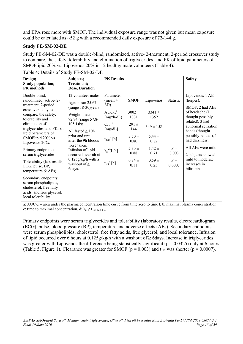and EPA rose more with SMOF. The individual exposure range was not given but mean exposure could be calculated as  $\sim$  52 g with a recommended daily exposure of 72-144 g.

#### **Study FE-SM-02-DE**

Study FE-SM-02-DE was a double-blind, randomized, active- 2-treatment, 2-period crossover study to compare, the safety, tolerability and elimination of triglycerides, and PK of lipid parameters of SMOFlipid 20% vs. Lipovenos 20% in 12 healthy male volunteers (Table 4).

| Design;<br><b>Study population;</b><br><b>PK</b> methods                                                                    | Subjects;<br><b>Treatment;</b><br>Dose, Duration                                                                                                                                                                                                                                                         | <b>PK Results</b>               | <b>Safety</b>                          |                    |                    |                                                       |                                        |  |  |                                |                    |                    |                |                                         |
|-----------------------------------------------------------------------------------------------------------------------------|----------------------------------------------------------------------------------------------------------------------------------------------------------------------------------------------------------------------------------------------------------------------------------------------------------|---------------------------------|----------------------------------------|--------------------|--------------------|-------------------------------------------------------|----------------------------------------|--|--|--------------------------------|--------------------|--------------------|----------------|-----------------------------------------|
| Double-blind,<br>randomized, active-2-<br>treatment, 2-period                                                               | 12 volunteer males<br>Age: mean 25.67<br>(range 18-30)years<br>Weight: mean<br>72.74 (range 57.8-<br>$105.1$ ) $kg$<br>All fasted $\geq 10h$<br>prior and until<br>after the 9h bloods<br>were taken.<br>Infusion of lipid<br>occurred over 6h at<br>$0.125g/kg/h$ with a<br>washout of $\geq$<br>6days. | Parameter<br>(mean $\pm$<br>SD) | <b>SMOF</b>                            | Lipovenos          | Statistic          | Lipovenos: 1 AE<br>(herpes).<br>SMOF: 2 had AEs       |                                        |  |  |                                |                    |                    |                |                                         |
| crossover study to<br>compare, the safety,<br>tolerability and                                                              |                                                                                                                                                                                                                                                                                                          | $AUC_{0-t}^a$<br>$[mg*h/dL)$    | $3002 +$<br>1331                       | $3341 \pm$<br>1352 |                    | of headache (1<br>thought possibly<br>related), 3 had |                                        |  |  |                                |                    |                    |                |                                         |
| elimination of<br>triglycerides, and PKs of<br>lipid parameters of<br>SMOFlipid 20% vs.<br>Lipovenos 20%.                   |                                                                                                                                                                                                                                                                                                          |                                 | $C_{\text{max}}^{\qquad b}$<br>[mg/dL] | $291 \pm$<br>144   | $349 \pm 158$      |                                                       | abnormal sensation<br>hands (thought   |  |  |                                |                    |                    |                |                                         |
|                                                                                                                             |                                                                                                                                                                                                                                                                                                          |                                 | $t_{max}^{\circ}$ [h]                  | $3.50 \pm$<br>0.80 | $5.44 \pm$<br>0.82 |                                                       | possibly related), 1<br>had dizziness. |  |  |                                |                    |                    |                |                                         |
| Primary endpoints:<br>serum triglycerides                                                                                   |                                                                                                                                                                                                                                                                                                          |                                 |                                        |                    |                    |                                                       |                                        |  |  | $\lambda_z$ <sup>6</sup> [L/h] | $2.30 \pm$<br>0.88 | $1.42 \pm$<br>0.71 | $P =$<br>0.003 | All AEs were mild.<br>2 subjects showed |
| Tolerability (lab. results,<br>ECG, pulse, BP,<br>temperature $&$ AEs).                                                     |                                                                                                                                                                                                                                                                                                          | $t_{1/2}^{\text{e}}$ [h]        | $0.34 +$<br>0.11                       | $0.59 +$<br>0.25   | $P =$<br>0.0007    | mild to moderate<br>increases in<br>bilirubin         |                                        |  |  |                                |                    |                    |                |                                         |
| Secondary endpoints:<br>serum phospholipids,<br>cholesterol, free fatty<br>acids, and free glycerol,<br>local tolerability. |                                                                                                                                                                                                                                                                                                          |                                 |                                        |                    |                    |                                                       |                                        |  |  |                                |                    |                    |                |                                         |

Table 4: Details of Study FE-SM-02-DE

a:  $AUC_{0-t}$  = area under the plasma concentration time curve from time zero to time t, b: maximal plasma concentration, c: time to maximal concentration, d:  $\lambda_{z, e}$ : t<sub>1/2: half-life</sub>

Primary endpoints were serum triglycerides and tolerability (laboratory results, electrocardiogram (ECG), pulse, blood pressure (BP), temperature and adverse effects (AEs). Secondary endpoints were serum phospholipids, cholesterol, free fatty acids, free glycerol, and local tolerance. Infusion of lipid occurred over 6 hours at  $0.125g/kg/h$  with a washout of  $\geq$  6days. Increase in triglycerides was greater with Lipovenos the difference being statistically significant ( $p = 0.0325$ ) only at 6 hours (Table 5, Figure 1). Clearance was greater for SMOF ( $p = 0.003$ ) and  $t_{1/2}$  was shorter ( $p = 0.0007$ ).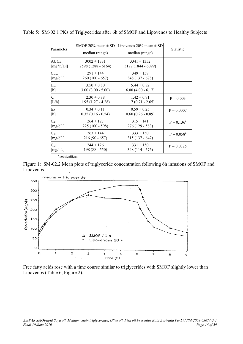| Parameter                                                                                                                                                              | SMOF 20% mean $\pm$ SD<br>median (range) | Lipovenos 20% mean $\pm$ SD<br>median (range) | <b>Statistic</b> |
|------------------------------------------------------------------------------------------------------------------------------------------------------------------------|------------------------------------------|-----------------------------------------------|------------------|
| $\mathrm{AUC}_{0\text{-}t}$                                                                                                                                            | $3002 \pm 1331$                          | $3341 \pm 1352$                               |                  |
| [mg*h/Dl]                                                                                                                                                              | 2598 (1288 - 6164)                       | 3177 (1844 - 6099)                            |                  |
| $C_{\text{max}}$                                                                                                                                                       | $291 \pm 144$                            | $349 \pm 158$                                 |                  |
| [mg/dL]                                                                                                                                                                | $260(100 - 657)$                         | $348(137 - 678)$                              |                  |
| $\tau_{\rm max}$                                                                                                                                                       | $3.50 \pm 0.80$                          | $5.44 \pm 0.82$                               |                  |
| $[h] \centering \includegraphics[width=0.8\textwidth]{Figures/PD1.png} \caption{The 3D (black) model for a different region of the parameter $\Omega$.} \label{fig:1}$ | $3.00 (3.00 - 5.00)$                     | $6.00(4.00 - 6.17)$                           |                  |
| $\lambda_{\rm z}$                                                                                                                                                      | $2.30 \pm 0.88$                          | $1.42 \pm 0.71$                               | $P = 0.003$      |
| [L/h]                                                                                                                                                                  | $1.95(1.27 - 4.28)$                      | $1.17(0.71 - 2.65)$                           |                  |
| $t_{1/2}$                                                                                                                                                              | $0.34 \pm 0.11$                          | $0.59 \pm 0.25$                               | $P = 0.0007$     |
| $[h] \centering \includegraphics[width=0.8\textwidth]{Figures/PD1.png} \caption{The 3D (black) model for a different region of the parameter $\Omega$.} \label{fig:1}$ | $0.35(0.16 - 0.54)$                      | $0.60(0.26 - 0.89)$                           |                  |
| $C_{4h}$                                                                                                                                                               | $264 \pm 127$                            | $315 \pm 141$                                 | $P = 0.136^a$    |
| [mg/dL]                                                                                                                                                                | $225(100 - 598)$                         | $276(129 - 583)$                              |                  |
| $\mathrm{C_{5h}}$                                                                                                                                                      | $263 \pm 144$                            | $333 \pm 150$                                 | $P = 0.058^a$    |
| [ $mg/dL$ ]                                                                                                                                                            | $216(90 - 657)$                          | $315(137 - 647)$                              |                  |
| $\mathrm{C_{6h}}$                                                                                                                                                      | $244 \pm 126$                            | $331 \pm 150$                                 | $P = 0.0325$     |
| [mg/dL]                                                                                                                                                                | $198(88 - 550)$                          | 348 (114 - 576)                               |                  |

Table 5: SM-02.1 PKs of Triglycerides after 6h of SMOF and Lipovenos to Healthy Subjects

<sup>a</sup> not significant

Figure 1: SM-02.2 Mean plots of triglyceride concentration following 6h infusions of SMOF and Lipovenos.



Free fatty acids rose with a time course similar to triglycerides with SMOF slightly lower than Lipovenos (Table 6, Figure 2).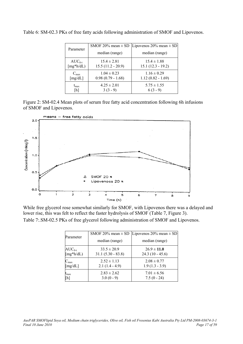|                                 | SMOF 20% mean $\pm$ SD                 | Lipovenos 20% mean $\pm$ SD            |  |  |
|---------------------------------|----------------------------------------|----------------------------------------|--|--|
| Parameter                       | median (range)                         | median (range)                         |  |  |
| $AUC_{0-t}$                     | $15.4 \pm 2.81$                        | $15.4 \pm 1.88$                        |  |  |
| $[mg*h/dL]$                     | $15.5(11.2 - 20.9)$                    | $15.1(12.3 - 19.2)$                    |  |  |
| $C_{\text{max}}$<br>[ $mg/dL$ ] | $1.04 \pm 0.23$<br>$0.98(0.79 - 1.68)$ | $1.16 \pm 0.29$<br>$1.12(0.82 - 1.69)$ |  |  |
| $t_{\rm max}$                   | $4.25 \pm 2.01$                        | $5.75 \pm 1.55$                        |  |  |
| [h]                             | $3(3-9)$                               | $6(3-9)$                               |  |  |

Table 6: SM-02.3 PKs of free fatty acids following administration of SMOF and Lipovenos.

Figure 2: SM-02.4 Mean plots of serum free fatty acid concentration following 6h infusions of SMOF and Lipovenos.



While free glycerol rose somewhat similarly for SMOF, with Lipovenos there was a delayed and lower rise, this was felt to reflect the faster hydrolysis of SMOF (Table 7, Figure 3). Table 7:.SM-02.5 PKs of free glycerol following administration of SMOF and Lipovenos.

|                  | SMOF 20% mean $\pm$ SD | Lipovenos 20% mean $\pm$ SD |  |  |
|------------------|------------------------|-----------------------------|--|--|
| Parameter        | median (range)         | median (range)              |  |  |
| $AUC_{0-t}$      | $33.5 \pm 20.9$        | $26.9 \pm 11.0$             |  |  |
| $[mg*h/dL]$      | $31.1 (5.30 - 83.8)$   | $24.3(10 - 45.6)$           |  |  |
| $C_{\text{max}}$ | $2.52 \pm 1.13$        | $2.08 \pm 0.77$             |  |  |
| [mg/dL]          | $2.1(1.4 - 4.9)$       | $1.9(1.3 - 3.9)$            |  |  |
| $t_{\rm max}$    | $2.83 \pm 2.62$        | $7.01 \pm 6.56$             |  |  |
| [h]              | $3.0(0-9)$             | $7.5(0 - 24)$               |  |  |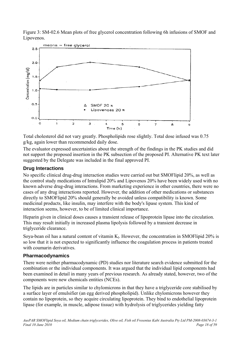<span id="page-17-0"></span>Figure 3: SM-02.6 Mean plots of free glycerol concentration following 6h infusions of SMOF and Lipovenos.



Total cholesterol did not vary greatly. Phospholipids rose slightly. Total dose infused was 0.75 g/kg, again lower than recommended daily dose.

The evaluator expressed uncertainties about the strength of the findings in the PK studies and did not support the proposed insertion in the PK subsection of the proposed PI. Alternative PK text later suggested by the Delegate was included in the final approved PI.

## **Drug Interactions**

No specific clinical drug-drug interaction studies were carried out but SMOFlipid 20%, as well as the control study medications of Intralipid 20% and Lipovenos 20% have been widely used with no known adverse drug-drug interactions. From marketing experience in other countries, there were no cases of any drug interactions reported. However, the addition of other medications or substances directly to SMOFlipid 20% should generally be avoided unless compatibility is known. Some medicinal products, like insulin, may interfere with the body's lipase system. This kind of interaction seems, however, to be of limited clinical importance.

Heparin given in clinical doses causes a transient release of lipoprotein lipase into the circulation. This may result initially in increased plasma lipolysis followed by a transient decrease in triglyceride clearance.

Soya-bean oil has a natural content of vitamin  $K_l$ . However, the concentration in SMOFlipid 20% is so low that it is not expected to significantly influence the coagulation process in patients treated with coumarin derivatives.

## **Pharmacodynamics**

There were neither pharmacodynamic (PD) studies nor literature search evidence submitted for the combination or the individual components. It was argued that the individual lipid components had been examined in detail in many years of previous research. As already stated, however, two of the components were new chemicals entities (NCEs).

The lipids are in particles similar to chylomicrons in that they have a triglyceride core stabilised by a surface layer of emulsifier (an egg derived phospholipid). Unlike chylomicrons however they contain no lipoprotein, so they acquire circulating lipoprotein. They bind to endothelial lipoprotein lipase (for example, in muscle, adipose tissue) with hydrolysis of triglycerides yielding fatty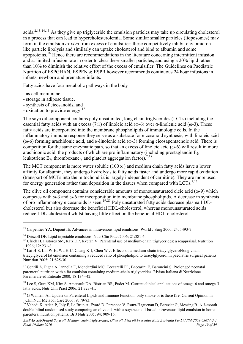acids.2,[13](#page-18-0),[14](#page-18-1),[15](#page-18-2) As they give up triglyceride the emulsion particles may take up circulating cholesterol in a process that can lead to hypercholesterolemia. Some similar smaller particles (lioposomes) may form in the emulsion *ex vivo* from excess of emulsifier; these competitively inhibit chylomicronlike particle lipolysis and similarly can uptake cholesterol and bind to albumin and some apoproteins.[16](#page-18-3) Hence there are recommendations in the literature concerning intermittent infusion and at limited infusion rate in order to clear these smaller particles, and using a 20% lipid rather than 10% to diminish the relative effect of the excess of emulsifier. The Guidelines on Paediatric Nutrition of ESPGHAN, ESPEN & ESPR however recommends continuous 24 hour infusions in infants, newborn and premature infants.

Fatty acids have four metabolic pathways in the body

- as cell membrane,

 $\overline{a}$ 

- storage in adipose tissue,
- synthesis of eicosanoids, and
- oxidation to provide energy.<sup>[17](#page-18-4)</sup>

The soya oil component contains poly unsaturated, long chain triglycerides (LCTs) including the essential fatty acids with an excess (7:1) of linoleic acid ( $\omega$ -6) over  $\alpha$ -linolenic acid ( $\omega$ -3). These fatty acids are incorporated into the membrane phospholipids of immunologic cells. In the inflammatory immune response they serve as a substrate for eicosanoid synthesis, with linoleic acid (ω-6) forming arachidonic acid, and α-linolenic acid (ω-3) forming eicosapentaenoic acid. There is competition for the same enzymatic path, so that an excess of linoleic acid ( $\omega$ -6) will result in more arachidonic acid, the products of which are pro inflammatory (including prostaglandin  $E_2$ , leukotriene  $B_4$ , thromboxane<sub>2</sub>, and platelet aggregation factor).<sup>2,[18](#page-18-5)</sup>

The MCT component is more water soluble (100 x ) and medium chain fatty acids have a lower affinity for albumin, they undergo hydrolysis to fatty acids faster and undergo more rapid oxidation (transport of MCTs into the mitochondria is largely independent of carnitine). They are more used for energy generation rather than deposition in the tissues when compared with LCTs.<sup>2,13</sup>

The olive oil component contains considerable amounts of monounsaturated oleic acid ( $\omega$ -9) which competes with ω-3 and ω-6 for incorporation into membrane phospholipids. A decrease in synthesis of pro inflammatory eicosanoids is seen.[19](#page-18-6),[20](#page-18-7) Poly unsaturated fatty acids decrease plasma LDLcholesterol but also decrease the beneficial HDL-cholesterol, whereas monounsaturated acids reduce LDL-cholesterol whilst having little effect on the beneficial HDL-cholesterol.

<span id="page-18-0"></span><sup>&</sup>lt;sup>13</sup> Carpentier YA, Dupont IE. Advances in intravenous lipid emulsions. World J Surg 2000; 24: 1493-7.

<span id="page-18-1"></span><sup>&</sup>lt;sup>14</sup> Driscoll DF. Lipid injectable emulsions. Nutr Clin Pract 2006; 21:381-6.

<span id="page-18-2"></span><sup>&</sup>lt;sup>15</sup> Ulrich H, Pastores SM, Katz DP, Kvetan V. Parenteral use of medium-chain triglycerides: a reappraisal. Nutrition 1996; 12: 231-8.

<span id="page-18-3"></span><sup>&</sup>lt;sup>16</sup> Lai H-S, Lin W-H, Wu H-C, Chang K-J, Chen W-J. Effects of a medium-chain triacylglycerol/long-chain triacylglycerol fat emulsion containing a reduced ratio of phospholipid to triacylglycerol in paediatric surgical patients. Nutrition 2005; 21:825-30.

<span id="page-18-4"></span><sup>17</sup> Gentili A, Pigna A, lannella E, Mondardini MC, Ceccarelli PL, Baccarini E, Baroncini S. Prolonged neonatal parenteral nutrition with a fat emulsion containing medium-chain triglycerides. Rivista Italiana di Nutrizione Parenterale ed Enterale 2000; 18:134--42.

<span id="page-18-5"></span><sup>&</sup>lt;sup>18</sup> Lee S, Gura KM, Kim S, Arsenault DA, Bistrian BR, Puder M. Current clinical applications of omega-6 and omega-3 fatty acids. Nutr Clin Pract 2006; 21:323-41.

<span id="page-18-6"></span><sup>&</sup>lt;sup>19</sup> G Wanten. An Update on Parenteral Lipids and Immune Function: only smoke or is there fire. Current Opinion in Clin Nutr Metabol Care 2006; 9: 79-83.

<span id="page-18-7"></span><sup>&</sup>lt;sup>20</sup> Vahedi K, Atlan P, Joly F, Le Brun A, Evard D, Perennec V, Roux-Haguenau D, Bereziat G, Messing B. A 3-month double-blind randomised study comparing an olive oil- with a soyabean oil-based intravenous lipid emulsion in home parenteral nutrition patients. Br J Nutr 2005; 94: 909-16.

*AusPAR SMOFlipid Soya oil, Medium chain triglycerides, Olive oil, Fish oil Fresenius Kabi Australia Pty Ltd PM-2008-03674-3-1 Final 10 June 2010*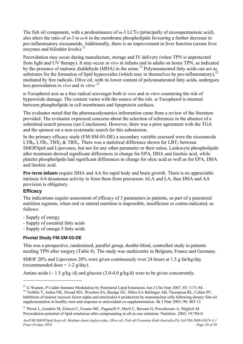<span id="page-19-0"></span>The fish oil component, with a predominance of  $\omega$ -3 LCTs (principally of eicosapentaenoic acid), also alters the ratio of  $\omega$ -3 to  $\omega$ -6 in the membrane phospholipids favouring a further decrease in pro-inflammatory eicosanoids. Additionally, there is an improvement in liver function (serum liver enzymes and bilirubin levels). $^{21}$  $^{21}$  $^{21}$ 

Peroxidation may occur during manufacture, storage and IV delivery (when TPN is unprotected from light and UV therapy). It may occur *in vivo* in infants and in adults on home TPN, as indicated by the presence of malonic dialdehyde (MDA) in the urine.<sup>13</sup> Polyunsaturated fatty acids can act as substrates for the formation of lipid hyperoxides (which may in themselves be pro-inflammatory),<sup>[22](#page-19-2)</sup> mediated by free radicals. Olive oil, with its lower content of polyunsaturated fatty acids, undergoes less peroxidation *in vivo* and *in vitro.[23](#page-19-3)*

α-Tocopherol acts as a free radical scavenger both *in vivo* and *in vitro* countering the risk of hyperoxide damage. The content varies with the source of the oils. α-Tocopherol is inserted between phospholipids in cell membranes and lipoprotein surfaces.

The evaluator noted that the pharmacodynamics information came from a review of the literature provided. The evaluator expressed concerns about the selection of references in the absence of a submitted search process (see Conclusion). However, there was a prior agreement with the TGA and the sponsor on a non-systematic search for this submission.

In the primary efficacy study (FM-SM-03-DE) a secondary variable assessed were the eicosanoids LTB<sub>4</sub>, LTB<sub>5</sub>, TBX<sub>2</sub> & TBX<sub>3</sub>. There was a statistical difference shown for LBT<sub>5</sub> between SMOFlipid and Lipovenos, but not for any other parameter or their ratios. Leukocyte phospholipids after treatment showed significant differences in change for EPA, DHA and linoleic acid, while platelet phospholipids had significant differences in change for oleic acid as well as for EPA, DHA and linoleic acid.

**Pre-term infants** require DHA and AA for rapid body and brain growth. There is no appreciable intrinsic δ-6 desaturase activity to form them from precursors ALA and LA, thus DHA and AA provision is obligatory.

#### **Efficacy**

 $\overline{a}$ 

The indications require assessment of efficacy of 3 parameters in patients, as part of a parenteral nutrition regimen, when oral or enteral nutrition is impossible, insufficient or contra-indicated, as follows:

- Supply of energy
- Supply of essential fatty acids
- Supply of omega-3 fatty acids

#### **Pivotal Study FM-SM-03-DE**

This was a prospective, randomised, parallel group, double-blind, controlled study in patients needing TPN after surgery (Table 8). The study was multicentre in Belgium, France and Germany.

SMOF 20% and Lipovenos 20% were given continuously over 24 hours at 1.5 g fat/kg/day (recommended dose  $= 1-2$  g/day).

Amino acids ( $\sim 1.5$  g/kg/d) and glucose (3.0-4.0 g/kg/d) were to be given concurrently.

<span id="page-19-2"></span><span id="page-19-1"></span><sup>&</sup>lt;sup>21</sup> G Wanten, P Calder Immune Modulation by Parenteral Lipid Emulsions Am J Clin Nutr 2007: 85: 1171-84. <sup>22</sup> Trebble T. Arden NK, Stroud MA, Wootton SA, Burdge GC, Miles EA Ballinger AB, Thompson RL, Calder PC. Inhibition of tumour necrosis factor-alpha and interleukin 6 production by mononuclear cells following dietary fish-oil supplementation in healthy men and response to antioxidant co-supplementation. Br J Nutr 2003; 90: 405-12.

<span id="page-19-3"></span><sup>&</sup>lt;sup>23</sup> Pironi L, Guidetti M, Zolezzi C, Fasano MC, Paganelli F, Merli C, Bersani G, Pizzoferrato A, Miglioli M. Peroxidation potential of lipid emulsions after compounding in all-in-one solutions. Nutrition. 2003; 19:784-8.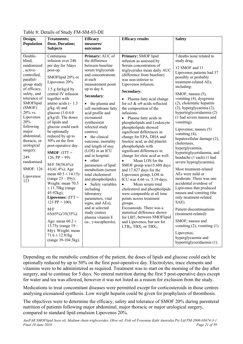| Design;                                                                                                                                                                                                                                                                                                                                  | <b>Treatments;</b>                                                                                                                                                                                                                                                                                                                                                                                                                                                                                                                                                                                                                                                                                                                                                        | <b>Efficacy</b>                                                                                                                                                                                                                                                                                                                                                                                                                                                                                                                                                                                                                                                                             | <b>Efficacy results</b>                                                                                                                                                                                                                                                                                                                                                                                                                                                                                                                                                                                                                                                                                                                                                                                                                                                                                                                                                                                                                                            | <b>Safety</b>                                                                                                                                                                                                                                                                                                                                                                                                                                                                                                                                                                                                                                                                                                                                                                                                                                                                                                       |
|------------------------------------------------------------------------------------------------------------------------------------------------------------------------------------------------------------------------------------------------------------------------------------------------------------------------------------------|---------------------------------------------------------------------------------------------------------------------------------------------------------------------------------------------------------------------------------------------------------------------------------------------------------------------------------------------------------------------------------------------------------------------------------------------------------------------------------------------------------------------------------------------------------------------------------------------------------------------------------------------------------------------------------------------------------------------------------------------------------------------------|---------------------------------------------------------------------------------------------------------------------------------------------------------------------------------------------------------------------------------------------------------------------------------------------------------------------------------------------------------------------------------------------------------------------------------------------------------------------------------------------------------------------------------------------------------------------------------------------------------------------------------------------------------------------------------------------|--------------------------------------------------------------------------------------------------------------------------------------------------------------------------------------------------------------------------------------------------------------------------------------------------------------------------------------------------------------------------------------------------------------------------------------------------------------------------------------------------------------------------------------------------------------------------------------------------------------------------------------------------------------------------------------------------------------------------------------------------------------------------------------------------------------------------------------------------------------------------------------------------------------------------------------------------------------------------------------------------------------------------------------------------------------------|---------------------------------------------------------------------------------------------------------------------------------------------------------------------------------------------------------------------------------------------------------------------------------------------------------------------------------------------------------------------------------------------------------------------------------------------------------------------------------------------------------------------------------------------------------------------------------------------------------------------------------------------------------------------------------------------------------------------------------------------------------------------------------------------------------------------------------------------------------------------------------------------------------------------|
| <b>Population</b>                                                                                                                                                                                                                                                                                                                        | Dose, Duration;<br><b>Subjects</b>                                                                                                                                                                                                                                                                                                                                                                                                                                                                                                                                                                                                                                                                                                                                        | measures/<br>outcomes                                                                                                                                                                                                                                                                                                                                                                                                                                                                                                                                                                                                                                                                       |                                                                                                                                                                                                                                                                                                                                                                                                                                                                                                                                                                                                                                                                                                                                                                                                                                                                                                                                                                                                                                                                    |                                                                                                                                                                                                                                                                                                                                                                                                                                                                                                                                                                                                                                                                                                                                                                                                                                                                                                                     |
| Double-<br>blind,<br>randomized<br>, active-<br>controlled,<br>parallel-<br>group study<br>of efficacy,<br>safety, and<br>tolerance of<br>SMOFlipid<br>(SMOF)<br>20% vs.<br>Lipovenos<br>20%<br>following<br>major<br>abdominal.<br>thoracic, or<br>urological<br>surgery.<br>249<br>randomised<br><b>SMOF: 126</b><br>Lipovenos:<br>123 | Continuous<br>infusion over 24h<br>per day for 5days<br>post-op.<br>SMOFlipid 20% or<br>Lipovenos 20%<br>$1.5$ g fat/kg/d by<br>central IV infusion<br>together with<br>amino acids ( $\sim$ 1.5<br>$g/kg/d)$ and<br>glucose $(3.0-4.0)$<br>$g/kg/d)$ . The doses<br>of lipids and<br>glucose could each<br>be optionally<br>reduced by up to<br>50% on the first<br>post-operative day.<br>$SMOF: (ITT =$<br>126, $PP = 99$<br>M/F 58(58.6%)/<br>$41(41.4\%)$ ; Age<br>mean $60.5 \pm 14.15y$<br>(range $23 - 89y$ );<br>Weight: mean 70.5<br>$\pm$ 11.70 kg (range<br>45-92kg);<br>Lipovenos: $(ITT =$<br>123 PP = 100).<br>M/F<br>65(65%)/35(35%).<br>Age: mean $60.2 \pm$<br>13.75y (range $19 -$<br>84y). Weight: mean<br>$71.6 \pm 12.81$ kg<br>(range 39-104.5kg). | Primary: AUC of<br>the difference<br>between baseline<br>serum triglyceride<br>and concentrations<br>at each<br>measurement point<br>up to day 6.<br>Secondary:<br>• the plasma and<br>cell membrane fatty<br>acid profile and<br>eicosanoid<br>synthesis(at<br>selected study<br>centres).<br>the clinical<br>$\bullet$<br>outcome, mortality<br>and length of stay<br>(LOS) in an ICU<br>and in hospital.<br>• other<br>parameters of lipid<br>metabolism (serum<br>total cholesterol<br>and phospholipids).<br>• Safety variables<br>including<br>laboratory<br>parameters, vital<br>signs, and AEs),<br>and at selected<br>study centres<br>plasma vitamin E<br>$(α-, γ-tocomherols)$ . | Primary: SMOF lipid<br>infusion as assessed by<br>Serum concentration of<br>triglycerides mean daily AUC<br>(difference from baseline)<br>was non-inferior to<br>Lipovenos infusion.<br>Secondary:<br>Plasma fatty acid change<br>$\bullet$<br>for $\omega$ 3 & $\omega$ 9 acids reflected<br>the composition of the<br>infusions.<br>• Plasma fatty acids in<br>phospholipids and Leukocyte<br>phospholipids showed<br>significant differences in<br>change for EPA, DHA and<br>linoleic acid, as did platelet<br>phospholipids with<br>significant differences in<br>change for oleic acid as well.<br>Mean LOS for the<br>$\bullet$<br>SMOF group was15.688 days<br>and 17.827 days for the<br>Lipovenos group, LOS in<br>ICU was 4.66 vs. 5.19 days.<br>Mean serum total<br>$\bullet$<br>cholesterol and phospholipids<br>were comparable at all time<br>points across treatment<br>groups.<br>Eicosanoids. There was a<br>statistical difference shown<br>for LBT <sub>5</sub> between SMOFlipid<br>and Lipovenos, but not for<br>$LTB4$ , $TBX2$ or $TBX3$ . | 7 deaths none related to<br>study drug.<br>12 SMOF and 11<br>Lipovenos patients had 37<br>possibly or probably<br>treatment-related AEs,<br>including:<br>SMOF; nausea (5),<br>vomiting (4), dysgeusia<br>(2), cholestatic hepatitis<br>(2), hyperglycaemia (2),<br>hypertriglyceridaemia (2)<br>(1 had severe nausea and<br>vomiting).<br>Lipovenos; nausea (5)<br>vomiting (4),<br>hepatocellular damage (2),<br>cholestasis,<br>hyperglycaemia,<br>hypertriglyceridaemia, and<br>headache (1 each) (1 had<br>severe hyperglycaemia).<br>Most treatment-related<br>AEs were mild or<br>moderate. There was one<br>accidental overdose of<br>Lipovenos that produced<br>nausea and vomiting (the<br>only treatment-related<br>SAE).<br>Patient discontinuations<br>(treatment-related):<br>SMOF; nausea and<br>vomiting $(2)$ , vomiting $(1)$ .<br>Lipovenos;<br>hyperglycaemia and<br>hypertriglyceridaemia (1). |

#### Table 8: Details of Study FM-SM-03-DE

Depending on the metabolic condition of the patient, the doses of lipids and glucose could each be optionally reduced by up to 50% on the first post-operative day. Electrolytes, trace elements and vitamins were to be administered as required. Treatment was to start on the morning of the day after surgery, and to continue for 5 days. No enteral nutrition during the first 5 post-operative days except for water and tea was allowed, however it was not listed as a reason for exclusion from the study.

Medications to treat concomitant diseases were permitted except for corticosteroids in those centres analysing eicosanoid synthesis. Low weight heparin could be given for prophylaxis of thrombosis.

The objectives were to determine the efficacy, safety and tolerance of SMOF 20% during parenteral nutrition of patients following major abdominal, major thoracic or major urological surgery, compared to standard lipid emulsion Lipovenos 20%.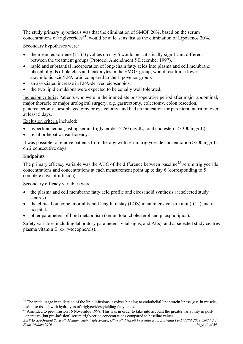The study primary hypothesis was that the elimination of SMOF 20%, based on the serum concentrations of triglycerides<sup>[24](#page-21-0)</sup>, would be at least as fast as the elimination of Lipovenos 20%.

Secondary hypotheses were:

- the mean leukotriene (LT)  $B_5$  values on day 6 would be statistically significant different between the treatment groups (Protocol Amendment 5 December 1997).
- rapid and substantial incorporation of long-chain fatty acids into plasma and cell membrane phospholipids of platelets and leukocytes in the SMOF group, would result in a lower arachidonic acid/EPA ratio compared to the Lipovenos group.
- an associated increase in EPA-derived eicosanoids.
- the two lipid emulsions were expected to be equally well tolerated.

Inclusion criteria**:** Patients who were in the immediate post-operative period after major abdominal, major thoracic or major urological surgery, e.g. gastrectomy, colectomy, colon resection, pancreatectomy, oesophagectomy or cystectomy, and had an indication for parenteral nutrition over at least 5 days.

Exclusion criteria included:

- hyperlipidaemia (fasting serum triglycerides >250 mg/dL, total cholesterol > 300 mg/dL).
- renal or hepatic insufficiency.

It was possible to remove patients from therapy with serum triglyceride concentration >500 mg/dL on 2 consecutive days.

#### **Endpoints**

 $\overline{a}$ 

The primary efficacy variable was the AUC of the difference between baseline<sup>[25](#page-21-1)</sup> serum triglyceride concentrations and concentrations at each measurement point up to day 6 (corresponding to 5 complete days of infusion).

Secondary efficacy variables were:

- the plasma and cell membrane fatty acid profile and eicosanoid synthesis (at selected study centres)
- the clinical outcome, mortality and length of stay (LOS) in an intensive care unit (ICU) and in hospital.
- other parameters of lipid metabolism (serum total cholesterol and phospholipids).

Safety variables including laboratory parameters, vital signs, and AEs), and at selected study centres plasma vitamin E ( $α$ -,  $γ$ -tocopherols).

<span id="page-21-0"></span> $^{24}$  The initial stage in utilisation of the lipid infusions involves binding to endothelial lipoprotein lipase (e.g. in muscle, adipose tissue) with hydrolysis of triglycerides yielding fatty acids.

<span id="page-21-1"></span> $25$  Amended to pre-infusion 16 November 1998. This was in order to take into account the greater variability in postoperative (but pre-infusion) serum triglyceride concentrations compared to baseline values.

*AusPAR SMOFlipid Soya oil, Medium chain triglycerides, Olive oil, Fish oil Fresenius Kabi Australia Pty Ltd PM-2008-03674-3-1 Final 10 June 2010 Page 22 of 59 Page 22 of 59 Page 22 of 59 Page 22 of 59*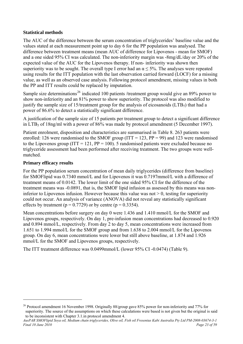#### **Statistical methods**

The AUC of the difference between the serum concentration of triglycerides' baseline value and the values stated at each measurement point up to day 6 for the PP population was analysed. The difference between treatment means (mean AUC of difference for Lipovenos - mean for SMOF) and a one sided 95% CI was calculated. The non-inferiority margin was -8mg/dL/day or 20% of the expected value of the AUC for the Lipovenos therapy. If non- inferiority was shown then superiority was to be sought. The overall type I error had an  $\alpha \leq 5\%$ . The analyses were repeated using results for the ITT population with the last observation carried forward (LOCF) for a missing value, as well as an observed case analysis. Following protocol amendment, missing values in both the PP and ITT results could be replaced by imputation.

Sample size determinations<sup>[26](#page-22-0)</sup> indicated 100 patients /treatment group would give an 89% power to show non-inferiority and an 81% power to show superiority. The protocol was also modified to justify the sample size of 15/treatment group for the analysis of eicosanoids  $(LTB<sub>5</sub>)$  that had a power of 86.6% to detect a statistically significant difference.

A justification of the sample size of 15 patients per treatment group to detect a significant difference in  $LTB<sub>5</sub>$  of 18ng/ml with a power of 86% was made by protocol amendment (5 December 1997).

Patient enrolment, disposition and characteristics are summarised in Table 8. 263 patients were enrolled: 126 were randomised to the SMOF group ( $ITT = 123$ ,  $PP = 99$ ) and 123 were randomised to the Lipovenos group (ITT = 121,  $PP = 100$ ). 5 randomised patients were excluded because no triglyceride assessment had been performed after receiving treatment. The two groups were wellmatched.

#### **Primary efficacy results**

 $\overline{a}$ 

For the PP population serum concentration of mean daily triglycerides (difference from baseline) for SMOFlipid was 0.7340 mmol/L and for Lipovenos it was 0.7197mmol/L with a difference of treatment means of 0.0142. The lower limit of the one sided 95% CI for the difference of the treatment means was -0.0891, that is, the SMOF lipid infusion as assessed by this means was noninferior to Lipovenos infusion. However because this value was not  $> 0$ , testing for superiority could not occur. An analysis of variance (ANOVA) did not reveal any statistically significant effects by treatment ( $p = 0.7729$ ) or by centre ( $p = 0.3354$ ).

Mean concentrations before surgery on day 0 were 1.436 and 1.410 mmol/L for the SMOF and Lipovenos groups, respectively. On day 1, pre-infusion mean concentrations had decreased to 0.920 and 0.894 mmol/L, respectively. From day 2 to day 5, mean concentrations were increased from 1.651 to 1.994 mmol/L for the SMOF group and from 1.638 to 2.004 mmol/L for the Lipovenos group. On day 6, mean concentrations were lower but still above baseline, at 1.874 and 1.926 mmol/L for the SMOF and Lipovenos groups, respectively.

The ITT treatment difference was 0.0499mmol/L (lower 95% CI -0.0474) (Table 9).

<span id="page-22-0"></span><sup>&</sup>lt;sup>26</sup> Protocol amendment 16 November 1998. Originally 88/group gave 85% power for non-inferiority and 77% for superiority. The source of the assumptions on which these calculations were based is not given but the original is said to be inconsistent with Chapter 3.1.in protocol amendment 4.

*AusPAR SMOFlipid Soya oil, Medium chain triglycerides, Olive oil, Fish oil Fresenius Kabi Australia Pty Ltd PM-2008-03674-3-1 Final 10 June 2010 Page 23 of 59 Page 23 of 59 Page 23 of 59 Page 23 of 59 Page 23 of 59 Page 23 of 59*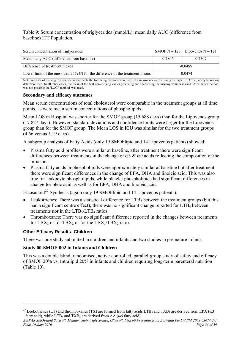Table 9: Serum concentration of triglycerides (mmol/L): mean daily AUC (difference from baseline) ITT Population.

| Serum concentration of triglycerides                                          |           | SMOF N = 123   Lipovenos N = 121 |  |
|-------------------------------------------------------------------------------|-----------|----------------------------------|--|
| Mean daily AUC (difference from baseline)                                     | 0.7806    | 0.7307                           |  |
| Difference of treatment means                                                 | $-0.0499$ |                                  |  |
| Lower limit of the one sided 95% CI for the difference of the treatment means | $-0.0474$ |                                  |  |

Note: in cases of missing triglyceride assessments the following methods were used: if assessments were missing on days 0, 1,3 or 6, safety laboratory data were used. In all other cases, the mean of the first non-missing values preceding and succeeding the missing value was used. If this latter method was not possible the 'LOCF method' was used.

#### **Secondary and efficacy outcomes**

Mean serum concentrations of total cholesterol were comparable in the treatment groups at all time points, as were mean serum concentrations of phospholipids.

Mean LOS in Hospital was shorter for the SMOF group (15.688 days) than for the Lipovenos group (17.827 days). However, standard deviations and confidence limits were larger for the Lipovenos group than for the SMOF group. The Mean LOS in ICU was similar for the two treatment groups (4.66 versus 5.19 days).

A subgroup analysis of Fatty Acids (only 19 SMOFlipid and 14 Lipovenos patients) showed:

- Plasma fatty acid profiles were similar at baseline, after treatment there were significant differences between treatments in the change of  $\omega$ 3 &  $\omega$ 9 acids reflecting the composition of the infusions.
- Plasma fatty acids in phospholipids were approximately similar at baseline but after treatment there were significant differences in the change of EPA, DHA and linoleic acid. This was also true for leukocyte phospholipids, while platelet phospholipids had significant differences in change for oleic acid as well as for EPA, DHA and linoleic acid.

Eicosanoid<sup>[27](#page-23-0)</sup> Synthesis (again only 19 SMOFlipid and 14 Lipovenos patients):

- Leukotrienes: There was a statistical difference for  $LTB<sub>5</sub>$  between the treatment groups (but this had a significant centre effect); there was no significant change reported for  $LTB<sub>4</sub>$  between treatments nor in the  $LTB<sub>5</sub>/LTB<sub>4</sub>$  ratios.
- Thromboxanes: There was no significant difference reported in the changes between treatments for TBX<sub>3</sub> or for TBX<sub>2</sub> or for the TBX<sub>3</sub>/TBX<sub>2</sub> ratio.

#### **Other Efficacy Results- Children**

 $\overline{a}$ 

There was one study submitted in children and infants and two studies in premature infants.

#### **Study 00-SMOF-002 in Infants and Children**

This was a double-blind, randomised, active-controlled, parallel-group study of safety and efficacy of SMOF 20% vs. Intralipid 20% in infants and children requiring long-term parenteral nutrition (Table 10).

<span id="page-23-0"></span><sup>&</sup>lt;sup>27</sup> Leukotrienes (LT) and thromboxanes (TX) are formed from fatty acids LTB<sub>5</sub> and TXB<sub>3</sub> are derived from EPA ( $\omega$ 3 fatty acid), while  $LTB_4$  and  $TXB_2$  are derived from AA ( $\omega$ 6 fatty acid).

*AusPAR SMOFlipid Soya oil, Medium chain triglycerides, Olive oil, Fish oil Fresenius Kabi Australia Pty Ltd PM-2008-03674-3-1 Final 10 June 2010 Page 24 of 59*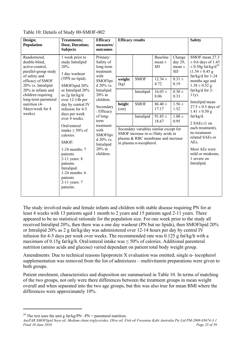| Design;<br><b>Population</b>                                                                                                                                                                                                                           | <b>Treatments;</b><br>Dose, Duration;<br><b>Subjects</b>                                                                                                                                                                                                                                                                                                                                                                                          | <b>Efficacy</b><br>measures/<br>outcomes                                                                                                                                                                                                                | <b>Efficacy results</b>          |                                                                                                                                                                                                                          |                                                                                                                                   |                                                                                                                                      | <b>Safety</b>                                                                                                                                                                                                                                                                                                                                                                                                                           |
|--------------------------------------------------------------------------------------------------------------------------------------------------------------------------------------------------------------------------------------------------------|---------------------------------------------------------------------------------------------------------------------------------------------------------------------------------------------------------------------------------------------------------------------------------------------------------------------------------------------------------------------------------------------------------------------------------------------------|---------------------------------------------------------------------------------------------------------------------------------------------------------------------------------------------------------------------------------------------------------|----------------------------------|--------------------------------------------------------------------------------------------------------------------------------------------------------------------------------------------------------------------------|-----------------------------------------------------------------------------------------------------------------------------------|--------------------------------------------------------------------------------------------------------------------------------------|-----------------------------------------------------------------------------------------------------------------------------------------------------------------------------------------------------------------------------------------------------------------------------------------------------------------------------------------------------------------------------------------------------------------------------------------|
| Randomized,<br>double-blind,<br>active-control,<br>parallel-group study<br>of safety and<br>efficacy of SMOF<br>20% vs. Intralipid<br>20% in infants and<br>children requiring<br>long-term parenteral<br>nutrition (4-<br>5days/week for 4<br>weeks). | 1 week prior to<br>study Intralipid<br>20%.<br>1 day washout<br>(TPN no lipid).<br>SMOFlipid 20%<br>or Intralipid 20%<br>as 2g fat/kg/d<br>over 12-14h per<br>day by central IV<br>infusion for 4-5<br>days per week<br>over 4 weeks.<br>Oral/enteral<br>intake $\leq 50\%$ of<br>calories.<br>SMOF:<br>1-24 months: 7<br>patients<br>$2-11$ years: 8<br>patients.<br>Intralipid:<br>$1-24$ months: $6$<br>patients<br>2-11 years: 7<br>patients. | Primary:<br>Safety of<br>long-term<br>treatment<br>with<br>SMOFlipi<br>d 20% vs.<br>Intralipid<br>20% in<br>children.<br>Secondary<br>: Efficacy<br>of long-<br>term<br>treatment<br>with<br>SMOFlipi<br>d 20% vs.<br>Intralipid<br>20% in<br>children. | weight<br>(kg)<br>height<br>(cm) | <b>SMOF</b><br>Intralipid<br><b>SMOF</b><br>Intralipid<br>Secondary variables similar except for<br>SMOF increase in $\omega$ -3 fatty acids in<br>plasma & RBC membrane and increase<br>in plasma $\alpha$ -tocopherol. | Baseline<br>mean $\pm$<br><b>SD</b><br>$12.34 \pm$<br>4.72<br>$16.05 \pm$<br>8.06<br>$86.40 \pm$<br>17.17<br>$91.85 \pm$<br>18.67 | Change<br>day 29,<br>mean $\pm$<br><b>SD</b><br>$0.31 \pm$<br>0.19<br>$0.30 \pm$<br>0.33<br>$1.56 \pm$<br>1.52<br>$1.08 \pm$<br>0.95 | SMOF mean 27.3<br>$\pm$ 0.6 days of 1.43<br>$\pm$ 0.50g fat/kg/d <sup>28</sup><br>$(1.54 \pm 0.45$ g<br>fat/kg/d for $1-24$<br>months age and<br>$1.38 \pm 0.52$ g<br>fat/kg/d for 2-<br>$11y$ ).<br>Intralipid mean<br>$27.5 \pm 0.5$ days of<br>$1.41 \pm 0.50$ g<br>fat/kg/d.<br>2 SAEs (1 on<br>each treatment),<br>no treatment-<br>related SAEs or<br>$AES$ .<br>Most AEs were<br>mild or moderate,<br>1 severe on<br>Intralipid. |

Table 10: Details of Study 00-SMOF-002

The study involved male and female infants and children with stable disease requiring PN for at least 4 weeks with 13 patients aged 1 month to 2 years and 15 patients aged 2-11 years. There appeared to be no statistical rationale for the population size. For one week prior to the study all received Intralipid 20%, then there was a one day washout (PN but no lipids), then SMOFlipid 20% or Intralipid 20% as 2 g fat/kg/day was administered over 12-14 hours per day by central IV infusion for 4-5 days per week over weeks. The recommended rate was 0.125 g fat/kg/h with a maximum of 0.15g fat/kg/h. Oral/enteral intake was  $\leq 50\%$  of calories. Additional parenteral nutrition (amino acids and glucose) varied dependant on patient total body weight group.

Amendments: Due to technical reasons lipoprotein X evaluation was omitted; single  $\alpha$ - tocopherol supplementation was removed from the list of admixtures – multivitamin preparations were given to both groups.

Patient enrolment, characteristics and disposition are summarised in Table 10. In terms of matching of the two groups, not only were there differences between the treatment groups in mean weight overall and when separated into the two age groups, but this was also true for mean BMI where the differences were approximately 10%.

 $\overline{a}$ 

<span id="page-24-0"></span><sup>&</sup>lt;sup>28</sup> The text uses the unit g fat/kg/PN –PN = parenteral nutrition.

*AusPAR SMOFlipid Soya oil, Medium chain triglycerides, Olive oil, Fish oil Fresenius Kabi Australia Pty Ltd PM-2008-03674-3-1 Final 10 June 2010 Page 25 of 59 Page 25 of 59 Page 25 of 59 Page 25 of 59*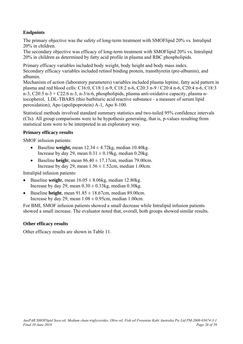## **Endpoints**

The primary objective was the safety of long-term treatment with SMOFlipid 20% vs. Intralipid 20% in children.

The secondary objective was efficacy of long-term treatment with SMOFlipid 20% vs. Intralipid 20% in children as determined by fatty acid profile in plasma and RBC phospholipids.

Primary efficacy variables included body weight, body height and body mass index. Secondary efficacy variables included retinol binding protein, transthyretin (pre-albumin), and albumin.

Mechanism of action (laboratory parameters) variables included plasma leptine, fatty acid pattern in plasma and red blood cells: C16:0, C18:1 n-9, C18:2 n-6, C20:3 n-9 / C20:4 n-6, C20:4 n-6, C18:3 n-3, C20:5 n-3 + C22:6 n-3, n-3/n-6, phospholipids, plasma anti-oxidative capacity, plasma αtocopherol, LDL-TBARS (thio barbituric acid reactive substance - a measure of serum lipid peroxidation); Apo (apolipoprotein) A-1, Apo 8-100.

Statistical methods involved standard summary statistics and two-tailed 95% confidence intervals (CIs). All group comparisons were to be hypothesis generating, that is, p-values resulting from statistical tests were to be interpreted in an exploratory way.

#### **Primary efficacy results**

SMOF infusion patients:

- Baseline **weight,** mean  $12.34 \pm 4.72$ kg, median  $10.40$ kg. Increase by day 29, mean  $0.31 \pm 0.19$ kg, median  $0.20$ kg.
- Baseline **height**, mean  $86.40 \pm 17.17$ cm, median 79.00cm. Increase by day 29, mean  $1.56 \pm 1.52$ cm, median 1.00cm.

Intralipid infusion patients:

- Baseline **weigh**t, mean  $16.05 \pm 8.06$ kg, median 12.80kg. Increase by day 29, mean  $0.30 \pm 0.33$ kg, median  $0.30$ kg.
- Baseline **height**, mean  $91.85 \pm 18.67$ cm, median 89.00cm. Increase by day 29, mean  $1.08 \pm 0.95$ cm, median 1.00cm.

For BMI, SMOF infusion patients showed a small decrease while Intralipid infusion patients showed a small increase. The evaluator noted that, overall, both groups showed similar results.

#### **Other efficacy results**

Other efficacy results are shown in Table 11.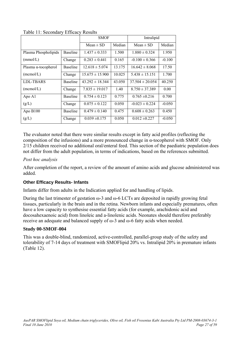|                             |                 | <b>SMOF</b>         |        | Intralipid          |          |
|-----------------------------|-----------------|---------------------|--------|---------------------|----------|
|                             |                 | Mean $\pm$ SD       | Median | Mean $\pm$ SD       | Median   |
| Plasma Phospholipids        | <b>Baseline</b> | $1.437 \pm 0.333$   | 1.500  | $1.880 \pm 0.324$   | 1.950    |
| (mmol/L)                    | Change          | $0.283 \pm 0.441$   | 0.165  | $-0.100 \pm 0.366$  | $-0.100$ |
| Plasma $\alpha$ -tocopherol | <b>Baseline</b> | $12.618 \pm 5.074$  | 13.175 | $16.642 \pm 8.068$  | 17.50    |
| (mcmol/L)                   | Change          | $15.675 \pm 15.900$ | 10.025 | $5.438 \pm 15.151$  | 1.700    |
| LDL-TBARS                   | <b>Baseline</b> | $43.292 \pm 18.344$ | 43.050 | $37.504 \pm 20.054$ | 40.250   |
| (mcmol/L)                   | Change          | $7.835 \pm 19.017$  | 1.40   | $8.750 \pm 37.389$  | 0.00     |
| Apo A1                      | <b>Baseline</b> | $0.754 \pm 0.123$   | 0.775  | $0.765 \pm 0.216$   | 0.700    |
| (g/L)                       | Change          | $0.075 \pm 0.122$   | 0.050  | $-0.023 \pm 0.224$  | $-0.050$ |
| Apo B100                    | <b>Baseline</b> | $0.479 \pm 0.140$   | 0.475  | $0.608 \pm 0.263$   | 0.450    |
| (g/L)                       | Change          | $0.039 \pm 0.175$   | 0.050  | $0.012 \pm 0.227$   | $-0.050$ |

Table 11: Secondary Efficacy Results

The evaluator noted that there were similar results except in fatty acid profiles (reflecting the composition of the infusions) and a more pronounced change in α-tocopherol with SMOF. Only 2/15 children received no additional oral/enteral feed. This section of the paediatric population does not differ from the adult population, in terms of indications, based on the references submitted.

#### *Post hoc analysis*

After completion of the report, a review of the amount of amino acids and glucose administered was added.

## **Other Efficacy Results- Infants**

Infants differ from adults in the Indication applied for and handling of lipids.

During the last trimester of gestation  $\omega$ -3 and  $\omega$ -6 LCTs are deposited in rapidly growing fetal tissues, particularly in the brain and in the retina. Newborn infants and especially prematures, often have a low capacity to synthesise essential fatty acids (for example, arachidonic acid and docosahexaenoic acid) from linoleic and a-linolenic acids. Neonates should therefore preferably receive an adequate and balanced supply of ω-3 and ω-6 fatty acids when needed.

## **Study 00-SMOF-004**

This was a double-blind, randomized, active-controlled, parallel-group study of the safety and tolerability of 7-14 days of treatment with SMOFlipid 20% vs. Intralipid 20% in premature infants (Table 12).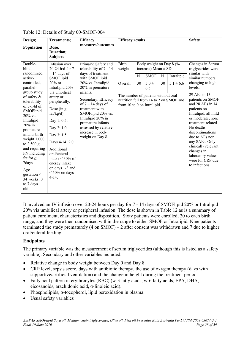|                                                                                                                                                                                                                                                                                                                                                                                       | <b>Treatments;</b>                                                                                                                                                                                                                                                                                                                                                          |                                                                                                                                                                                                                                                                                                                                           | <b>Efficacy results</b>                                                                                 |         |                                                                                       |         |                                                                        | <b>Safety</b>                                                                                                                                                                                                                                                                                                                                                                                                            |
|---------------------------------------------------------------------------------------------------------------------------------------------------------------------------------------------------------------------------------------------------------------------------------------------------------------------------------------------------------------------------------------|-----------------------------------------------------------------------------------------------------------------------------------------------------------------------------------------------------------------------------------------------------------------------------------------------------------------------------------------------------------------------------|-------------------------------------------------------------------------------------------------------------------------------------------------------------------------------------------------------------------------------------------------------------------------------------------------------------------------------------------|---------------------------------------------------------------------------------------------------------|---------|---------------------------------------------------------------------------------------|---------|------------------------------------------------------------------------|--------------------------------------------------------------------------------------------------------------------------------------------------------------------------------------------------------------------------------------------------------------------------------------------------------------------------------------------------------------------------------------------------------------------------|
| Design;<br>Population                                                                                                                                                                                                                                                                                                                                                                 | Dose,<br>Duration;<br><b>Subjects</b>                                                                                                                                                                                                                                                                                                                                       | <b>Efficacy</b><br>measures/outcomes                                                                                                                                                                                                                                                                                                      |                                                                                                         |         |                                                                                       |         |                                                                        |                                                                                                                                                                                                                                                                                                                                                                                                                          |
| Double-<br>blind,<br>randomized,<br>active-<br>controlled.<br>parallel-<br>group study<br>of safety &<br>tolerability<br>of 7-14d of<br>SMOFlipid<br>$20\%$ vs.<br>Intralipid<br>$20\%$ in<br>premature<br>infants birth<br>weight $1,000$<br>to $2,500$ g<br>and requiring<br>PN including<br>fat for $\geq$<br>7days<br>Age<br>gestation $\leq$<br>34 weeks; 0<br>to 7 days<br>old. | Infusion over<br>20-24 h/d for 7<br>$-14$ days of<br>SMOFlipid<br>$20\%$ or<br>Intralipid 20%<br>via umbilical<br>artery or<br>peripherally.<br>Dose (in $g$<br>fat/kg/d)<br>Day 1: $0.5$ ;<br>Day 2: 1.0,<br>Day 3: 1.5,<br>Days 4-14: 2.0<br>Additional<br>oral/enteral<br>intake $\leq 30\%$ of<br>energy intake<br>on days 1-3 and<br>$\leq 50\%$ on days<br>$4 - 14$ . | Primary: Safety and<br>tolerability of 7 - 14<br>days of treatment<br>with SMOFlipid<br>20% vs. Intralipid<br>20% in premature<br>infants.<br>Secondary: Efficacy<br>of $7 - 14$ days of<br>treatment with<br>SMOFlipid 20% vs.<br>Intralipid 20% in<br>premature infants<br>assessed by relative<br>increase in body<br>weight on Day 8. | <b>Birth</b><br>weight<br>Overall<br>The number of patients without oral<br>from 10 to 0 on Intralipid. | N<br>30 | Body weight on Day 8 (%<br>increase) Mean $\pm$ SD<br><b>SMOF</b><br>$5.0 \pm$<br>6.5 | N<br>30 | Intralipid<br>$5.1 \pm 6.6$<br>nutrition fell from 14 to 2 on SMOF and | Changes in Serum<br>triglycerides were<br>similar with<br>similar numbers<br>changing to high<br>levels.<br>29 AEs in 13<br>patients on SMOF<br>and 28 AEs in 14<br>patients on<br>Intralipid, all mild<br>or moderate, none<br>treatment-related.<br>No deaths,<br>discontinuations<br>due to AEs nor<br>any SAEs. Only<br>clinically relevant<br>changes in<br>laboratory values<br>were for CRP due<br>to infections. |

Table 12: Details of Study 00-SMOF-004

It involved an IV infusion over 20-24 hours per day for 7 - 14 days of SMOFlipid 20% or Intralipid 20% via umbilical artery or peripheral infusion. The dose is shown in Table 12 as is a summary of patient enrolment, characteristics and disposition. Sixty patients were enrolled, 20 to each birth range, and they were then randomised within the range to either SMOF or Intralipid. Nine patients terminated the study prematurely (4 on SMOF) – 2 after consent was withdrawn and 7 due to higher oral/enteral feeding.

## **Endpoints**

The primary variable was the measurement of serum triglycerides (although this is listed as a safety variable). Secondary and other variables included:

- Relative change in body weight between Day 0 and Day 8.
- CRP level, sepsis score, days with antibiotic therapy, the use of oxygen therapy (days with supportive/artificial ventilation) and the change in height during the treatment period.
- Fatty acid pattern in erythrocytes (RBC) (w-3 fatty acids, w-6 fatty acids, EPA, DHA, eicosanoids, arachidonic acid, α-linoleic acid).
- Phospholipids,  $\alpha$ -tocopherol, lipid peroxidation in plasma.
- Usual safety variables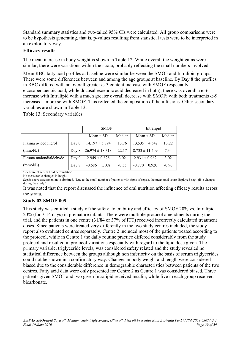Standard summary statistics and two-tailed 95% CIs were calculated. All group comparisons were to be hypothesis generating, that is, p-values resulting from statistical tests were to be interpreted in an exploratory way.

#### **Efficacy results**

The mean increase in body weight is shown in Table 12. While overall the weight gains were similar, there were variations within the strata, probably reflecting the small numbers involved.

Mean RBC fatty acid profiles at baseline were similar between the SMOF and Intralipid groups. There were some differences between and among the age groups at baseline. By Day 8 the profiles in RBC differed with an overall greater ω-3 content increase with SMOF (especially eicosapentaenoic acid, while docosahexaenoic acid decreased in both); there was overall a ω-6 increase with Intralipid with a much greater overall decrease with SMOF; with both treatments ω-9 increased - more so with SMOF. This reflected the composition of the infusions. Other secondary variables are shown in Table 13.

Table 13: Secondary variables

|                                       |         | <b>SMOF</b>         |         | Intralipid         |         |  |
|---------------------------------------|---------|---------------------|---------|--------------------|---------|--|
|                                       |         | $Mean \pm SD$       | Median  | $Mean \pm SD$      | Median  |  |
| Plasma $\alpha$ -tocopherol           | Day 0   | $14.197 \pm 5.894$  | 13.76   | $13.535 \pm 4.542$ | 13.22   |  |
| (mmol/L)                              | Day 8   | $26.974 \pm 18.318$ | 22.17   | $8.733 \pm 11.409$ | 7.34    |  |
| Plasma malondialdehyde <sup>a</sup> , | Day $0$ | $2.949 \pm 0.828$   | 3.02    | $2.931 \pm 0.962$  | 3.02    |  |
| (mmol/L)                              | Day 8   | $-0.686 \pm 1.108$  | $-0.55$ | $-0.770 \pm 0.920$ | $-0.90$ |  |

<sup>a</sup> measure of serum lipid peroxidation. No measurable changes in height

Sepsis score assessment not submitted. 'Due to the small number of patients with signs of sepsis, the mean total score displayed negligible changes during the study.

It was noted that the report discussed the influence of oral nutrition affecting efficacy results across the strata.

## **Study 03-SMOF-005**

This study was entitled a study of the safety, tolerability and efficacy of SMOF 20% vs. Intralipid 20% (for 7-14 days) in premature infants. There were multiple protocol amendments during the trial, and the patients in one centre (31/84 or 37% of ITT) received incorrectly calculated treatment doses. Since patients were treated very differently in the two study centres included, the study report also evaluated centres separately. Centre 2 included most of the patients treated according to the protocol, while in Centre 1 the daily routine practice differed considerably from the study protocol and resulted in protocol variations especially with regard to the lipid dose given. The primary variable, triglyceride levels, was considered safety related and the study revealed no statistical difference between the groups although non inferiority on the basis of serum triglycerides could not be shown in a confirmatory way. Changes in body weight and length were considered biased due to the considerable difference in demographic characteristics between patients of the two centres. Fatty acid data were only presented for Centre 2 as Centre 1 was considered biased. Three patients given SMOF and two given Intralipid received insulin, while five in each group received bicarbonate.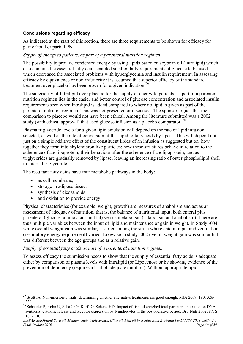#### **Conclusions regarding efficacy**

As indicated at the start of this section, there are three requirements to be shown for efficacy for part of total or partial PN.

#### *Supply of energy to patients, as part of a parenteral nutrition regimen*

The possibility to provide condensed energy by using lipids based on soybean oil (Intralipid) which also contains the essential fatty acids enabled smaller daily requirements of glucose to be used which decreased the associated problems with hyperglycemia and insulin requirement. In assessing efficacy by equivalence or non-inferiority it is assumed that superior efficacy of the standard treatment over placebo has been proven for a given indication.<sup>[29](#page-29-0)</sup>

The superiority of Intralipid over placebo for the supply of energy to patients, as part of a parenteral nutrition regimen lies in the easier and better control of glucose concentration and associated insulin requirements seen when Intralipid is added compared to where no lipid is given as part of the parenteral nutrition regimen. This was not presented or discussed. The sponsor argues that the comparison to placebo would not have been ethical. Among the literature submitted was a 2002 study (with ethical approval) that used glucose infusion as a placebo comparator.  $30$ 

Plasma triglyceride levels for a given lipid emulsion will depend on the rate of lipid infusion selected, as well as the rate of conversion of that lipid to fatty acids by lipase. This will depend not just on a simple additive effect of the constituent lipids of an infusion as suggested but on: how together they form into chylomicron like particles; how these structures behave in relation to the adherence of apolipoprotein; their behaviour after the adherence of apolipoprotein; and as triglycerides are gradually removed by lipase, leaving an increasing ratio of outer phospholipid shell to internal triglyceride.

The resultant fatty acids have four metabolic pathways in the body:

as cell membrane,

 $\overline{a}$ 

- storage in adipose tissue.
- synthesis of eicosanoids
- and oxidation to provide energy

Physical characteristics (for example, weight, growth) are measures of anabolism and act as an assessment of adequacy of nutrition, that is, the balance of nutritional input, both enteral plus parenteral (glucose, amino acids and fat) versus metabolism (catabolism and anabolism). There are thus multiple variables between the input of lipid and maintenance or gain in weight. In Study -004 while overall weight gain was similar, it varied among the strata where enteral input and ventilation (respiratory energy requirement) varied. Likewise in study -002 overall weight gain was similar but was different between the age groups and as a relative gain.

#### *Supply of essential fatty acids as part of a parenteral nutrition regimen*

To assess efficacy the submission needs to show that the supply of essential fatty acids is adequate either by comparison of plasma levels with Intralipid (or Lipovenos) or by showing evidence of the prevention of deficiency (requires a trial of adequate duration). Without appropriate lipid

<span id="page-29-0"></span> $29$  Scott IA. Non-inferiority trials: determining whether alternative treatments are good enough. MJA 2009; 190: 326-330.

<span id="page-29-1"></span><sup>&</sup>lt;sup>30</sup> Schauder P. Rohn U. Schafer G, Korff G, Schenk HD. Impact of fish oil enriched total parenteral nutrition on DNA synthesis, cytokine release and receptor expression by lymphocytes in the postoperative period. Br J Nutr 2002; 87: S 103-110.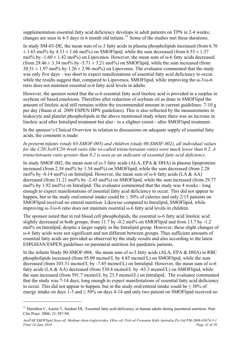supplementation essential fatty acid deficiency develops in adult patients on TPN in 2-4 weeks; changes are seen in 4-5 days in 6 month old infants.<sup>[31](#page-30-0)</sup> Some of the studies met these durations.

In study SM-03-DE, the mean sum of  $\omega$ -3 fatty acids in plasma phospholipids increased (from 6.76)  $\pm$  1.63 mol% by 4.33  $\pm$  1.66 mol%) on SMOFlipid, while the sum decreased (from 6.53  $\pm$  1.37 mol% by  $-1.60 \pm 1.42$  mol%) on Lipovenos. However, the mean sum of  $\omega$ -6 fatty acids decreased (from 29.46  $\pm$  3.34 mol% by -5.71  $\pm$  3.21 mol%) on SMOFlipid, while the sum increased (from  $30.51 \pm 1.97$  mol% by  $1.26 \pm 2.96$  mol%) on Lipovenos. The evaluator commented that the study was only five days – too short to expect manifestations of essential fatty acid deficiency to occur, while the results suggest that, compared to Lipovenos, SMOFlipid, while improving the  $\omega$ -3/ $\omega$ -6 ratio does not maintain essential ω-6 fatty acid levels in adults.

However, the sponsor noted that the ω-6 essential fatty acid linoleic acid is provided in a surplus in soybean oil based emulsions. Therefore after reduction of soybean oil as done in SMOFlipid the amount of linoleic acid still remains within the recommended amount in current guidelines: 7-10 g per day (Staun et al. 2009 ESPEN HPN guidelines). This is also reflected by the measurements in leukocyte and platelet phospholipids in the above mentioned study where there was an increase in linoleic acid after Intralipid treatment but also - to a slighter extent - after SMOFlipid treatment.

In the sponsor's Clinical Overview in relation to discussions on adequate supply of essential fatty acids, the comment is made:

*In preterm infants (study 03-SMOF-005) and children (study 00-SMOF-002), all individual values for the C20:3ω9/C20:4rω6 ratio (the so-called triene/tetraene ratio) were much lower than 0.2. A triene/tetraene ratio greater than 0.2 is seen as an indicator of essential fatty acid deficiency.* 

In study SMOF-002, the mean sum of  $\omega$ -3 fatty acids (ALA, EPA & DHA) in plasma lipoproteins increased (from 2.38 mol% by 1.54 mol%) on SMOFlipid, while the sum decreased (from 2.28 mol% by -0.14 mol%) on Intralipid. However, the mean sum of  $\omega$ -6 fatty acids (LA & AA) decreased (from 31.21 mol% by -2.45 mol%) on SMOFlipid, while the sum increased (from 29.77 mol% by 1.92 mol%) on Intralipid. The evaluator commented that the study was 4 weeks - long enough to expect manifestations of essential fatty acid deficiency to occur. This did not appear to happen, but in the study oral/enteral intake could be  $\leq 50\%$  of calories and only 2/15 patients on SMOFlipid received no enteral nutrition. Likewise compared to Intralipid, SMOFlipid, while improving ω-3/ω-6 ratio does not maintain essential ω-6 fatty acid levels in children.

The sponsor noted that in red blood cell phospholipids, the essential  $\omega$ -6 fatty acid linoleic acid slightly decreased in both groups, from 11.7 by  $-0.2$  mol% on SMOFlipid and from 13.7 by  $-1.2$ mol% on Intralipid, despite a larger supply in the Intralipid group. However, these slight changes of ω-6 fatty acids were not significant and not different between groups. Thus sufficient amounts of essential fatty acids are provided as observed by the study results and also according to the latest ESPGHAN/ESPEN guidelines on parenteral nutrition for paediatric patients.

In the infants Study 00-SMOF-004, the mean sum of ω-3 fatty acids (ALA, EPA & DHA) in RBC phospholipids increased (from 95.09 mcmol/L by 4.85 mcmol/L) on SMOFlipid, while the sum decreased (from 103.31 mcmol/L by -7.45 mcmol/L) on Intralipid. However, the mean sum of  $\omega$ -6 fatty acids (LA & AA) decreased (from 530.8 mcmol/L by -43.3 mcmol/L) on SMOFlipid, while the sum increased (from 591.7 mcmol/L by 23.5 mcmol/L) on Intralipid. The evaluator commented that the study was 7-14 days, long enough to expect manifestations of essential fatty acid deficiency to occur. This did not appear to happen, but in the study oral/enteral intake could be  $\leq 30\%$  of energy intake on days 1-3 and  $\leq 50\%$  on days 4-14 and only two patient on SMOFlipid received no

 $\overline{a}$ 

<span id="page-30-0"></span> $31$  Hamilton C, Austin T, Seidner DL. Essential fatty acid deficiency in human adults during parenteral nutrition. Nutr Clin Pract. 2006; 21:387-94.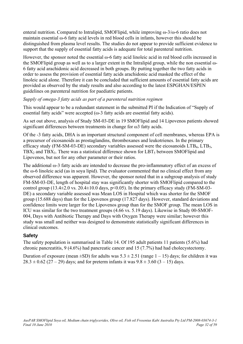<span id="page-31-0"></span>enteral nutrition. Compared to Intralipid, SMOFlipid, while improving ω-3/ω-6 ratio does not maintain essential ω-6 fatty acid levels in red blood cells in infants, however this should be distinguished from plasma level results. The studies do not appear to provide sufficient evidence to support that the supply of essential fatty acids is adequate for total parenteral nutrition.

However, the sponsor noted the essential ω-6 fatty acid linoleic acid in red blood cells increased in the SMOFlipid group as well as to a larger extent in the Intralipid group, while the non essential ω-6 fatty acid arachidonic acid decreased in both groups. By putting together the two fatty acids in order to assess the provision of essential fatty acids arachidonic acid masked the effect of the linoleic acid alone. Therefore it can be concluded that sufficient amounts of essential fatty acids are provided as observed by the study results and also according to the latest ESPGHAN/ESPEN guidelines on parenteral nutrition for paediatric patients.

#### *Supply of omega-3 fatty acids as part of a parenteral nutrition regimen*

This would appear to be a redundant statement in the submitted PI if the Indication of "Supply of essential fatty acids" were accepted  $(ω-3$  fatty acids are essential fatty acids).

As set out above, analysis of Study SM-03-DE in 19 SMOFlipid and 14 Lipovenos patients showed significant differences between treatments in change for ω3 fatty acids.

Of the -3 fatty acids, DHA is an important structural component of cell membranes, whereas EPA is a precursor of eicosanoids as prostaglandins, thromboxanes and leukotrienes. In the primary efficacy study (FM-SM-03-DE) secondary variables assessed were the eicosanoids  $LTB<sub>4</sub>$ ,  $LTB<sub>5</sub>$ , TBX<sub>2</sub> and TBX<sub>3</sub>. There was a statistical difference shown for LBT<sub>5</sub> between SMOFlipid and Lipovenos, but not for any other parameter or their ratios.

The additional ω-3 fatty acids are intended to decrease the pro-inflammatory effect of an excess of the ω-6 linoleic acid (as in soya lipid). The evaluator commented that no clinical effect from any observed difference was apparent. However, the sponsor noted that in a subgroup analysis of study FM-SM-03-DE, length of hospital stay was significantly shorter with SMOFlipid compared to the control group (13.4 $\pm$ 2.0 vs. 20.4 $\pm$ 10.0 days, p<0.05). In the primary efficacy study (FM-SM-03-DE) a secondary variable assessed was Mean LOS in Hospital which was shorter for the SMOF group (15.688 days) than for the Lipovenos group (17.827 days). However, standard deviations and confidence limits were larger for the Lipovenos group than for the SMOF group. The mean LOS in ICU was similar for the two treatment groups (4.66 vs. 5.19 days). Likewise in Study 00-SMOF-004, Days with Antibiotic Therapy and Days with Oxygen Therapy were similar; however this study was small and neither was designed to demonstrate statistically significant differences in clinical outcomes.

## **Safety**

The safety population is summarised in Table 14. Of 195 adult patients 11 patients (5.6%) had chronic pancreatitis, 9 (4.6%) had pancreatic cancer and 15 (7.7%) had had cholecystectomy.

Duration of exposure (mean  $\pm$ SD) for adults was  $5.3 \pm 2.51$  (range  $1 - 15$ ) days; for children it was  $28.3 \pm 0.62$  (27 – 29) days; and for preterm infants it was  $9.8 \pm 3.60$  (3 – 15) days.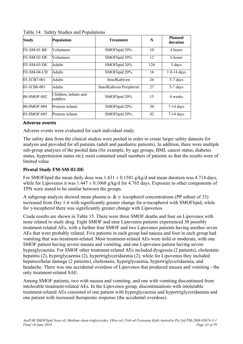| <b>Study</b>  | <b>Population</b>                 | <b>Treatment</b>       | N   | <b>Planned</b><br>duration |
|---------------|-----------------------------------|------------------------|-----|----------------------------|
| $FE-SM-01-BE$ | Volunteers                        | SMOFlipid 20%          | 10  | 4 hours                    |
| $FE-SM-02-DE$ | Volunteers                        | SMOFlipid 20%          | 12  | 6 hours                    |
| $FE-SM-03-DE$ | Adults                            | SMOFlipid 20%          | 126 | 5 days                     |
| $FE-SM-04-CH$ | <b>Adults</b>                     | SMOFlipid 20%          | 16  | 1 0-14 days                |
| 03-3CB7-001   | <b>Adults</b>                     | <b>SmofKabiven</b>     | 26  | 5-7 days                   |
| 03-3CB8-001   | <b>Adults</b>                     | SmofKabiven Peripheral | 27  | 5-7 days                   |
| 00-SMOF-002   | Children, infants and<br>toddlers | SMOFlipid 20%          | 15  | 4 weeks                    |
| 00-SMOF-004   | Preterm infants                   | SMOFlipid 20%          | 30  | $7-14$ days                |
| 03-SMOF-005   | Preterm infants                   | SMOFlipid 20%          | 42  | $7-14$ days                |

Table 14: Safety Studies and Populations

#### **Adverse events**

Adverse events were evaluated for each individual study.

The safety data from the clinical studies were pooled in order to create larger safety datasets for analysis and provided for all patients (adult and paediatric patients). In addition, there were multiple sub-group analyses of the pooled data (for example, by age groups, BMI, cancer status, diabetes status, hypertension status etc); most contained small numbers of patients so that the results were of limited value

## **Pivotal Study FM-SM-03-DE**

For SMOFlipid the mean daily dose was  $1.431 \pm 0.1581$  g/kg/d and mean duration was 4.714 days, while for Lipovenos it was  $1.447 \pm 0.1068$  g/kg/d for 4.765 days. Exposure to other components of TPN were stated to be similar between the groups.

A subgroup analysis showed mean plasma  $\alpha$ -  $\& \gamma$ -tocopherol concentrations (PP subset of 33) increased from Day 1-6 with significantly greater change for α-tocopherol with SMOFlipid, while for γ-tocopherol there was significantly greater change with Lipovenos.

Crude results are shown in Table 15. There were three SMOF deaths and four on Lipovenos with none related to study drug. Eight SMOF and nine Lipovenos patients experienced 30 possibly treatment-related AEs, with a further four SMOF and two Lipovenos patients having another seven AEs that were probably related. Five patients in each group had nausea and four in each group had vomiting that was treatment-related. Most treatment-related AEs were mild or moderate, with one SMOF patient having severe nausea and vomiting, and one Lipovenos patient having severe hyperglycaemia. For SMOF other treatment-related AEs included dysgeusia (2 patients), cholestatic hepatitis (2), hyperglycaemia (2), hypertriglyceridaemia (2), while for Lipovenos they included hepatocellular damage (2 patients), cholestasis, hyperglycaemia, hypertriglyceridaemia, and headache. There was one accidental overdose of Lipovenos that produced nausea and vomiting - the only treatment-related SAE.

Among SMOF patients, two with nausea and vomiting, and one with vomiting discontinued from intolerable treatment-related AEs. In the Lipovenos group, discontinuations with intolerable treatment-related AEs consisted of one patient with hyperglycaemia and hypertriglyceridaemia and one patient with increased therapeutic response (the accidental overdose).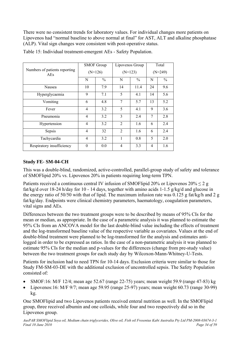There were no consistent trends for laboratory values. For individual changes more patients on Lipovenos had "normal baseline to above normal at final" for AST, ALT and alkaline phosphatase (ALP). Vital sign changes were consistent with post-operative status.

|                                      | <b>SMOF Group</b> |               | Lipovenos Group |               | Total          |               |  |
|--------------------------------------|-------------------|---------------|-----------------|---------------|----------------|---------------|--|
| Numbers of patients reporting<br>AEs | $(N=126)$         |               | $(N=123)$       |               | $(N=249)$      |               |  |
|                                      | N                 | $\frac{0}{0}$ | N               | $\frac{0}{0}$ | N              | $\frac{0}{0}$ |  |
| Nausea                               | 10                | 7.9           | 14              | 11.4          | 24             | 9.6           |  |
| Hyperglycaemia                       | 9                 | 7.1           | 5               | 4.1           | 14             | 5.6           |  |
| Vomiting                             | 6                 | 4.8           | 7               | 5.7           | 13             | 5.2           |  |
| Fever                                | 4                 | 3.2           | 5               | 4.1           | 9              | 3.6           |  |
| Pneumonia                            | 4                 | 3.2           | 3               | 2.4           | 7              | 2.8           |  |
| Hypertension                         | 4                 | 3.2           | $\overline{2}$  | 1.6           | 6              | 2.4           |  |
| Sepsis                               | 4                 | 32            | $\mathfrak{D}$  | 1.6           | 6              | 2.4           |  |
| Tachycardia                          | 4                 | 3.2           | 1               | 0.8           | 5              | 2.0           |  |
| Respiratory insufficiency            | $\theta$          | 0.0           | 4               | 3.3           | $\overline{4}$ | 1.6           |  |

Table 15: Individual treatment-emergent AEs - Safety Population.

## **Study FE- SM-04-CH**

This was a double-blind, randomized, active-controlled, parallel-group study of safety and tolerance of SMOFlipid 20% vs. Lipovenos 20% in patients requiring long-term TPN.

Patients received a continuous central IV infusion of SMOFlipid 20% or Lipovenos  $20\% \leq 2$  g fat/kg/d over 18-24 h/day for 10 - 14 days, together with amino acids 1-1.5 g/kg/d and glucose in the energy ratio of 50/50 with that of lipid. The maximum infusion rate was  $0.125$  g fat/kg/h and 2 g fat/kg/day. Endpoints were clinical chemistry parameters, haematology, coagulation parameters, vital signs and AEs.

Differences between the two treatment groups were to be described by means of 95% CIs for the mean or median, as appropriate. In the case of a parametric analysis it was planned to estimate the 95% CIs from an ANCOVA model for the last double-blind value including the effects of treatment and the log-transformed baseline value of the respective variable as covariates. Values at the end of double-blind treatment were planned to be log-transformed for the analysis and estimates antilogged in order to be expressed as ratios. In the case of a non-parametric analysis it was planned to estimate 95% CIs for the median and p-values for the differences (change from pre-study value) between the two treatment groups for each study day by Wilcoxon-Mann-Whitney-U-Tests.

Patients for inclusion had to need TPN for 10-14 days. Exclusion criteria were similar to those for Study FM-SM-03-DE with the additional exclusion of uncontrolled sepsis. The Safety Population consisted of:

- SMOF:16: M/F 12/4; mean age 52.67 (range 22-75) years; mean weight 59.9 (range 47-83) kg
- Lipovenos:16: M/F 9/7; mean age 59.95 (range 25-97) years; mean weight 60.73 (range 30-99) kg.

One SMOFlipid and two Lipovenos patients received enteral nutrition as well. In the SMOFlipid group, three received albumin and one colloids, while four and two respectively did so in the Lipovenos group.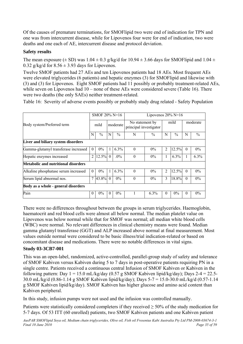Of the causes of premature terminations, for SMOFlipid two were end of indication for TPN and one was from intercurrent disease, while for Lipovenos four were for end of indication, two were deaths and one each of AE, intercurrent disease and protocol deviation.

## **Safety results**

The mean exposure ( $\pm$  SD) was 1.04  $\pm$  0.3 g/kg/d for 10.94  $\pm$  3.66 days for SMOFlipid and 1.04  $\pm$ 0.32 g/kg/d for  $8.56 \pm 3.93$  days for Lipovenos.

Twelve SMOF patients had 27 AEs and ten Lipovenos patients had 18 AEs. Most frequent AEs were elevated triglycerides (6 patients) and hepatic enzymes (3) for SMOFlipid and likewise with (3) and (3) for Lipovenos. Eight SMOF patients had 11 possibly or probably treatment-related AEs, while seven on Lipovenos had 10 – none of these AEs were considered severe (Table 16). There were two deaths (the only SAEs) neither treatment-related.

Table 16: Severity of adverse events possibly or probably study drug related - Safety Population

|                                      | SMOF $20\%$ N=16 |               |          |               | Lipovenos $20\%$ N=16                     |               |                |         |          |       |
|--------------------------------------|------------------|---------------|----------|---------------|-------------------------------------------|---------------|----------------|---------|----------|-------|
| Body system/Preferred term           | mild             |               | moderate |               | No statement by<br>principal investigator |               | mild           |         | moderate |       |
|                                      | N                | $\frac{0}{0}$ | N        | $\frac{0}{0}$ | N                                         | $\frac{0}{0}$ | N              | $\%$    | N        | $\%$  |
| Liver and biliary system disorders   |                  |               |          |               |                                           |               |                |         |          |       |
| Gamma-glutamyl transferase increased | $\theta$         | $0\%$         |          | 6.3%          | $\Omega$                                  | $0\%$         | $\mathfrak{D}$ | 12.5%   | $\Omega$ | $0\%$ |
| Hepatic enzymes increased            | $\overline{c}$   | 12.5%         | $\theta$ | $.0\%$        | $\theta$                                  | $0\%$         |                | $6.3\%$ |          | 6.3%  |
| Metabolic and nutritional disorders  |                  |               |          |               |                                           |               |                |         |          |       |
| Alkaline phosphatase serum increased | $\Omega$         | $0\%$         |          | 6.3%          | $\Omega$                                  | $0\%$         | $\mathfrak{D}$ | 12.5%   | $\Omega$ | $0\%$ |
| Serum lipid abnormal nos.            | 7                | 43.8%         | $\theta$ | $0\%$         | $\Omega$                                  | $0\%$         | 3              | 18.8%   | $\theta$ | $0\%$ |
| Body as a whole - general disorders  |                  |               |          |               |                                           |               |                |         |          |       |
| Pain                                 | $\Omega$         | $0\%$         | $\theta$ | $0\%$         |                                           | 6.3%          | $\theta$       | $0\%$   | 0        | $0\%$ |

There were no differences throughout between the groups in serum triglycerides. Haemoglobin, haematocrit and red blood cells were almost all below normal. The median platelet value on Lipovenos was below normal while that for SMOF was normal; all median white blood cells (WBC) were normal. No relevant differences in clinical chemistry means were found. Median gamma glutamyl transferase (GGT) and ALP increased above normal at final measurement. Most values outside normal were considered to be basic illness/trial indication-related or based on concomitant disease and medications. There were no notable differences in vital signs.

## **Study 03-3CB7-001**

This was an open-label, randomized, active-controlled, parallel-group study of safety and tolerance of SMOF Kabiven versus Kabiven during 5 to 7 days in post-operative patients requiring PN in a single centre. Patients received a continuous central Infusion of SMOF Kabiven or Kabiven in the following pattern: Day  $1 = 15.0$  mL/kg/day  $(0.57$  g SMOF Kabiven lipid/kg/day); Days  $2-4 = 22.5$ -30.0 mL/kg/d (0.86-1.14 g SMOF Kabiven lipid/kg/day); Days 5-7 = 15.0-30.0 mL/kg/d (0.57-1.14 g SMOF Kabiven lipid/kg/day). SMOF Kabiven has higher glucose and amino acid content than Kabiven peripheral.

In this study, infusion pumps were not used and the infusion was controlled manually.

Patients were statistically considered completers if they received ≥ 50% of the study medication for 5-7 days. Of 53 ITT (60 enrolled) patients, two SMOF Kabiven patients and one Kabiven patient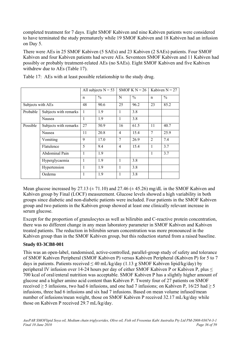completed treatment for 7 days. Eight SMOF Kabiven and nine Kabiven patients were considered to have terminated the study prematurely while 19 SMOF Kabiven and 18 Kabiven had an infusion on Day 5.

There were AEs in 25 SMOF Kabiven (5 SAEs) and 23 Kabiven (2 SAEs) patients. Four SMOF Kabiven and four Kabiven patients had severe AEs. Seventeen SMOF Kabiven and 11 Kabiven had possibly or probably treatment-related AEs (no SAEs). Eight SMOF Kabiven and five Kabiven withdrew due to AEs (Table 17).

|                   |                       | All subjects $N = 53$ |               | SMOF K $N = 26$ |               | Kabiven $N = 27$ |               |
|-------------------|-----------------------|-----------------------|---------------|-----------------|---------------|------------------|---------------|
|                   |                       | n                     | $\frac{0}{0}$ | N               | $\frac{0}{0}$ | $\mathsf{n}$     | $\frac{0}{0}$ |
| Subjects with AEs |                       | 48                    | 90.6          | 25              | 96.2          | 23               | 85.2          |
| Probable          | Subjects with remarks | $\mathbf{1}$          | 1.9           | 1               | 3.8           |                  |               |
|                   | Nausea                | 1                     | 1.9           | 1               | 3.8           |                  |               |
| Possible          | Subjects with remarks | 27                    | 50.9          | 16              | 61.5          | 11               | 40.7          |
|                   | Nausea                | 11                    | 20.8          | 4               | 15.4          | 7                | 25.9          |
|                   | Vomiting              | 9                     | 17.0          | 7               | 26.9          | $\overline{2}$   | 7.4           |
|                   | Flatulence            | 5                     | 9.4           | $\overline{4}$  | 15.4          | 1                | 3.7           |
|                   | Abdominal Pain        | 1                     | 1.9           |                 |               | 1                | 3.7           |
|                   | Hyperglycaemia        | 1                     | 1.9           | $\mathbf{1}$    | 3.8           |                  |               |
|                   | Hypertension          | 1                     | 1.9           | $\mathbf{1}$    | 3.8           |                  |               |
|                   | Oedema                | 1                     | 1.9           | 1               | 3.8           |                  |               |

Table 17: AEs with at least possible relationship to the study drug.

Mean glucose increased by 27.13 ( $\pm$  71.10) and 27.46 ( $\pm$  45.26) mg/dL in the SMOF Kabiven and Kabiven group by Final (LOCF) measurement. Glucose levels showed a high variability in both groups since diabetic and non-diabetic patients were included. Four patients in the SMOF Kabiven group and two patients in the Kabiven group showed at least one clinically relevant increase in serum glucose.

Except for the proportion of granulocytes as well as bilirubin and C-reactive protein concentration, there was no different change in any mean laboratory parameter in SMOF Kabiven and Kabiven treated patients. The reduction in bilirubin serum concentration was more pronounced in the Kabiven group than in the SMOF Kabiven group, but this reduction started from a raised baseline.

## **Study 03-3CB8-001**

This was an open-label, randomised, active-controlled, parallel-group study of safety and tolerance of SMOF Kabiven Peripheral (SMOF Kabiven P) versus Kabiven Peripheral (Kabiven P) for 5 to 7 days in patients. Patients received  $\leq 40$  mL/kg/day (1.13 g SMOF Kabiven lipid/kg/day) by peripheral IV infusion over 14-24 hours per day of either SMOF Kabiven P or Kabiven P, plus ≤ 700 kcal of oral/enteral nutrition was acceptable. SMOF Kabiven P has a slightly higher amount of glucose and a higher amino acid content than Kabiven P. Twenty four of 27 patients on SMOF received  $\geq$  5 infusions, two had 6 infusions, and one had 7 infusions; on Kabiven P, 16/25 had  $\geq$  5 infusions, three had 6 infusions and six had 7 infusions. Based on mean volume infused/mean number of infusions/mean weight, those on SMOF Kabiven P received 32.17 mL/kg/day while those on Kabiven P received 29.7 mL/kg/day.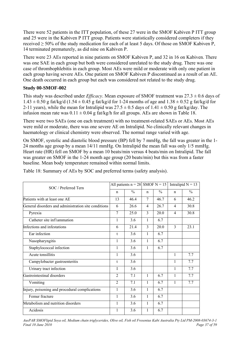There were 52 patients in the ITT population, of these 27 were in the SMOF Kabiven P ITT group and 25 were in the Kabiven P ITT group. Patients were statistically considered completers if they received  $\geq$  50% of the study medication for each of at least 5 days. Of those on SMOF Kabiven P, 14 terminated prematurely, as did nine on Kabiven P.

There were 23 AEs reported in nine patients on SMOF Kabiven P, and 32 in 16 on Kabiven. There was one SAE in each group but both were considered unrelated to the study drug. There was one case of thrombophlebitis in each group. Most AEs were mild or moderate with only one patient in each group having severe AEs. One patient on SMOF Kabiven P discontinued as a result of an AE. One death occurred in each group but each was considered not related to the study drug.

## **Study 00-SMOF-002**

This study was described under *Efficacy*. Mean exposure of SMOF treatment was 27.3 ± 0.6 days of  $1.43 \pm 0.50$  g fat/kg/d (1.54  $\pm$  0.45 g fat/kg/d for 1-24 months of age and  $1.38 \pm 0.52$  g fat/kg/d for 2-11 years), while the mean for Intralipid was  $27.5 \pm 0.5$  days of  $1.41 \pm 0.50$  g fat/kg/day. The infusion mean rate was  $0.11 \pm 0.04$  g fat/kg/h for all groups. AEs are shown in Table 18.

There were two SAEs (one on each treatment) with no treatment-related SAEs or AEs. Most AEs were mild or moderate, there was one severe AE on Intralipid. No clinically relevant changes in haematology or clinical chemistry were observed. The normal range varied with age.

On SMOF, systolic and diastolic blood pressure (BP) fell by 7 mmHg, the fall was greater in the 1- 24 months age group by a mean 14/11 mmHg. On Intralipid the mean fall was only 1/5 mmHg. Heart rate (HR) fell on SMOF by a mean 10 beats/min versus 4 beats/min on Intralipid. The fall was greater on SMOF in the 1-24 month age group (20 beats/min) but this was from a faster baseline. Mean body temperature remained within normal limits.

| SOC / Preferred Tern                                 |                | All patients $n = 28$ SMOF N = 15 |                |               | Intralipid $N = 13$ |               |  |
|------------------------------------------------------|----------------|-----------------------------------|----------------|---------------|---------------------|---------------|--|
|                                                      |                | $\frac{0}{0}$                     | $\mathbf n$    | $\frac{0}{0}$ | $\mathbf n$         | $\frac{0}{0}$ |  |
| Patients with at least one AE                        | 13             | 46.4                              | 7              | 46.7          | 6                   | 46.2          |  |
| General disorders and administration site conditions | 6              | 26.6                              | $\overline{4}$ | 26.7          | $\overline{4}$      | 30.8          |  |
| Pyrexia                                              | $\tau$         | 25.0                              | $\overline{3}$ | 20.0          | 4                   | 30.8          |  |
| Catheter site inflammation                           | $\mathbf{1}$   | 3.6                               | 1              | 6.7           |                     |               |  |
| Infections and infestations                          | 6              | 21.4                              | 3              | 20.0          | 3                   | 23.1          |  |
| Ear infection                                        | t              | 3.6                               | 1              | 6.7           |                     |               |  |
| Nasopharyngitis                                      | 1              | 3.6                               | 1              | 6.7           |                     |               |  |
| Staphylococcal infection                             | 1              | 3.6                               | 1              | 6.7           |                     |               |  |
| Acute tonsillitis                                    | 1              | 3.6                               |                |               | $\mathbf{1}$        | 7.7           |  |
| Campylobacter gastroenteritis                        | t              | 3.6                               |                |               | 1                   | 7.7           |  |
| Urinary tract infection                              | T              | 3.6                               |                |               | 1                   | 7.7           |  |
| Gastrointestinal disorders                           | $\overline{2}$ | 7.1                               | $\mathbf{1}$   | 6.7           | 1                   | 7.7           |  |
| Vomiting                                             | $\overline{2}$ | 7.1                               | $\mathbf{1}$   | 6.7           | $\mathbf{1}$        | 7.7           |  |
| Injury, poisoning and procedural complications       | $\mathbf{1}$   | 3.6                               | 1              | 6.7           |                     |               |  |
| Femur fracture                                       | 1              | 3.6                               | 1              | 6.7           |                     |               |  |
| Metabolism and nutrition disorders                   | 1              | 3.6                               | 1              | 6.7           |                     |               |  |
| Acidosis                                             | 1              | 3.6                               | 1              | 6.7           |                     |               |  |

Table 18: Summary of AEs by SOC and preferred terms (safety analysis).

*AusPAR SMOFlipid Soya oil, Medium chain triglycerides, Olive oil, Fish oil Fresenius Kabi Australia Pty Ltd PM-2008-03674-3-1 Final 10 June 2010 Page 37 of 59*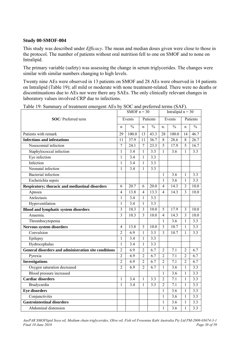### **Study 00-SMOF-004**

This study was described under *Efficacy*. The mean and median doses given were close to those in the protocol. The number of patients without oral nutrition fell to one on SMOF and to none on Intralipid.

The primary variable (safety) was assessing the change in serum triglycerides. The changes were similar with similar numbers changing to high levels.

Twenty nine AEs were observed in 13 patients on SMOF and 28 AEs were observed in 14 patients on Intralipid (Table 19); all mild or moderate with none treatment-related. There were no deaths or discontinuations due to AEs nor were there any SAEs. The only clinically relevant changes in laboratory values involved CRP due to infections.

|                                                      |                | SMOF $n = 30$ |                |                   |                | Intralipid $n = 30$ |                |                  |
|------------------------------------------------------|----------------|---------------|----------------|-------------------|----------------|---------------------|----------------|------------------|
| <b>SOC</b> / Preferred term                          |                | Events        |                | Patients          |                | Events              |                | Patients         |
|                                                      | $\mathbf n$    | $\frac{0}{0}$ | $\mathbf n$    | $\frac{0}{0}$     | n.             | $\frac{0}{0}$       | $\mathbf n$    | $\frac{0}{0}$    |
| Patients with remark                                 | 29             | 100.0         | 13             | 43.3              | 28             | 100.0               | 14             | 46.7             |
| <b>Infections and infestations</b>                   | 11             | 37.9          | 11             | 36.7              | 8              | 28.6                | 8              | 26.7             |
| Nosocomial infection                                 | $\overline{7}$ | 24.1          | $\overline{7}$ | $\overline{23.3}$ | 5              | 17.9                | $\overline{5}$ | 16.7             |
| Staphylococcal infection                             | $\mathbf{1}$   | 3.4           | 1              | $\overline{3.3}$  | 1              | 3.6                 | 1              | 3.3              |
| Eye infection                                        | $\mathbf{1}$   | 3.4           | $\mathbf{1}$   | 3.3               |                |                     |                |                  |
| Infection                                            | $\mathbf{1}$   | 3.4           | 1              | 3.3               |                |                     |                |                  |
| Neonatal infection                                   | 1              | 3.4           | 1              | 3.3               |                |                     |                |                  |
| <b>Bacterial</b> infection                           |                |               |                |                   | $\mathbf{1}$   | 3.6                 | 1              | 3.3              |
| Escherichia sepsis                                   |                |               |                |                   | $\mathbf{1}$   | 3.6                 | $\mathbf{1}$   | 3.3              |
| Respiratory; thoracic and mediastinal disorders      | 6              | 20.7          | 6              | 20.0              | $\overline{4}$ | 14.3                | $\overline{3}$ | 10.0             |
| Apnoea                                               | 4              | 13.8          | $\overline{4}$ | 13.3              | $\overline{4}$ | 14.3                | $\overline{3}$ | 10.0             |
| Atelectasis                                          | $\mathbf{1}$   | 3.4           | $\mathbf{1}$   | 3.3               |                |                     |                |                  |
| Hypoventilation                                      | 1              | 3.4           | 1              | 3.3               |                |                     |                |                  |
| <b>Blood and lymphatic system disorders</b>          | 3              | 10.3          | 3              | 10.0              | 5              | 17.9                | $\mathfrak{Z}$ | 10.0             |
| Anaemia.                                             | $\overline{3}$ | 10.3          | 3              | 10.0              | 4              | 14.3                | $\overline{3}$ | 10.0             |
| Thrombocytopenia                                     |                |               |                |                   | $\mathbf{1}$   | $\overline{3.6}$    | $\mathbf{1}$   | $\overline{3.3}$ |
| Nervous system disorders                             | 4              | 13.8          | $\overline{3}$ | 10.0              | $\overline{3}$ | 10.7                | 1              | 3.3              |
| Convulsion                                           | $\overline{2}$ | 6.9           | $\mathbf{1}$   | $\overline{3.3}$  | $\overline{3}$ | 10.7                | 1              | 3.3              |
| Epilepsy                                             | $\mathbf{1}$   | 3.4           | $\mathbf{1}$   | 3.3               |                |                     |                |                  |
| Hydrocephalus                                        | $\mathbf{1}$   | 3.4           | 1              | 3.3               |                |                     |                |                  |
| General disorders and administration site conditions | 2              | 6.9           | $\overline{2}$ | 6.7               | $\overline{2}$ | 7.1                 | $\overline{2}$ | 6.7              |
| Pyrexia                                              | $\overline{2}$ | 6.9           | $\overline{2}$ | $\overline{6.7}$  | $\overline{2}$ | $\overline{7.1}$    | $\overline{2}$ | 6.7              |
| <b>Investigations</b>                                | $\overline{2}$ | 6.9           | $\overline{2}$ | $\overline{6.7}$  | $\overline{2}$ | 7.1                 | $\overline{2}$ | 6.7              |
| Oxygen saturation decreased                          | $\overline{2}$ | 6.9           | $\overline{2}$ | $\overline{6.7}$  | $\mathbf{1}$   | $\overline{3.6}$    | $\mathbf{1}$   | 3.3              |
| Blood pressure increased                             |                |               |                |                   | 1              | $\overline{3.6}$    | 1              | 3.3              |
| <b>Cardiac disorders</b>                             | $\mathbf{1}$   | 3.4           | $\mathbf{1}$   | 3.3               | $\overline{2}$ | $\overline{7.1}$    | $\mathbf{1}$   | 3.3              |
| Bradycardia                                          | 1              | 3.4           | 1              | 3.3               | $\overline{2}$ | 7.1                 | $\mathbf{1}$   | 3.3              |
| <b>Eye disorders</b>                                 |                |               |                |                   | 1              | 3.6                 | 1              | 3.3              |
| Conjunctivitis                                       |                |               |                |                   | $\mathbf{1}$   | $\overline{3.6}$    | 1              | 3.3              |
| <b>Gastrointestinal disorders</b>                    |                |               |                |                   | $\mathbf{1}$   | $\overline{3.6}$    | $\mathbf{1}$   | 3.3              |
| Abdominal distension                                 |                |               |                |                   | 1              | $\overline{3.6}$    | 1              | 3.3              |

Table 19: Summary of treatment emergent AEs by SOC and preferred terms (SAF).

*AusPAR SMOFlipid Soya oil, Medium chain triglycerides, Olive oil, Fish oil Fresenius Kabi Australia Pty Ltd PM-2008-03674-3-1 Final 10 June 2010 Page 38 of 59 Page 38 of 59 Page 38 of 59 Page 38 of 59*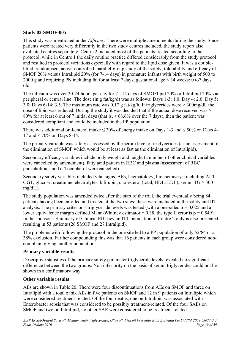#### **Study 03-SMOF-005**

This study was mentioned under *Efficacy*. There were multiple amendments during the study. Since patients were treated very differently in the two study centres included, the study report also evaluated centres separately. Centre 2 included most of the patients treated according to the protocol, while in Centre 1 the daily routine practice differed considerably from the study protocol and resulted in protocol variations especially with regard to the lipid dose given. It was a doubleblind, randomised, active-controlled, parallel-group study of the safety, tolerability and efficacy of SMOF 20% versus Intralipid 20% (for 7-14 days) in premature infants with birth weight of 500 to 2000 g and requiring PN including fat for at least 7 days; gestational age < 34 weeks; 0 to7 days old.

The infusion was over 20-24 hours per day for 7 - 14 days of SMOFlipid 20% or Intralipid 20% via peripheral or central line. The dose (in g fat/kg/d) was as follows: Days 1-3: 1.0; Day 4: 2.0; Day 5: 3.0; Days 6-14: 3.5. The maximum rate was 0.17 g fat/kg/h. If triglycerides were > 300mg/dL the dose of lipid was reduced. During the study it was decided that if the actual dose received was  $\geq$ 80% for at least 6 out of 7 initial days (that is,  $\geq$  68.6% over the 7 days), then the patient was considered compliant and could be included in the PP population.

There was additional oral/enteral intake  $\leq 30\%$  of energy intake on Days 1-3 and  $\leq 50\%$  on Days 4-17 and  $\leq 70\%$  on Days 8-14.

The primary variable was safety as assessed by the serum level of triglycerides (as an assessment of the elimination of SMOF which would be at least as fast as the elimination of Intralipid).

Secondary efficacy variables include body weight and height (a number of other clinical variables were cancelled by amendment), fatty acid pattern in RBC and plasma (assessment of RBC phospholipids and α-Tocopherol were cancelled).

Secondary safety variables included vital signs, AEs, haematology; biochemistry: [including ALT, GGT, glucose, creatinine, electrolytes, bilirubin, cholesterol (total, HDL, LDL), serum TG > 300 mg/dL].

The study population was amended twice after the start of the trial, the trial eventually being 84 patients having been enrolled and treated at the two sites; these were included in the safety and IIT analysis. The primary criterion - triglyceride levels was tested (with a one-sided  $\alpha$  = 0.025 and a lower equivalence margin defined Mann-Whitney estimator = 0.38, the type II error is  $β = 0.549$ ). In the sponsor's Summary of Clinical Efficacy an ITT population of Centre 2 only is also presented resulting in 53 patients (26 SMOF and 27 Intralipid).

The problems with following the protocol in the one site led to a PP population of only 52/84 or a 38% exclusion. Further compounding this was that 16 patients in each group were considered noncompliant giving another population.

#### **Primary variable results**

Descriptive statistics of the primary safety parameter triglyceride levels revealed no significant difference between the two groups. Non inferiority on the basis of serum triglycerides could not be shown in a confirmatory way.

#### **Other variable results**

AEs are shown in Table 20. There were four discontinuations from AEs on SMOF and three on Intralipid with a total of six AEs in five patients on SMOF and 12 in 9 patients on Intralipid which were considered treatment-related. Of the four deaths, one on Intralipid was associated with Enterobacter sepsis that was considered to be possibly treatment-related. Of the four SAEs on SMOF and two on Intralipid, no other SAE were considered to be treatment-related.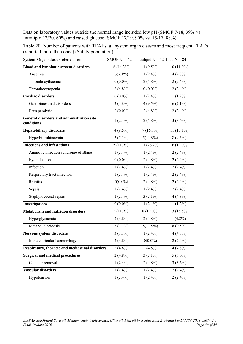Data on laboratory values outside the normal range included low pH (SMOF 7/18, 39% vs. Intralipid 12/20, 60%) and raised glucose (SMOF 17/19, 90% vs. 15/17, 88%).

| Table 20: Number of patients with TEAEs: all system organ classes and most frequent TEAEs |  |  |
|-------------------------------------------------------------------------------------------|--|--|
| (reported more than once) (Safety population)                                             |  |  |

| System Organ Class/Preferred Term                              | SMOF $N = 42$           | Intralipid $N = 42$ Total $N = 84$ |              |
|----------------------------------------------------------------|-------------------------|------------------------------------|--------------|
| <b>Blood and lymphatic system disorders</b>                    | $6(14.3\%)$             | $4(9.5\%)$                         | $10(11.9\%)$ |
| Anaemia                                                        | $3(7.1\%)$              | $1(2.4\%)$                         | $4(4.8\%)$   |
| Thrombocythaemia                                               | $0(0.0\%)$              | $2(4.8\%)$                         | $2(2.4\%)$   |
| Thrombocytopenia                                               | $2(4.8\%)$              | $0(0.0\%)$                         | $2(2.4\%)$   |
| Cardiac disorders                                              | $0(0.0\%)$              | $1(2.4\%)$                         | $1(1.2\%)$   |
| Gastrointestinal disorders                                     | $2(4.8\%)$              | $4(9.5\%)$                         | $6(7.1\%)$   |
| Ileus paralytic                                                | $0(0.0\%)$              | $2(4.8\%)$                         | $2(2.4\%)$   |
| <b>General disorders and administration site</b><br>conditions | $1(2.4\%)$              | $2(4.8\%)$                         | $3(3.6\%)$   |
| <b>Hepatobiliary disorders</b>                                 | $4(9.5\%)$              | 7(16.7%)                           | $11(13.1\%)$ |
| Hyperbilirubinaemia                                            | $3(7.1\%)$              | $5(11.9\%)$                        | $8(9.5\%)$   |
| <b>Infections and infestations</b>                             | $\overline{5(11.9\%)}$  | $11(26.2\%)$                       | $16(19.0\%)$ |
| Amniotic infection syndrome of Blane                           | $1(2.4\%)$              | $1(2.4\%)$                         | $2(2.4\%)$   |
| Eye infection                                                  | $0(0.0\%)$              | $2(4.8\%)$                         | $2(2.4\%)$   |
| Infection                                                      | $1(2.4\%)$              | $1(2.4\%)$                         | $2(2.4\%)$   |
| Respiratory tract infection                                    | $1(2.4\%)$              | $1(2.4\%)$                         | $2(2.4\%)$   |
| Rhinitis                                                       | $0(0.0\%)$              | $2(4.8\%)$                         | $2(2.4\%)$   |
| Sepsis                                                         | $1(2.4\%)$              | $1(2.4\%)$                         | $2(2.4\%)$   |
| Staphylococcal sepsis                                          | $1(2.4\%)$              | $3(7.1\%)$                         | $4(4.8\%)$   |
| <b>Investigations</b>                                          | $0(0.0\%)$              | $1(2.4\%)$                         | $1(1.2\%)$   |
| <b>Metabolism and nutrition disorders</b>                      | $5(11.9\%)$             | $8(19.0\%)$                        | $13(15.5\%)$ |
| Hyperglycaemia                                                 | $2(4.8\%)$              | $2(4.8\%)$                         | $4(4.8\%)$   |
| Metabolic acidosis                                             | $3(7.1\%)$              | $5(11.9\%)$                        | $8(9.5\%)$   |
| <b>Nervous system disorders</b>                                | $3(7.1\%)$              | $1(2.4\%)$                         | $4(4.8\%)$   |
| Intraventricular haemorrhage                                   | $2(4.8\%)$              | $0(0.0\%)$                         | $2(2.4\%)$   |
| <b>Respiratory, thoracic and mediastinal disorders</b>         | $2(4.8\sqrt[6]{\circ})$ | $2(4.8\%)$                         | $4(4.8\%)$   |
| <b>Surgical and medical procedures</b>                         | $2(4.8\%)$              | $3(7.1\%)$                         | $5(6.0\%)$   |
| Catheter removal                                               | $1(2.4\%)$              | $2(4.8\%)$                         | $3(3.6\%)$   |
| Vascular disorders                                             | $1(2.4\%)$              | $1(2.4\%)$                         | $2(2.4\%)$   |
| Hypotension                                                    | $1(2.4\%)$              | $1(2.4\%)$                         | $2(2.4\%)$   |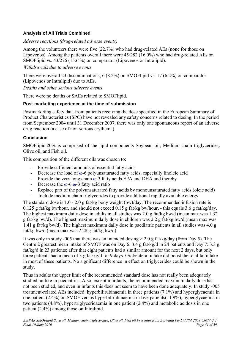## **Analysis of All Trials Combined**

#### *Adverse reactions (drug-related adverse events)*

Among the volunteers there were five (22.7%) who had drug-related AEs (none for those on Lipovenos). Among the patients overall there were 45/282 (16.0%) who had drug-related AEs on SMOFlipid vs. 43/276 (15.6 %) on comparator (Lipovenos or Intralipid).

#### *Withdrawals due to adverse events*

There were overall 23 discontinuations; 6 (8.2%) on SMOFlipid vs. 17 (6.2%) on comparator (Lipovenos or Intralipid) due to AEs.

*Deaths and other serious adverse events* 

There were no deaths or SAEs related to SMOFlipid.

#### **Post-marketing experience at the time of submission**

Postmarketing safety data from patients receiving the dose specified in the European Summary of Product Characteristics (SPC) have not revealed any safety concerns related to dosing. In the period from September 2004 until 31 December 2007, there was only one spontaneous report of an adverse drug reaction (a case of non-serious erythema).

#### **Conclusion**

SMOFlipid 20% is comprised of the lipid components Soybean oil, Medium chain triglycerides**,**  Olive oil, and Fish oil.

This composition of the different oils was chosen to:

- Provide sufficient amounts of essential fatty acids
- Decrease the load of ω-6 polyunsaturated fatty acids, especially linoleic acid
- Provide the very long chain  $\omega$ -3 fatty acids EPA and DHA and thereby
- Decrease the  $\omega$ -6: $\omega$ -3 fatty acid ratio
- Replace part of the polyunsaturated fatty acids by monounsaturated fatty acids (oleic acid)
- Include medium chain triglycerides to provide additional rapidly available energy

The standard dose is 1.0 - 2.0 g fat/kg body weight (bw)/day. The recommended infusion rate is 0.125 g fat/kg bw/hour, and should not exceed 0.15 g fat/kg bw/hour, - this equals 3.6 g fat/kg/day. The highest maximum daily dose in adults in all studies was 2.0 g fat/kg bw/d (mean max was 1.32 g fat/kg bw/d). The highest maximum daily dose in children was 2.2 g fat/kg bw/d (mean max was 1.41 g fat/kg bw/d). The highest maximum daily dose in paediatric patients in all studies was 4.0 g fat/kg bw/d (mean max was 2.28 g fat/kg bw/d).

It was only in study -005 that there was an intended dosing > 2.0 g fat/kg/day (from Day 5). The Centre 2 greatest mean intake of SMOF was on Day 6: 3.4 g fat/kg/d in 24 patients and Day 7: 3.3 g fat/kg/d in 23 patients; after that eight patients had a similar amount for the next 2 days, but only three patients had a mean of 3 g fat/kg/d for 9 days. Oral/enteral intake did boost the total fat intake in most of these patients. No significant difference in effect on triglycerides could be shown in the study.

Thus in adults the upper limit of the recommended standard dose has not really been adequately studied, unlike in paediatrics. Also, except in infants, the recommended maximum daily dose has not been studied, and even in infants this does not seem to have been done adequately. In study -005 treatment-related AEs included: hyperbilirubinaemia in three patients (7.1%) and hyperglycaemia in one patient (2.4%) on SMOF versus hyperbilirubinaemia in five patients(11.9%), hyperglycaemia in two patients (4.8%), hypertriglyceridaemia in one patient (2.4%) and metabolic acidosis in one patient (2.4%) among those on Intralipid.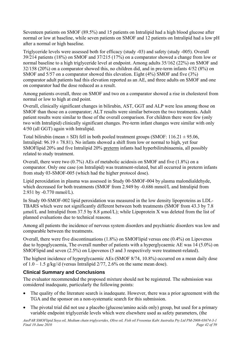<span id="page-41-0"></span>Seventeen patients on SMOF (89.5%) and 15 patients on Intralipid had a high blood glucose after normal or low at baseline, while seven patients on SMOF and 12 patients on Intralipid had a low pH after a normal or high baseline.

Triglyceride levels were assessed both for efficacy (study -03) and safety (study -005). Overall 39/214 patients (18%) on SMOF and 37/215 (17%) on a comparator showed a change from low or normal baseline to a high triglyceride level at endpoint. Among adults 35/162 (22%) on SMOF and 32/158 (20%) on a comparator showed this, no children did, and in pre-term infants 4/52 (8%) on SMOF and 5/57 on a comparator showed this elevation. Eight (4%) SMOF and five (3%) comparator adult patients had this elevation reported as an AE, and three adults on SMOF and one on comparator had the dose reduced as a result.

Among patients overall, three on SMOF and two on a comparator showed a rise in cholesterol from normal or low to high at end point.

Overall, clinically significant changes in bilirubin, AST, GGT and ALP were less among those on SMOF than those on a comparator; ALT results were similar between the two treatments. Adult patient results were similar to those of the overall comparison. For children there were few (only two with Intralipid) clinically significant changes. Pre-term infant changes were similar with only 4/50 (all GGT) again with Intralipid.

Total bilirubin (mean  $\pm$  SD) fell in both pooled treatment groups (SMOF: 116.21  $\pm$  95.06, Intralipid:  $96.19 \pm 78.81$ ). No infants showed a shift from low or normal to high, yet four SMOFlipid 20% and five Intralipid 20% preterm infants had hyperbilirubinaemia, all possibly related to study treatment.

Overall, there were two (0.7%) AEs of metabolic acidosis on SMOF and five (1.8%) on a comparator. Only one case (on Intralipid) was treatment-related, but all occurred in preterm infants from study 03-SMOF-005 (which had the higher protocol dose).

Lipid peroxidation in plasma was assessed in Study 00-SMOF-004 by plasma malondialdehyde, which decreased for both treatments (SMOF from 2.949 by -0.686 mmol/L and Intralipid from 2.931 by -0.770 mmol/L).

In Study 00-SMOF-002 lipid peroxidation was measured in the low density lipoproteins as LDL-TBARS which were not significantly different between both treatments (SMOF from 43.3 by 7.8  $\mu$ mol/L and Intralipid from 37.5 by 8.8  $\mu$ mol/L); while Lipoprotein X was deleted from the list of planned evaluations due to technical reasons.

Among all patients the incidence of nervous system disorders and psychiatric disorders was low and comparable between the treatments.

Overall, there were five discontinuations (1.8%) on SMOFlipid versus one (0.4%) on Lipovenos due to hypoglycaemia, The overall number of patients with a hyperglycaemic AE was 14 (5.0%) on SMOFlipid and seven (2.5%) on Lipovenos (5 and 3 respectively were treatment-related).

The highest incidence of hyperglycaemic AEs (SMOF 8/74, 10.8%) occurred on a mean daily dose of  $1.0 - 1.5$  g/kg//d (versus Intralipid  $2/77$ ,  $2.6\%$  on the same mean dose).

## **Clinical Summary and Conclusions**

The evaluator recommended the proposed mixture should not be registered. The submission was considered inadequate, particularly the following points:

- The quality of the literature search is inadequate. However, there was a prior agreement with the TGA and the sponsor on a non-systematic search for this submission.
- The pivotal trial did not use a placebo (glucose/amino acids only) group, but used for a primary variable endpoint triglyceride levels which were elsewhere used as safety parameters, (the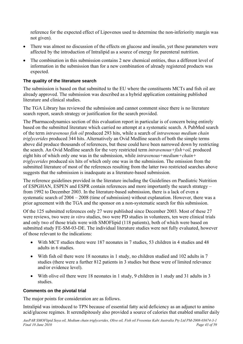reference for the expected effect of Lipovenos used to determine the non-inferiority margin was not given).

- There was almost no discussion of the effects on glucose and insulin, yet these parameters were affected by the introduction of Intralipid as a source of energy for parenteral nutrition.
- The combination in this submission contains 2 new chemical entities, thus a different level of information in the submission than for a new combination of already registered products was expected.

#### **The quality of the literature search**

The submission is based on that submitted to the EU where the constituents MCTs and fish oil are already approved. The submission was described as a hybrid application containing published literature and clinical studies.

The TGA Library has reviewed the submission and cannot comment since there is no literature search report, search strategy or justification for the search provided.

The Pharmacodynamics section of this evaluation report in particular is of concern being entirely based on the submitted literature which carried no attempt at a systematic search. A PubMed search of the term *intravenous fish oil* produced 293 hits, while a search of *intravenous medium chain triglycerides* produced 344 hits. Alternatively an Ovid Medline search of both the simple terms above did produce thousands of references, but these could have been narrowed down by restricting the search. An Ovid Medline search for the very restricted term *intravenous+fish+oil,* produced eight hits of which only one was in the submission, while *intravenous+medium+chain+ triglycerides* produced six hits of which only one was in the submission. The omission from the submitted literature of most of the references resulting from the latter two restricted searches above suggests that the submission is inadequate as a literature-based submission.

The reference guidelines provided in the literature including the Guidelines on Paediatric Nutrition of ESPGHAN, ESPEN and ESPR contain references and more importantly the search strategy – from 1992 to December 2003. In the literature-based submission, there is a lack of even a systematic search of 2004 – 2008 (time of submission) without explanation. However, there was a prior agreement with the TGA and the sponsor on a non-systematic search for this submission.

Of the 125 submitted references only 27 were published since December 2003. Most of these 27 were reviews, two were *in vitro* studies, two were PD studies in volunteers, ten were clinical trials and only two of those trials were with SMOFlipid (118 patients), both of which were based on submitted study FE-SM-03-DE. The individual literature studies were not fully evaluated, however of those relevant to the indications:

- With MCT studies there were 187 neonates in 7 studies, 53 children in 4 studies and 48 adults in 6 studies.
- With fish oil there were 18 neonates in 1 study, no children studied and 102 adults in 7 studies (there were a further 812 patients in 3 studies but these were of limited relevance and/or evidence level).
- With olive oil there were 18 neonates in 1 study, 9 children in 1 study and 31 adults in 3 studies.

#### **Comments on the pivotal trial**

The major points for consideration are as follows.

Intralipid was introduced to TPN because of essential fatty acid deficiency as an adjunct to amino acid/glucose regimes. It serendipitously also provided a source of calories that enabled smaller daily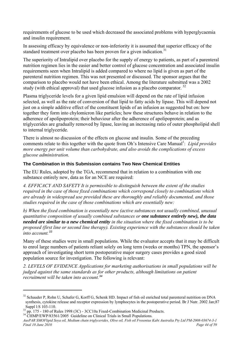requirements of glucose to be used which decreased the associated problems with hyperglycaemia and insulin requirement.

In assessing efficacy by equivalence or non-inferiority it is assumed that superior efficacy of the standard treatment over placebo has been proven for a given indication.<sup>31</sup>

The superiority of Intralipid over placebo for the supply of energy to patients, as part of a parenteral nutrition regimen lies in the easier and better control of glucose concentration and associated insulin requirements seen when Intralipid is added compared to where no lipid is given as part of the parenteral nutrition regimen. This was not presented or discussed. The sponsor argues that the comparison to placebo would not have been ethical. Among the literature submitted was a 2002 study (with ethical approval) that used glucose infusion as a placebo comparator.  $32$ 

Plasma triglyceride levels for a given lipid emulsion will depend on the rate of lipid infusion selected, as well as the rate of conversion of that lipid to fatty acids by lipase. This will depend not just on a simple additive effect of the constituent lipids of an infusion as suggested but on: how together they form into chylomicron like particles; how these structures behave in relation to the adherence of apolipoprotein; their behaviour after the adherence of apolipoprotein; and as triglycerides are gradually removed by lipase, leaving an increasing ratio of outer phospholipid shell to internal triglyceride.

There is almost no discussion of the effects on glucose and insulin. Some of the preceding comments relate to this together with the quote from Oh's Intensive Care Manual<sup>1</sup>: Lipid provides *more energy per unit volume than carbohydrate, and also avoids the complications of excess glucose administration.*

#### **The Combination in this Submission contains Two New Chemical Entities**

The EU Rules, adopted by the TGA, recommend that in relation to a combination with one substance entirely new, data as for an NCE are required:

*4. EFFICACY AND SAFETY It is permissible to distinguish between the extent of the studies required in the case of those fixed combinations which correspond closely to combinations which are already in widespread use provided these are thoroughly and reliably documented, and those studies required in the case of those combinations which are essentially new:* 

*b) When the fixed combination is essentially new (active substances not usually combined, unusual quantitative composition of usually combined substances or one substance entirely new), the data needed are similar to a new chemical entity in the situation where the fixed combination is to be proposed (first line or second line therapy). Existing experience with the substances should be taken into account.[33](#page-43-1)*

Many of these studies were in small populations. While the evaluator accepts that it may be difficult to enrol large numbers of patients reliant solely on long term (weeks or months) TPN, the sponsor's approach of investigating short term postoperative major surgery cases provides a good sized population source for investigation. The following is relevant:

*2. LEVELS OF EVIDENCE Applications for marketing authorisations in small populations will be judged against the same standards as for other products, although limitations on patient recruitment will be taken into account.[34](#page-43-2)*

 $\overline{a}$ 

<span id="page-43-0"></span><sup>&</sup>lt;sup>32</sup> Schauder P, Rohn U, Schafer G, Korff G, Schenk HD. Impact of fish oil enriched total parenteral nutrition on DNA synthesis, cytokine release and receptor expression by lymphocytes in the postoperative period. Br J Nutr. 2002 Jan;87 Suppl l:S 103-110.

<span id="page-43-1"></span> $33$  pp. 175 - 180 of Rules 1998 (3C) - 3CC10a Fixed-Combination Medicinal Products.

<span id="page-43-2"></span><sup>&</sup>lt;sup>34</sup> CHMP/EWP/83561/2005 Guideline on Clinical Trials in Small Populations.

*AusPAR SMOFlipid Soya oil, Medium chain triglycerides, Olive oil, Fish oil Fresenius Kabi Australia Pty Ltd PM-2008-03674-3-1 Final 10 June 2010 Page 44 of 59 Page 44 of 59 Page 44 of 59 Page 44 of 59*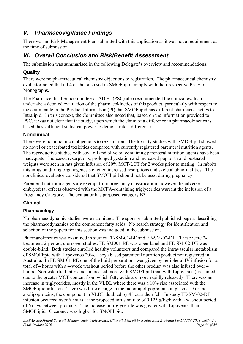## <span id="page-44-0"></span>*V. Pharmacovigilance Findings*

There was no Risk Management Plan submitted with this application as it was not a requirement at the time of submission.

## *VI. Overall Conclusion and Risk/Benefit Assessment*

The submission was summarised in the following Delegate's overview and recommendations:

## **Quality**

There were no pharmaceutical chemistry objections to registration. The pharmaceutical chemistry evaluator noted that all 4 of the oils used in SMOFlipid comply with their respective Ph. Eur. Monographs.

The Pharmaceutical Subcommittee of ADEC (PSC) also recommended the clinical evaluator undertake a detailed evaluation of the pharmacokinetics of this product, particularly with respect to the claim made in the Product Information (PI) that SMOFlipid has different pharmacokinetics to Intralipid. In this context, the Committee also noted that, based on the information provided to PSC, it was not clear that the study, upon which the claim of a difference in pharmacokinetics is based, has sufficient statistical power to demonstrate a difference.

## **Nonclinical**

There were no nonclinical objections to registration. The toxicity studies with SMOFlipid showed no novel or exacerbated toxicities compared with currently registered parenteral nutrition agents. The reproductive studies with soya oil and olive oil containing parenteral nutrition agents have been inadequate. Increased resorptions, prolonged gestation and increased pup birth and postnatal weights were seen in rats given infusion of 20% MCT/LCT for 2 weeks prior to mating. In rabbits this infusion during organogenesis elicited increased resorptions and skeletal abnormalities. The nonclinical evaluator considered that SMOFlipid should not be used during pregnancy.

Parenteral nutrition agents are exempt from pregnancy classification, however the adverse embryofetal effects observed with the MCFA-containing triglycerides warrant the inclusion of a Pregnancy Category. The evaluator has proposed category B3.

## **Clinical**

## **Pharmacology**

No pharmacodynamic studies were submitted. The sponsor submitted published papers describing the pharmacodynamics of the component fatty acids. No search strategy for identification and selection of the papers for this section was included in the submission.

Pharmacokinetics was examined in studies FE-SM-01-BE and FE-SM-02-DE. These were 2 treatment, 2-period, crossover studies. FE-SM001-BE was open-label and FE-SM-02-DE was double-blind. Both studies enrolled healthy volunteers and compared the intravascular metabolism of SMOFlipid with Lipovenos 20%, a soya based parenteral nutrition product not registered in Australia. In FE-SM-01-BE one of the lipid preparations was given by peripheral IV infusion for a total of 4 hours with a 4-week washout period before the other product was also infused over 4 hours. Non-esterified fatty acids increased more with SMOFlipid than with Lipovenos (presumed due to the greater MCT content from which fatty acids are more rapidly released). There was an increase in triglycerides, mostly in the VLDL where there was a 10% rise associated with the SMOFlipid infusion. There was little change in the major apolipoproteins in plasma. For most apolipoproteins, the component in VLDL doubled by 4 hours then fell. In study FE-SM-02-DE infusion occurred over 6 hours at the proposed infusion rate of 0.125 g/kg/h with a washout period of 6 days between products. The increase in triglyceride was greater with Lipovenos than SMOFlipid. Clearance was higher for SMOFlipid.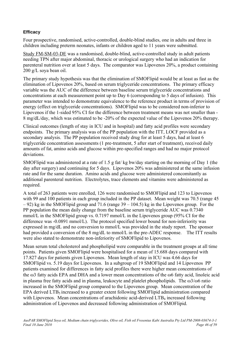#### **Efficacy**

Four prospective, randomised, active-controlled, double-blind studies, one in adults and three in children including preterm neonates, infants or children aged to 11 years were submitted.

Study FM-SM-03-DE was a randomised, double-blind, active-controlled study in adult patients needing TPN after major abdominal, thoracic or urological surgery who had an indication for parenteral nutrition over at least 5 days. The comparator was Lipovenos 20%, a product containing 200 g/L soya bean oil.

The primary study hypothesis was that the elimination of SMOFlipid would be at least as fast as the elimination of Lipovenos 20%, based on serum triglyceride concentrations. The primary efficacy variable was the AUC of the difference between baseline serum triglyceride concentrations and concentrations at each measurement point up to Day 6 (corresponding to 5 days of infusion). This parameter was intended to demonstrate equivalence to the reference product in terms of provision of energy (effect on triglyceride concentrations). SMOFlipid was to be considered non-inferior to Lipovenos if the 1-sided 95% CI for the difference between treatment means was not smaller than - 8 mg/dL/day, which was estimated to be -20% of the expected value of the Lipovenos 20% therapy.

Clinical outcomes (length of stay in ICU and in hospital) and fatty acid profiles were secondary endpoints. The primary analysis was of the PP population with the ITT, LOCF provided as a secondary analysis. The PP population received study drug for at least 5 days, had at least 6 triglyceride concentration assessments (1 pre-treatment, 5 after start of treatment), received daily amounts of fat, amino acids and glucose within pre-specified ranges and had no major protocol deviations.

SMOFlipid was administered at a rate of 1.5 g fat/ kg bw/day starting on the morning of Day 1 (the day after surgery) and continuing for 5 days. Lipovenos 20% was administered at the same infusion rate and for the same duration. Amino acids and glucose were administered concomitantly as additional parenteral nutrition. Electrolytes, trace elements and vitamins were administered as required.

A total of 263 patients were enrolled, 126 were randomised to SMOFlipid and 123 to Lipovenos with 99 and 100 patients in each group included in the PP dataset. Mean weight was 70.5 (range 45) – 92) kg in the SMOFlipid group and 71.6 (range 39 – 104.5) kg in the Lipovenos group. For the PP population the mean daily change from the baseline serum triglyceride AUC was 0.7340 mmol/L in the SMOFlipid group vs. 0.7197 mmol/L in the Lipovenos group (95% CI for the difference was -0.0891 mmol/L). The protocol specified lower bound for non-inferiority was expressed in mg/dL and no conversion to mmol/L was provided in the study report. The sponsor had provided a conversion of the 8 mg/dL to mmol/L in the pre-ADEC response. The ITT results were also stated to demonstrate non-inferiority of SMOFlipid to Lipovenos.

Mean serum total cholesterol and phospholipid were comparable in the treatment groups at all time points. Patients given SMOFlipid were hospitalised for a mean of 15.688 days compared with 17.827 days for patients given Lipovenos. Mean length of stay in ICU was 4.66 days for SMOFlipid vs. 5.19 days for Lipovenos. In a subgroup of 19 SMOFlipid and 14 Lipovenos PP patients examined for differences in fatty acid profiles there were higher mean concentrations of the ω3 fatty acids EPA and DHA and a lower mean concentrations of the ω6 fatty acid, linoleic acid in plasma free fatty acids and in plasma, leukocyte and platelet phospholipids. The  $\omega$ 3/ $\omega$ 6 ratio increased in the SMOFlipid group compared to the Lipovenos group. Mean concentration of the EPA derived  $LTB<sub>5</sub>$  increased to a greater extent following SMOFlipid administration compared with Lipovenos. Mean concentrations of arachidonic acid-derived LTB<sub>4</sub> increased following administration of Lipovenos and decreased following administration of SMOFlipid.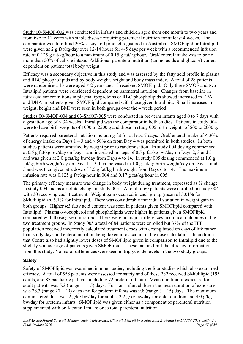Study 00-SMOF-002 was conducted in infants and children aged from one month to two years and from two to 11 years with stable disease requiring parenteral nutrition for at least 4 weeks. The comparator was Intralipid 20%, a soya oil product registered in Australia. SMOFlipid or Intralipid were given as 2 g fat/kg/day over 12-14 hours for 4-5 days per week with a recommended infusion rate of 0.125 g fat/kg/hour to a maximum of 0.15 g fat/kg/hour. Oral/ enteral intake was to be no more than 50% of calorie intake. Additional parenteral nutrition (amino acids and glucose) varied, dependent on patient total body weight.

Efficacy was a secondary objective in this study and was assessed by the fatty acid profile in plasma and RBC phospholipids and by body weight, height and body mass index. A total of 28 patients were randomised, 13 were aged  $\leq$  2 years and 15 received SMOFlipid. Only three SMOF and two Intralipid patients were considered dependent on parenteral nutrition. Changes from baseline in fatty acid concentrations in plasma lipoproteins or RBC phospholipids showed increased in EPA and DHA in patients given SMOFlipid compared with those given Intralipid. Small increases in weight, height and BMI were seen in both groups over the 4 week period.

Studies 00-SMOF-004 and 03-SMOF-005 were conducted in pre-term infants aged 0 to 7 days with a gestation age of < 34 weeks. Intralipid was the comparator in both studies. Patients in study 004 were to have birth weights of 1000 to 2500 g and those in study 005 birth weights of 500 to 2000 g.

Patients required parenteral nutrition including fat for at least 7 days. Oral/ enteral intake of  $\leq 30\%$ of energy intake on Days  $1 - 3$  and  $\leq 50\%$  on from Day 4 was permitted in both studies. In both studies patients were stratified by weight prior to randomisation. In study 004 dosing commenced at 0.5 g fat/kg bw/day on Day 1 and increased in steps of 0.5 g fat/kg bw/day on Days 2, 3 and 5 and was given at 2.0 g fat/kg bw/day from Days 4 to 14. In study 005 dosing commenced at 1.0 g fat/kg birth weight/day on Days  $1 - 3$  then increased in 1.0 g fat/kg birth weight/day on Days 4 and 5 and was then given at a dose of 3.5 g fat/kg birth weight from Days 6 to 14. The maximum infusion rate was 0.125 g fat/kg/hour in 004 and 0.17 g fat/kg/hour in 005.

The primary efficacy measure was change in body weight during treatment, expressed as % change in study 004 and as absolute change in study 005. A total of 60 patients were enrolled in study 004 with 30 receiving each treatment. Weight gain occurred in each group (mean of 5.01% for SMOFlipid vs. 5.1% for Intralipid. There was considerable individual variation in weight gain in both groups. Higher ω3 fatty acid content was seen in patients given SMOFlipid compared with Intralipid. Plasma  $\alpha$ -tocopherol and phospholipids were higher in patients given SMOFlipid compared with those given Intralipid. There were no major differences in clinical outcomes in the two treatment groups. In Study 005 a total of 84 patients were enrolled but 37% of the ITT population received incorrectly calculated treatment doses with dosing based on days of life rather than study days and enteral nutrition being taken into account in the dose calculation. In addition that Centre also had slightly lower doses of SMOFlipid given in comparison to Intralipid due to the slightly younger age of patients given SMOFlipid. These factors limit the efficacy information from this study. No major differences were seen in triglyceride levels in the two study groups.

## **Safety**

Safety of SMOFlipid was examined in nine studies, including the four studies which also examined efficacy. A total of 558 patients were assessed for safety and of these 282 received SMOFlipid (195 adults, and 87 paediatric patients including 72 preterm infants). Mean duration of exposure for adult patients was 5.3 (range  $1 - 15$ ) days. For non-infant children the mean duration of exposure was 28.3 (range  $27 - 29$ ) days and for preterm infants was 9.8 (range  $3 - 15$ ) days. The maximum administered dose was 2 g/kg bw/day for adults, 2.2 g/kg bw/day for older children and 4.0 g/kg bw/day for preterm infants. SMOFlipid was given either as a component of parenteral nutrition supplemented with oral/ enteral intake or as total parenteral nutrition.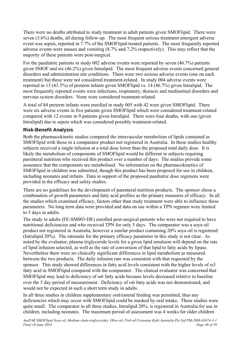<span id="page-47-0"></span>There were no deaths attributed to study treatment in adult patients given SMOFlipid. There were seven (3.6%) deaths, all during follow-up. The most frequent serious treatment emergent adverse event was sepsis, reported in 7.7% of the SMOFlipid-treated patients. The most frequently reported adverse events were nausea and vomiting (8.7% and 7.2% respectively). This may reflect that the majority of these patients were post-surgical.

For the paediatric patients in study 002 adverse events were reported by seven (46.7%) patients given SMOF and six (46.2%) given Intralipid. The most frequent adverse events concerned general disorders and administration site conditions. There were two serious adverse events (one on each treatment) but these were not considered treatment-related. In study 004 adverse events were reported in 13 (43.3%) of preterm infants given SMOFlipid vs. 14 (46.7%) given Intralipid. The most frequently reported events were infections, respiratory, thoracic and mediastinal disorders and nervous system disorders. None were considered treatment-related.

A total of 84 preterm infants were enrolled in study 005 with 42 were given SMOFlipid. There were six adverse events in five patients given SMOFlipid which were considered treatment-related compared with 12 events in 9 patients given Intralipid. There were four deaths, with one (given Intralipid) due to sepsis which was considered possibly treatment-related.

## **Risk-Benefit Analysis**

Both the pharmacokinetic studies compared the intravascular metabolism of lipids contained in SMOFlipid with those in a comparator product not registered in Australia. In these studies healthy subjects received a single infusion at a total dose lower than the proposed total daily dose. It is likely the metabolism of components of SMOFlipid would be different in subjects requiring parenteral nutrition who received this product over a number of days. The studies provide some assurance that the components are metabolised. No information on the pharmacokinetics of SMOFlipid in children was submitted, though this product has been proposed for use in children, including neonates and infants. Data in support of the proposed paediatric dose regimens were provided in the efficacy and safety studies.

There are no guidelines for the development of parenteral nutrition products. The sponsor chose a combination of growth parameters and fatty acid profiles as the primary measures of efficacy. In all the studies which examined efficacy, factors other than study treatment were able to influence these parameters. No long term data were provided and data on use within a TPN regimen were limited to 5 days in adults.

The study in adults (FE-SM003-DE) enrolled post-surgical patients who were not required to have nutritional deficiencies and who received TPN for only 5 days. The comparator was a soya oil product not registered in Australia, however a similar product containing 20% soya oil is registered (Intralipid 20%). The rationale for the primary efficacy parameter in this study is not clear. As noted by the evaluator, plasma triglyceride levels for a given lipid emulsion will depend on the rate of lipid infusion selected, as well as the rate of conversion of that lipid to fatty acids by lipase. Nevertheless there were no clinically significant differences in lipid metabolism as measured between the two products. The daily infusion rate was consistent with that requested by the sponsor. This study showed differences in fatty acid levels consistent with the higher levels of ω3 fatty acid in SMOFlipid compared with the comparator. The clinical evaluator was concerned that SMOFlipid may lead to deficiency of ω6 fatty acids because levels decreased relative to baseline over the 5 day period of measurement. Deficiency of ω6 fatty acids was not demonstrated, and would not be expected in such a short term study in adults.

In all three studies in children supplementary oral/enteral feeding was permitted, thus any deficiencies which may occur with SMOFlipid could be masked by oral intake. These studies were quite small. The comparator in all three studies, Intralipid 20%, is registered in Australia for use in children, including neonates. The maximum period of assessment was 4 weeks for older children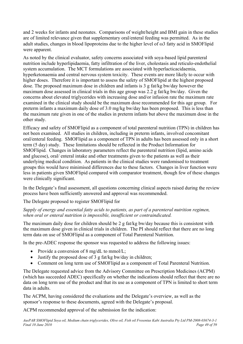and 2 weeks for infants and neonates. Comparisons of weight/height and BMI gain in these studies are of limited relevance given that supplementary oral/enteral feeding was permitted. As in the adult studies, changes in blood lipoproteins due to the higher level of ω3 fatty acid in SMOFlipid were apparent.

As noted by the clinical evaluator, safety concerns associated with soya-based lipid parenteral nutrition include hyperlipidaemia, fatty infiltration of the liver, cholestasis and reticulo-endothelial system accumulation. The MCT formulations are associated with hyperlacticacidaemia, hyperketonaemia and central nervous system toxicity. These events are more likely to occur with higher doses. Therefore it is important to assess the safety of SMOFlipid at the highest proposed dose. The proposed maximum dose in children and infants is 3 g fat/kg bw/day however the maximum dose assessed in clinical trials in this age group was 2.2 g fat/kg bw/day. Given the concerns about elevated triglycerides with increasing dose and/or infusion rate the maximum rate examined in the clinical study should be the maximum dose recommended for this age group. For preterm infants a maximum daily dose of 3.0 mg/kg bw/day has been proposed. This is less than the maximum rate given in one of the studies in preterm infants but above the maximum dose in the other study.

Efficacy and safety of SMOFlipid as a component of total parenteral nutrition (TPN) in children has not been examined. All studies in children, including in preterm infants, involved concomitant oral/enteral feeding. SMOFlipid as a component of TPN in adults has been assessed only in a short term (5 day) study. These limitations should be reflected in the Product Information for SMOFlipid. Changes in laboratory parameters reflect the parenteral nutrition (lipid, amino acids and glucose), oral/ enteral intake and other treatments given to the patients as well as their underlying medical condition. As patients in the clinical studies were randomised to treatment groups this would have minimised differences due to these factors. Changes in liver function were less in patients given SMOFlipid compared with comparator treatment, though few of these changes were clinically significant.

In the Delegate's final assessment, all questions concerning clinical aspects raised during the review process have been sufficiently answered and approval was recommended.

The Delegate proposed to register SMOFlipid for

#### *Supply of energy and essential fatty acids to patients, as part of a parenteral nutrition regimen, when oral or enteral nutrition is impossible, insufficient or contraindicated.*

The maximum daily dose for children should be 2 g fat/kg bw/day because this is consistent with the maximum dose given in clinical trials in children. The PI should reflect that there are no long term data on use of SMOFlipid as a component of Total Parenteral Nutrition.

In the pre-ADEC response the sponsor was requested to address the following issues:

- Provide a conversion of 8 mg/dL to mmol/L;
- Justify the proposed dose of 3 g fat/kg bw/day in children;
- Comment on long term use of SMOFlipid as a component of Total Parenteral Nutrition.

The Delegate requested advice from the Advisory Committee on Prescription Medicines (ACPM) (which has succeeded ADEC) specifically on whether the indications should reflect that there are no data on long term use of the product and that its use as a component of TPN is limited to short term data in adults.

The ACPM, having considered the evaluations and the Delegate's overview, as well as the sponsor's response to these documents, agreed with the Delegate's proposal.

ACPM recommended approval of the submission for the indication: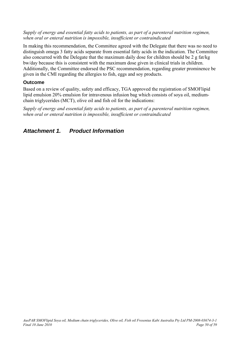#### <span id="page-49-0"></span>*Supply of energy and essential fatty acids to patients, as part of a parenteral nutrition regimen, when oral or enteral nutrition is impossible, insufficient or contraindicated*

In making this recommendation, the Committee agreed with the Delegate that there was no need to distinguish omega 3 fatty acids separate from essential fatty acids in the indication. The Committee also concurred with the Delegate that the maximum daily dose for children should be 2 g fat/kg bw/day because this is consistent with the maximum dose given in clinical trials in children. Additionally, the Committee endorsed the PSC recommendation, regarding greater prominence be given in the CMI regarding the allergies to fish, eggs and soy products.

## **Outcome**

Based on a review of quality, safety and efficacy, TGA approved the registration of SMOFlipid lipid emulsion 20% emulsion for intravenous infusion bag which consists of soya oil, mediumchain triglycerides (MCT), olive oil and fish oil for the indications:

*Supply of energy and essential fatty acids to patients, as part of a parenteral nutrition regimen, when oral or enteral nutrition is impossible, insufficient or contraindicated* 

## *Attachment 1. Product Information*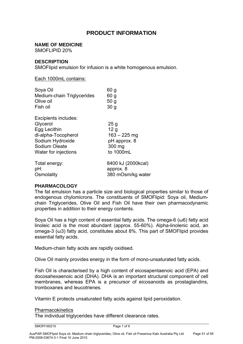## **PRODUCT INFORMATION**

#### **NAME OF MEDICINE**

SMOFLIPID 20%

#### **DESCRIPTION**

SMOFlipid emulsion for infusion is a white homogenous emulsion.

Each 1000mL contains:

| Soya Oil<br>Medium-chain Triglycerides<br>Olive oil<br>Fish oil | 60 <sub>g</sub><br>60 g<br>50 <sub>g</sub><br>30 <sub>g</sub> |
|-----------------------------------------------------------------|---------------------------------------------------------------|
| Excipients includes:                                            |                                                               |
| Glycerol                                                        | 25g                                                           |
| Egg Lecithin                                                    | 12 <sub>g</sub>                                               |
| dl-alpha-Tocopherol                                             | $163 - 225$ mg                                                |
| Sodium Hydroxide                                                | pH approx. 8                                                  |
| Sodium Oleate                                                   | 300 mg                                                        |
| Water for injections                                            | to 1000mL                                                     |
| Total energy:                                                   | 8400 kJ (2000kcal)                                            |
| pH:                                                             | approx. 8                                                     |
| Osmolality                                                      | 380 mOsm/kg water                                             |

#### **PHARMACOLOGY**

The fat emulsion has a particle size and biological properties similar to those of endogenous chylomicrons. The constituents of SMOFlipid: Soya oil, Mediumchain Triglycerides, Olive Oil and Fish Oil have their own pharmacodynamic properties in addition to their energy contents.

Soya Oil has a high content of essential fatty acids. The omega-6 (ω6) fatty acid linoleic acid is the most abundant (approx. 55-60%). Alpha-linolenic acid, an omega-3 (ω3) fatty acid, constitutes about 8%. This part of SMOFlipid provides essential fatty acids.

Medium-chain fatty acids are rapidly oxidised.

Olive Oil mainly provides energy in the form of mono-unsaturated fatty acids.

Fish Oil is characterised by a high content of eicosapentaenoic acid (EPA) and docosahexaenoic acid (DHA). DHA is an important structural component of cell membranes, whereas EPA is a precursor of eicosanoids as prostaglandins, tromboxanes and leucotrienes.

Vitamin E protects unsaturated fatty acids against lipid peroxidation.

#### **Pharmacokinetics**

The individual triglycerides have different clearance rates.

SMOPI160210 Page 1 of 9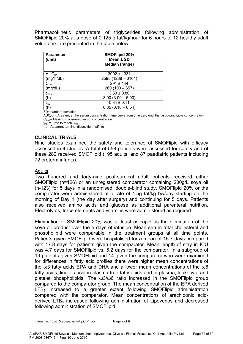Pharmacokinetic parameters of triglycerides following administration of SMOFlipid 20% at a dose of 0.125 g fat/kg/hour for 6 hours to 12 healthy adult volunteers are presented in the table below.

| <b>Parameter</b><br>(unit) | <b>SMOFlipid 20%</b><br>Mean $\pm$ SD<br>Median (range) |  |
|----------------------------|---------------------------------------------------------|--|
| $AUC_{(0-t)}$              | $3002 \pm 1331$                                         |  |
| $(mg^*h/dL)$               | $2598(1288 - 6164)$                                     |  |
| $C_{\text{max}}$           | $291 + 144$                                             |  |
| (mg/dL)                    | $260(100-657)$                                          |  |
| $t_{\sf max}$              | $3.50 \pm 0.80$                                         |  |
| (h)                        | $3.00(3.00 - 5.00)$                                     |  |
| $t_{1/2}$                  | $0.34 \pm 0.11$                                         |  |
| (h)                        | $0.35(0.16 - 0.54)$                                     |  |

SD=standard deviation

 $AUC_{(0,t)}$  = Area under the serum concentration-time curve from time zero until the last quantifiable concentration.  $C_{\text{max}} = \text{Maximum observed serum concentration.}$ 

 $t_{\text{max}}$  = Time to reach  $C_{\text{max}}$ 

 $t_{1/2}$  = Apparent terminal disposition half-life

#### **CLINICAL TRIALS**

Nine studies examined the safety and tolerance of SMOFlipid with efficacy assessed in 4 studies. A total of 558 patients were assessed for safety and of these 282 received SMOFlipid (195 adults, and 87 paediatric patients including 72 preterm infants).

#### Adults

Two hundred and forty-nine post-surgical adult patients received either SMOFlipid (n=126) or an unregistered comparator containing 200g/L soya oil (n-123) for 5 days in a randomised, double-blind study. SMOFlipid 20% or the comparator were administered at a rate of 1.5g fat/kg bw/day starting on the morning of Day 1 (the day after surgery) and continuing for 5 days. Patients also received amino acids and glucose as additional parenteral nutrition. Electrolytes, trace elements and vitamins were administered as required.

Elimination of SMOFlipid 20% was at least as rapid as the elimination of the soya oil product over the 5 days of infusion. Mean serum total cholesterol and phospholipid were comparable in the treatment groups at all time points. Patients given SMOFlipid were hospitalised for a mean of 15.7 days compared with 17.8 days for patients given the comparator. Mean length of stay in ICU was 4.7 days for SMOFlipid vs. 5.2 days for the comparator. In a subgroup of 19 patients given SMOFlipid and 14 given the comparator who were examined for differences in fatty acid profiles there were higher mean concentrations of the ω3 fatty acids EPA and DHA and a lower mean concentrations of the ω6 fatty acids, linoleic acid in plasma free fatty acids and in plasma, leukocyte and platelet phospholipids. The ω3/ω6 ratio increased in the SMOFlipid group compared to the comparator group. The mean concentration of the EPA derived  $LTB<sub>5</sub>$  increased to a greater extent following SMOFlipid administration compared with the comparator. Mean concentrations of arachidonic acidderived LTB4 increased following administration of Lipovenos and decreased following administration of SMOFlipid.

Filename: 100615 auspar-smoflipid PI.doc Page 2 of 9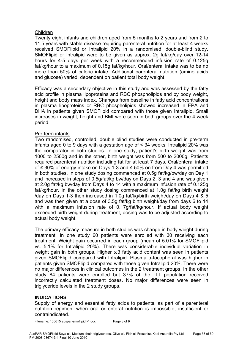#### Children

Twenty eight infants and children aged from 5 months to 2 years and from 2 to 11.5 years with stable disease requiring parenteral nutrition for at least 4 weeks received SMOFlipid or Intralipid 20% in a randomised, double-blind study. SMOFlipid or Intralipid were to be given as approx. 2g fat/kg/day over 12-14 hours for 4-5 days per week with a recommended infusion rate of 0.125g fat/kg/hour to a maximum of 0.15g fat/kg/hour. Oral/enteral intake was to be no more than 50% of caloric intake. Additional parenteral nutrition (amino acids and glucose) varied, dependent on patient total body weight.

Efficacy was a secondary objective in this study and was assessed by the fatty acid profile in plasma lipoproteins and RBC phospholipids and by body weight, height and body mass index. Changes from baseline in fatty acid concentrations in plasma lipoproteins or RBC phospholipids showed increased in EPA and DHA in patients given SMOFlipid compared with those given Intralipid. Small increases in weight, height and BMI were seen in both groups over the 4 week period.

#### Pre-term infants

Two randomised, controlled, double blind studies were conducted in pre-term infants aged 0 to 9 days with a gestation age of < 34 weeks. Intralipid 20% was the comparator in both studies. In one study, patient's birth weight was from 1000 to 2500g and in the other, birth weight was from 500 to 2000g. Patients required parenteral nutrition including fat for at least 7 days. Oral/enteral intake of ≤ 30% of energy intake on Days 1-3 and ≤ 50% on from Day 4 was permitted in both studies. In one study dosing commenced at 0.5g fat/kg/bw/day on Day 1 and increased in steps of 0.5g/fat/kg bw/day on Days 2, 3 and 4 and was given at 2.0g fat/kg bw/day from Days 4 to 14 with a maximum infusion rate of 0.125g fat/kg/hour. In the other study dosing commenced at 1.0g fat/kg birth weight /day on Days 1-3 then increased in 1.0g fat/kg/birth weight/day on Days 4 & 5 and was then given at a dose of 3.5g fat/kg birth weight/day from days 6 to 14 with a maximum infusion rate of 0.17g/fat/kg/hour. If actual body weight exceeded birth weight during treatment, dosing was to be adjusted according to actual body weight.

The primary efficacy measure in both studies was change in body weight during treatment. In one study 60 patients were enrolled with 30 receiving each treatment. Weight gain occurred in each group (mean of 5.01% for SMOFlipid vs. 5.1% for Intralipid 20%). There was considerable individual variation in weight gain in both groups. Higher ω3 fatty acid content was seen in patients given SMOFlipid compared with Intralipid. Plasma α-tocopheral was higher in patients given SMOFlipid compared with those given Intralipid 20%. There were no major differences in clinical outcomes in the 2 treatment groups. In the other study 84 patients were enrolled but 37% of the ITT population received incorrectly calculated treatment doses. No major differences were seen in triglyceride levels in the 2 study groups.

## **INDICATIONS**

Supply of energy and essential fatty acids to patients, as part of a parenteral nutrition regimen, when oral or enteral nutrition is impossible, insufficient or contraindicated.

Filename: 100615 auspar-smoflipid PI.doc Page 3 of 9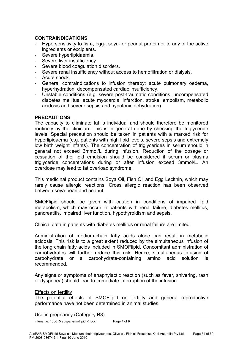### **CONTRAINDICATIONS**

- Hypersensitivity to fish-, egg-, soya- or peanut protein or to any of the active ingredients or excipients.
- Severe hyperlipidaemia.
- Severe liver insufficiency.
- Severe blood coagulation disorders.
- Severe renal insufficiency without access to hemofiltration or dialysis.
- Acute shock.
- General contraindications to infusion therapy: acute pulmonary oedema, hyperhydration, decompensated cardiac insufficiency.
- Unstable conditions (e.g. severe post-traumatic conditions, uncompensated diabetes mellitus, acute myocardial infarction, stroke, embolism, metabolic acidosis and severe sepsis and hypotonic dehydration).

#### **PRECAUTIONS**

The capacity to eliminate fat is individual and should therefore be monitored routinely by the clinician. This is in general done by checking the triglyceride levels. Special precaution should be taken in patients with a marked risk for hyperlipidaema (e.g. patients with high lipid levels, severe sepsis and extremely low birth weight infants). The concentration of triglycerides in serum should in general not exceed 3mmol/L during infusion. Reduction of the dosage or cessation of the lipid emulsion should be considered if serum or plasma triglyceride concentrations during or after infusion exceed 3mmol/L. An overdose may lead to fat overload syndrome.

This medicinal product contains Soya Oil, Fish Oil and Egg Lecithin, which may rarely cause allergic reactions. Cross allergic reaction has been observed between soya-bean and peanut.

SMOFlipid should be given with caution in conditions of impaired lipid metabolism, which may occur in patients with renal failure, diabetes mellitus, pancreatitis, impaired liver function, hypothyroidism and sepsis.

Clinical data in patients with diabetes mellitus or renal failure are limited.

Administration of medium-chain fatty acids alone can result in metabolic acidosis. This risk is to a great extent reduced by the simultaneous infusion of the long chain fatty acids included in SMOFlipid. Concomitant administration of carbohydrates will further reduce this risk. Hence, simultaneous infusion of carbohydrate or a carbohydrate-containing amino acid solution is recommended.

Any signs or symptoms of anaphylactic reaction (such as fever, shivering, rash or dyspnoea) should lead to immediate interruption of the infusion.

#### Effects on fertility

The potential effects of SMOFlipid on fertility and general reproductive performance have not been determined in animal studies.

#### Use in pregnancy (Category B3)

Filename: 100615 auspar-smoflipid PI.doc Page 4 of 9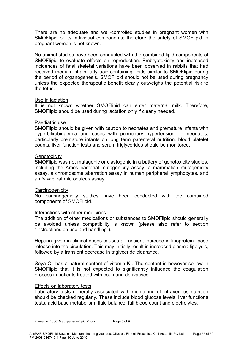There are no adequate and well-controlled studies in pregnant women with SMOFlipid or its individual components; therefore the safety of SMOFlipid in pregnant women is not known.

No animal studies have been conducted with the combined lipid components of SMOFlipid to evaluate effects on reproduction. Embryotoxicity and increased incidences of fetal skeletal variations have been observed in rabbits that had received medium chain fatty acid-containing lipids similar to SMOFlipid during the period of organogenesis. SMOFlipid should not be used during pregnancy unless the expected therapeutic benefit clearly outweighs the potential risk to the fetus.

#### Use in lactation

It is not known whether SMOFlipid can enter maternal milk. Therefore, SMOFlipid should be used during lactation only if clearly needed.

#### Paediatric use

SMOFlipid should be given with caution to neonates and premature infants with hyperbilirubinaemia and cases with pulmonary hypertension. In neonates, particularly premature infants on long term parenteral nutrition, blood platelet counts, liver function tests and serum triglycerides should be monitored.

#### **Genotoxicity**

SMOFlipid was not mutagenic or clastogenic in a battery of genotoxicity studies, including the Ames bacterial mutagenicity assay, a mammalian mutagenicity assay, a chromosome aberration assay in human peripheral lymphocytes, and an *in vivo* rat micronuleus assay.

#### **Carcinogenicity**

No carcinogenicity studies have been conducted with the combined components of SMOFlipid.

#### Interactions with other medicines

The addition of other medications or substances to SMOFlipid should generally be avoided unless compatibility is known (please also refer to section "Instructions on use and handling").

Heparin given in clinical doses causes a transient increase in lipoprotein lipase release into the circulation. This may initially result in increased plasma lipolysis, followed by a transient decrease in triglyceride clearance.

Soya Oil has a natural content of vitamin  $K<sub>1</sub>$ . The content is however so low in SMOFlipid that it is not expected to significantly influence the coagulation process in patients treated with coumarin derivatives.

#### Effects on laboratory tests

Laboratory tests generally associated with monitoring of intravenous nutrition should be checked regularly. These include blood glucose levels, liver functions tests, acid base metabolism, fluid balance, full blood count and electrolytes.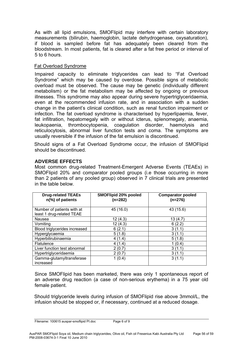As with all lipid emulsions, SMOFlipid may interfere with certain laboratory measurements (bilirubin, haemoglobin, lactate dehydrogenase, oxysaturation), if blood is sampled before fat has adequately been cleared from the bloodstream. In most patients, fat is cleared after a fat free period or interval of 5 to 6 hours.

#### Fat Overload Syndrome

Impaired capacity to eliminate triglycerides can lead to "Fat Overload Syndrome" which may be caused by overdose. Possible signs of metabolic overload must be observed. The cause may be genetic (individually different metabolism) or the fat metabolism may be affected by ongoing or previous illnesses. This syndrome may also appear during severe hypertriglyceridaemia, even at the recommended infusion rate, and in association with a sudden change in the patient's clinical condition, such as renal function impairment or infection. The fat overload syndrome is characterised by hyperlipaemia, fever, fat infiltration, hepatomegaly with or without icterus, splenomegaly, anaemia, leukopaenia, thrombocytopenia, coagulation disorder, haemolysis and reticulocytosis, abnormal liver function tests and coma. The symptoms are usually reversible if the infusion of the fat emulsion is discontinued.

Should signs of a Fat Overload Syndrome occur, the infusion of SMOFlipid should be discontinued.

#### **ADVERSE EFFECTS**

Most common drug-related Treatment-Emergent Adverse Events (TEAEs) in SMOFlipid 20% and comparator pooled groups (i.e those occurring in more than 2 patients of any pooled group) observed in 7 clinical trials are presented in the table below.

| <b>Drug-related TEAEs</b><br>n(%) of patients           | SMOFlipid 20% pooled<br>(n=282) | <b>Comparator pooled</b><br>$(n=276)$ |
|---------------------------------------------------------|---------------------------------|---------------------------------------|
| Number of patients with at<br>least 1 drug-related TEAE | 45 (16.0)                       | 43 (15.6)                             |
| Nausea                                                  | 12(4.3)                         | 13(4.7)                               |
| Vomiting                                                | 12(4.3)                         | 6(2.2)                                |
| Blood triglycerides increased                           | 6(2.1)                          | 3(1.1)                                |
| Hyperglycaemia                                          | 5(1.8)                          | 3(1.1)                                |
| Hyperbilirubinaemia                                     | 4(1.4)                          | 5(1.8)                                |
| <b>Flatulence</b>                                       | 4(1.4)                          | 1(0.4)                                |
| Liver function test abnormal                            | 2(0.7)                          | 3(1.1)                                |
| Hypertriglyceridaemia                                   | 2(0.7)                          | 3(1.1)                                |
| Gamma-glutamyltransferase<br>increased                  | 1(0.4)                          | 3(1.1)                                |

Since SMOFlipid has been marketed, there was only 1 spontaneous report of an adverse drug reaction (a case of non-serious erythema) in a 75 year old female patient.

Should triglyceride levels during infusion of SMOFlipid rise above 3mmol/L, the infusion should be stopped or, if necessary, continued at a reduced dosage.

Filename: 100615 auspar-smoflipid Pl.doc Page 6 of 9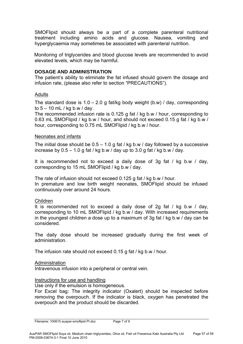SMOFlipid should always be a part of a complete parenteral nutritional treatment including amino acids and glucose. Nausea, vomiting and hyperglycaemia may sometimes be associated with parenteral nutrition.

Monitoring of triglycerides and blood glucose levels are recommended to avoid elevated levels, which may be harmful.

#### **DOSAGE AND ADMINISTRATION**

The patient's ability to eliminate the fat infused should govern the dosage and infusion rate, (please also refer to section "PRECAUTIONS").

#### Adults

The standard dose is  $1.0 - 2.0$  g fat/kg body weight (b.w) / day, corresponding to 5 – 10 mL / kg b.w / day.

The recommended infusion rate is 0.125 g fat / kg b.w / hour, corresponding to 0.63 mL SMOFlipid / kg b.w / hour, and should not exceed 0.15 g fat / kg b.w / hour, corresponding to 0.75 mL SMOFlipid / kg b.w / hour.

#### Neonates and infants

The initial dose should be  $0.5 - 1.0$  g fat / kg b.w / day followed by a successive increase by  $0.5 - 1.0$  g fat / kg b.w / day up to 3.0 g fat / kg b.w / day.

It is recommended not to exceed a daily dose of 3g fat / kg b.w / day, corresponding to 15 mL SMOFlipid / kg b.w / day.

The rate of infusion should not exceed 0.125 g fat / kg b.w / hour. In premature and low birth weight neonates, SMOFlipid should be infused continuously over around 24 hours.

#### Children

It is recommended not to exceed a daily dose of 2g fat / kg b.w / day, corresponding to 10 mL SMOFlipid / kg b.w / day. With increased requirements in the youngest children a dose up to a maximum of 3g fat / kg b.w / day can be considered.

The daily dose should be increased gradually during the first week of administration.

The infusion rate should not exceed 0.15 g fat / kg b.w / hour.

#### Administration

Intravenous infusion into a peripheral or central vein.

#### Instructions for use and handling

Use only if the emulsion is homogeneous.

For Excel bag: The integrity indicator (Oxalert) should be inspected before removing the overpouch. If the indicator is black, oxygen has penetrated the overpouch and the product should be discarded.

Filename: 100615 auspar-smoflipid Pl.doc Page 7 of 9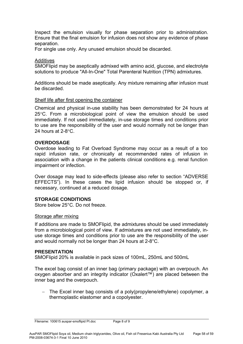Inspect the emulsion visually for phase separation prior to administration. Ensure that the final emulsion for infusion does not show any evidence of phase separation.

For single use only. Any unused emulsion should be discarded.

#### **Additives**

SMOFlipid may be aseptically admixed with amino acid, glucose, and electrolyte solutions to produce "All-In-One" Total Parenteral Nutrition (TPN) admixtures.

Additions should be made aseptically. Any mixture remaining after infusion must be discarded.

#### Shelf life after first opening the container

Chemical and physical in-use stability has been demonstrated for 24 hours at 25°C. From a microbiological point of view the emulsion should be used immediately. If not used immediately, in-use storage times and conditions prior to use are the responsibility of the user and would normally not be longer than 24 hours at 2-8°C.

#### **OVERDOSAGE**

Overdose leading to Fat Overload Syndrome may occur as a result of a too rapid infusion rate, or chronically at recommended rates of infusion in association with a change in the patients clinical conditions e.g. renal function impairment or infection.

Over dosage may lead to side-effects (please also refer to section "ADVERSE EFFECTS"). In these cases the lipid infusion should be stopped or, if necessary, continued at a reduced dosage.

## **STORAGE CONDITIONS**

Store below 25°C. Do not freeze.

#### Storage after mixing

If additions are made to SMOFlipid, the admixtures should be used immediately from a microbiological point of view. If admixtures are not used immediately, inuse storage times and conditions prior to use are the responsibility of the user and would normally not be longer than 24 hours at 2-8°C.

#### **PRESENTATION**

SMOFlipid 20% is available in pack sizes of 100mL, 250mL and 500mL

The excel bag consist of an inner bag (primary package) with an overpouch. An oxygen absorber and an integrity indicator (Oxalert™) are placed between the inner bag and the overpouch.

− The Excel inner bag consists of a poly(propylene/ethylene) copolymer, a thermoplastic elastomer and a copolyester.

Filename: 100615 auspar-smoflipid PI.doc Page 8 of 9